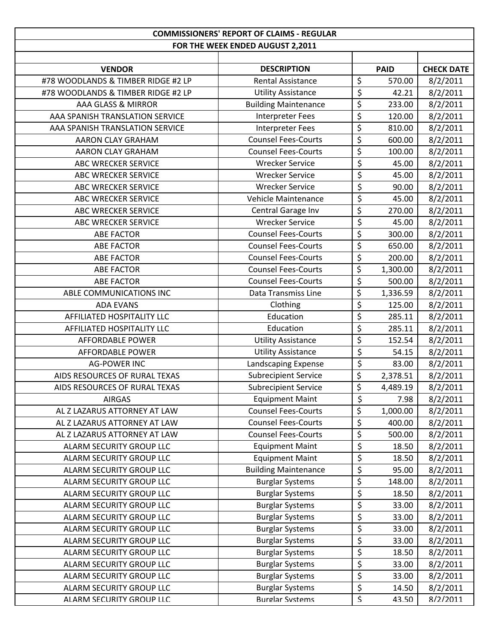| <b>COMMISSIONERS' REPORT OF CLAIMS - REGULAR</b> |                             |                                     |             |                   |
|--------------------------------------------------|-----------------------------|-------------------------------------|-------------|-------------------|
| FOR THE WEEK ENDED AUGUST 2,2011                 |                             |                                     |             |                   |
|                                                  |                             |                                     |             |                   |
| <b>VENDOR</b>                                    | <b>DESCRIPTION</b>          |                                     | <b>PAID</b> | <b>CHECK DATE</b> |
| #78 WOODLANDS & TIMBER RIDGE #2 LP               | <b>Rental Assistance</b>    | \$                                  | 570.00      | 8/2/2011          |
| #78 WOODLANDS & TIMBER RIDGE #2 LP               | <b>Utility Assistance</b>   | \$                                  | 42.21       | 8/2/2011          |
| AAA GLASS & MIRROR                               | <b>Building Maintenance</b> | $\overline{\xi}$                    | 233.00      | 8/2/2011          |
| AAA SPANISH TRANSLATION SERVICE                  | <b>Interpreter Fees</b>     | $\overline{\xi}$                    | 120.00      | 8/2/2011          |
| AAA SPANISH TRANSLATION SERVICE                  | <b>Interpreter Fees</b>     | $\overline{\varsigma}$              | 810.00      | 8/2/2011          |
| AARON CLAY GRAHAM                                | <b>Counsel Fees-Courts</b>  | $\overline{\xi}$                    | 600.00      | 8/2/2011          |
| AARON CLAY GRAHAM                                | <b>Counsel Fees-Courts</b>  | $\overline{\varsigma}$              | 100.00      | 8/2/2011          |
| ABC WRECKER SERVICE                              | <b>Wrecker Service</b>      | \$                                  | 45.00       | 8/2/2011          |
| ABC WRECKER SERVICE                              | <b>Wrecker Service</b>      | $\overline{\varsigma}$              | 45.00       | 8/2/2011          |
| ABC WRECKER SERVICE                              | <b>Wrecker Service</b>      | \$                                  | 90.00       | 8/2/2011          |
| ABC WRECKER SERVICE                              | Vehicle Maintenance         | \$                                  | 45.00       | 8/2/2011          |
| ABC WRECKER SERVICE                              | Central Garage Inv          | $\overline{\xi}$                    | 270.00      | 8/2/2011          |
| ABC WRECKER SERVICE                              | <b>Wrecker Service</b>      | \$                                  | 45.00       | 8/2/2011          |
| <b>ABE FACTOR</b>                                | <b>Counsel Fees-Courts</b>  | \$                                  | 300.00      | 8/2/2011          |
| <b>ABE FACTOR</b>                                | <b>Counsel Fees-Courts</b>  | $\overline{\xi}$                    | 650.00      | 8/2/2011          |
| <b>ABE FACTOR</b>                                | <b>Counsel Fees-Courts</b>  | \$                                  | 200.00      | 8/2/2011          |
| <b>ABE FACTOR</b>                                | <b>Counsel Fees-Courts</b>  | \$                                  | 1,300.00    | 8/2/2011          |
| <b>ABE FACTOR</b>                                | <b>Counsel Fees-Courts</b>  | \$                                  | 500.00      | 8/2/2011          |
| ABLE COMMUNICATIONS INC                          | Data Transmiss Line         | \$                                  | 1,336.59    | 8/2/2011          |
| <b>ADA EVANS</b>                                 | Clothing                    | \$                                  | 125.00      | 8/2/2011          |
| AFFILIATED HOSPITALITY LLC                       | Education                   | \$                                  | 285.11      | 8/2/2011          |
| AFFILIATED HOSPITALITY LLC                       | Education                   | \$                                  | 285.11      | 8/2/2011          |
| <b>AFFORDABLE POWER</b>                          | <b>Utility Assistance</b>   | $\overline{\xi}$                    | 152.54      | 8/2/2011          |
| <b>AFFORDABLE POWER</b>                          | <b>Utility Assistance</b>   | \$                                  | 54.15       | 8/2/2011          |
| <b>AG-POWER INC</b>                              | Landscaping Expense         | \$                                  | 83.00       | 8/2/2011          |
| AIDS RESOURCES OF RURAL TEXAS                    | <b>Subrecipient Service</b> | $\overline{\xi}$                    | 2,378.51    | 8/2/2011          |
| AIDS RESOURCES OF RURAL TEXAS                    | <b>Subrecipient Service</b> | \$                                  | 4,489.19    | 8/2/2011          |
| <b>AIRGAS</b>                                    | <b>Equipment Maint</b>      | \$                                  | 7.98        | 8/2/2011          |
| AL Z LAZARUS ATTORNEY AT LAW                     | <b>Counsel Fees-Courts</b>  | \$                                  | 1,000.00    | 8/2/2011          |
| AL Z LAZARUS ATTORNEY AT LAW                     | <b>Counsel Fees-Courts</b>  | \$                                  | 400.00      | 8/2/2011          |
| AL Z LAZARUS ATTORNEY AT LAW                     | <b>Counsel Fees-Courts</b>  | $\overline{\xi}$                    | 500.00      | 8/2/2011          |
| ALARM SECURITY GROUP LLC                         | <b>Equipment Maint</b>      | $\overline{\boldsymbol{\varsigma}}$ | 18.50       | 8/2/2011          |
| ALARM SECURITY GROUP LLC                         | <b>Equipment Maint</b>      | \$                                  | 18.50       | 8/2/2011          |
| ALARM SECURITY GROUP LLC                         | <b>Building Maintenance</b> | \$                                  | 95.00       | 8/2/2011          |
| ALARM SECURITY GROUP LLC                         | <b>Burglar Systems</b>      | $\overline{\xi}$                    | 148.00      | 8/2/2011          |
| ALARM SECURITY GROUP LLC                         | <b>Burglar Systems</b>      | \$                                  | 18.50       | 8/2/2011          |
| ALARM SECURITY GROUP LLC                         | <b>Burglar Systems</b>      | \$                                  | 33.00       | 8/2/2011          |
| ALARM SECURITY GROUP LLC                         | <b>Burglar Systems</b>      | \$                                  | 33.00       | 8/2/2011          |
| ALARM SECURITY GROUP LLC                         | <b>Burglar Systems</b>      | \$                                  | 33.00       | 8/2/2011          |
| ALARM SECURITY GROUP LLC                         | <b>Burglar Systems</b>      | \$                                  | 33.00       | 8/2/2011          |
| ALARM SECURITY GROUP LLC                         | <b>Burglar Systems</b>      | $\overline{\mathcal{L}}$            | 18.50       | 8/2/2011          |
| ALARM SECURITY GROUP LLC                         | <b>Burglar Systems</b>      | \$                                  | 33.00       | 8/2/2011          |
| ALARM SECURITY GROUP LLC                         | <b>Burglar Systems</b>      | \$                                  | 33.00       | 8/2/2011          |
| ALARM SECURITY GROUP LLC                         | <b>Burglar Systems</b>      | $\overline{\xi}$                    | 14.50       | 8/2/2011          |
| ALARM SFCURITY GROUP LLC                         | <b>Burglar Systems</b>      | $\overline{\mathsf{S}}$             | 43.50       | 8/2/2011          |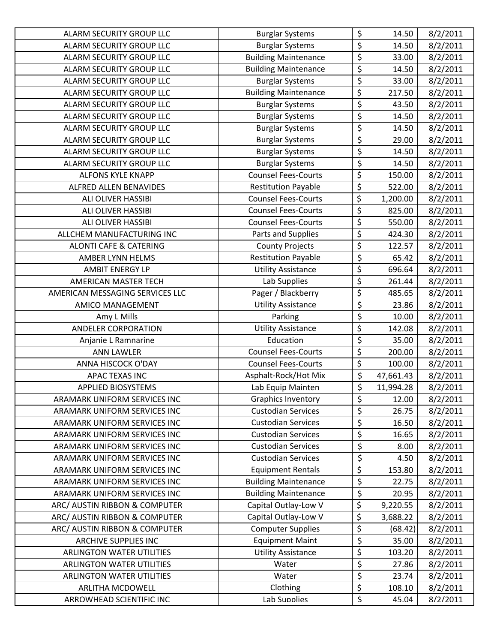| ALARM SECURITY GROUP LLC          | <b>Burglar Systems</b>      | \$                              | 14.50     | 8/2/2011 |
|-----------------------------------|-----------------------------|---------------------------------|-----------|----------|
| ALARM SECURITY GROUP LLC          | <b>Burglar Systems</b>      | \$                              | 14.50     | 8/2/2011 |
| ALARM SECURITY GROUP LLC          | <b>Building Maintenance</b> | \$                              | 33.00     | 8/2/2011 |
| ALARM SECURITY GROUP LLC          | <b>Building Maintenance</b> | \$                              | 14.50     | 8/2/2011 |
| ALARM SECURITY GROUP LLC          | <b>Burglar Systems</b>      | \$                              | 33.00     | 8/2/2011 |
| ALARM SECURITY GROUP LLC          | <b>Building Maintenance</b> | \$                              | 217.50    | 8/2/2011 |
| ALARM SECURITY GROUP LLC          | <b>Burglar Systems</b>      | \$                              | 43.50     | 8/2/2011 |
| ALARM SECURITY GROUP LLC          | <b>Burglar Systems</b>      | \$                              | 14.50     | 8/2/2011 |
| ALARM SECURITY GROUP LLC          | <b>Burglar Systems</b>      | \$                              | 14.50     | 8/2/2011 |
| ALARM SECURITY GROUP LLC          | <b>Burglar Systems</b>      | \$                              | 29.00     | 8/2/2011 |
| ALARM SECURITY GROUP LLC          | <b>Burglar Systems</b>      | $\overline{\boldsymbol{\zeta}}$ | 14.50     | 8/2/2011 |
| ALARM SECURITY GROUP LLC          | <b>Burglar Systems</b>      | \$                              | 14.50     | 8/2/2011 |
| <b>ALFONS KYLE KNAPP</b>          | <b>Counsel Fees-Courts</b>  | \$                              | 150.00    | 8/2/2011 |
| ALFRED ALLEN BENAVIDES            | <b>Restitution Payable</b>  | \$                              | 522.00    | 8/2/2011 |
| ALI OLIVER HASSIBI                | <b>Counsel Fees-Courts</b>  | \$                              | 1,200.00  | 8/2/2011 |
| ALI OLIVER HASSIBI                | <b>Counsel Fees-Courts</b>  | \$                              | 825.00    | 8/2/2011 |
| <b>ALI OLIVER HASSIBI</b>         | <b>Counsel Fees-Courts</b>  | \$                              | 550.00    | 8/2/2011 |
| ALLCHEM MANUFACTURING INC         | Parts and Supplies          | \$                              | 424.30    | 8/2/2011 |
| <b>ALONTI CAFE &amp; CATERING</b> | <b>County Projects</b>      | \$                              | 122.57    | 8/2/2011 |
| AMBER LYNN HELMS                  | <b>Restitution Payable</b>  | \$                              | 65.42     | 8/2/2011 |
| <b>AMBIT ENERGY LP</b>            | <b>Utility Assistance</b>   | \$                              | 696.64    | 8/2/2011 |
| AMERICAN MASTER TECH              | Lab Supplies                | \$                              | 261.44    | 8/2/2011 |
| AMERICAN MESSAGING SERVICES LLC   | Pager / Blackberry          | \$                              | 485.65    | 8/2/2011 |
| AMICO MANAGEMENT                  | <b>Utility Assistance</b>   | \$                              | 23.86     | 8/2/2011 |
| Amy L Mills                       | Parking                     | \$                              | 10.00     | 8/2/2011 |
| <b>ANDELER CORPORATION</b>        | <b>Utility Assistance</b>   | \$                              | 142.08    | 8/2/2011 |
| Anjanie L Ramnarine               | Education                   | \$                              | 35.00     | 8/2/2011 |
| <b>ANN LAWLER</b>                 | <b>Counsel Fees-Courts</b>  | \$                              | 200.00    | 8/2/2011 |
| ANNA HISCOCK O'DAY                | <b>Counsel Fees-Courts</b>  | \$                              | 100.00    | 8/2/2011 |
| <b>APAC TEXAS INC</b>             | Asphalt-Rock/Hot Mix        | \$                              | 47,661.43 | 8/2/2011 |
| <b>APPLIED BIOSYSTEMS</b>         | Lab Equip Mainten           | \$                              | 11,994.28 | 8/2/2011 |
| ARAMARK UNIFORM SERVICES INC      | <b>Graphics Inventory</b>   | \$                              | 12.00     | 8/2/2011 |
| ARAMARK UNIFORM SERVICES INC      | <b>Custodian Services</b>   | \$                              | 26.75     | 8/2/2011 |
| ARAMARK UNIFORM SERVICES INC      | <b>Custodian Services</b>   | \$                              | 16.50     | 8/2/2011 |
| ARAMARK UNIFORM SERVICES INC      | <b>Custodian Services</b>   | \$                              | 16.65     | 8/2/2011 |
| ARAMARK UNIFORM SERVICES INC      | <b>Custodian Services</b>   | $\overline{\xi}$                | 8.00      | 8/2/2011 |
| ARAMARK UNIFORM SERVICES INC      | <b>Custodian Services</b>   | \$                              | 4.50      | 8/2/2011 |
| ARAMARK UNIFORM SERVICES INC      | <b>Equipment Rentals</b>    | \$                              | 153.80    | 8/2/2011 |
| ARAMARK UNIFORM SERVICES INC      | <b>Building Maintenance</b> | \$                              | 22.75     | 8/2/2011 |
| ARAMARK UNIFORM SERVICES INC      | <b>Building Maintenance</b> | \$                              | 20.95     | 8/2/2011 |
| ARC/ AUSTIN RIBBON & COMPUTER     | Capital Outlay-Low V        | \$                              | 9,220.55  | 8/2/2011 |
| ARC/ AUSTIN RIBBON & COMPUTER     | Capital Outlay-Low V        | \$                              | 3,688.22  | 8/2/2011 |
| ARC/ AUSTIN RIBBON & COMPUTER     | <b>Computer Supplies</b>    | \$                              | (68.42)   | 8/2/2011 |
| <b>ARCHIVE SUPPLIES INC</b>       | <b>Equipment Maint</b>      | \$                              | 35.00     | 8/2/2011 |
| <b>ARLINGTON WATER UTILITIES</b>  | <b>Utility Assistance</b>   | \$                              | 103.20    | 8/2/2011 |
| <b>ARLINGTON WATER UTILITIES</b>  | Water                       | \$                              | 27.86     | 8/2/2011 |
| <b>ARLINGTON WATER UTILITIES</b>  | Water                       | \$                              | 23.74     | 8/2/2011 |
| <b>ARLITHA MCDOWELL</b>           | Clothing                    | \$                              | 108.10    | 8/2/2011 |
| ARROWHEAD SCIENTIFIC INC          | <b>Lab Sunnlies</b>         | $\overline{\mathsf{S}}$         | 45.04     | 8/2/2011 |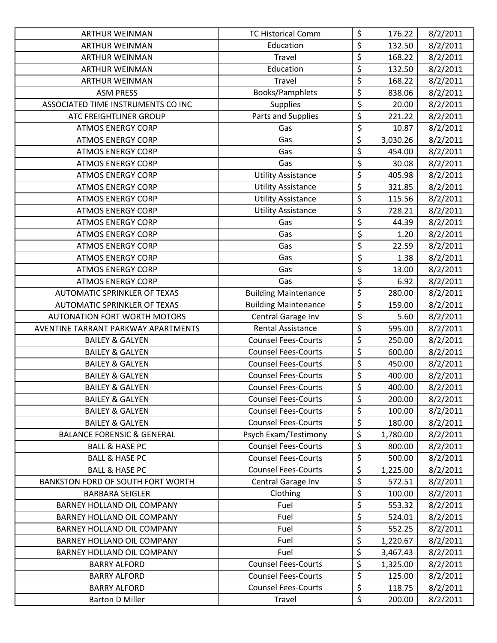| <b>ARTHUR WEINMAN</b>                 | <b>TC Historical Comm</b>   | \$                              | 176.22   | 8/2/2011 |
|---------------------------------------|-----------------------------|---------------------------------|----------|----------|
| <b>ARTHUR WEINMAN</b>                 | Education                   | $\overline{\xi}$                | 132.50   | 8/2/2011 |
| <b>ARTHUR WEINMAN</b>                 | Travel                      | \$                              | 168.22   | 8/2/2011 |
| ARTHUR WEINMAN                        | Education                   | \$                              | 132.50   | 8/2/2011 |
| <b>ARTHUR WEINMAN</b>                 | Travel                      | \$                              | 168.22   | 8/2/2011 |
| <b>ASM PRESS</b>                      | Books/Pamphlets             | \$                              | 838.06   | 8/2/2011 |
| ASSOCIATED TIME INSTRUMENTS CO INC    | <b>Supplies</b>             | \$                              | 20.00    | 8/2/2011 |
| ATC FREIGHTLINER GROUP                | Parts and Supplies          | \$                              | 221.22   | 8/2/2011 |
| <b>ATMOS ENERGY CORP</b>              | Gas                         | \$                              | 10.87    | 8/2/2011 |
| <b>ATMOS ENERGY CORP</b>              | Gas                         | \$                              | 3,030.26 | 8/2/2011 |
| <b>ATMOS ENERGY CORP</b>              | Gas                         | \$                              | 454.00   | 8/2/2011 |
| <b>ATMOS ENERGY CORP</b>              | Gas                         | \$                              | 30.08    | 8/2/2011 |
| <b>ATMOS ENERGY CORP</b>              | <b>Utility Assistance</b>   | \$                              | 405.98   | 8/2/2011 |
| <b>ATMOS ENERGY CORP</b>              | <b>Utility Assistance</b>   | \$                              | 321.85   | 8/2/2011 |
| <b>ATMOS ENERGY CORP</b>              | <b>Utility Assistance</b>   | \$                              | 115.56   | 8/2/2011 |
| <b>ATMOS ENERGY CORP</b>              | <b>Utility Assistance</b>   | \$                              | 728.21   | 8/2/2011 |
| <b>ATMOS ENERGY CORP</b>              | Gas                         | $\overline{\varsigma}$          | 44.39    | 8/2/2011 |
| <b>ATMOS ENERGY CORP</b>              | Gas                         | $\overline{\xi}$                | 1.20     | 8/2/2011 |
| <b>ATMOS ENERGY CORP</b>              | Gas                         | \$                              | 22.59    | 8/2/2011 |
| <b>ATMOS ENERGY CORP</b>              | Gas                         | $\overline{\xi}$                | 1.38     | 8/2/2011 |
| <b>ATMOS ENERGY CORP</b>              | Gas                         | $\overline{\xi}$                | 13.00    | 8/2/2011 |
| <b>ATMOS ENERGY CORP</b>              | Gas                         | \$                              | 6.92     | 8/2/2011 |
| AUTOMATIC SPRINKLER OF TEXAS          | <b>Building Maintenance</b> | \$                              | 280.00   | 8/2/2011 |
| AUTOMATIC SPRINKLER OF TEXAS          | <b>Building Maintenance</b> | $\overline{\boldsymbol{\zeta}}$ | 159.00   | 8/2/2011 |
| <b>AUTONATION FORT WORTH MOTORS</b>   | Central Garage Inv          | \$                              | 5.60     | 8/2/2011 |
| AVENTINE TARRANT PARKWAY APARTMENTS   | <b>Rental Assistance</b>    | $\overline{\boldsymbol{\zeta}}$ | 595.00   | 8/2/2011 |
| <b>BAILEY &amp; GALYEN</b>            | <b>Counsel Fees-Courts</b>  | \$                              | 250.00   | 8/2/2011 |
| <b>BAILEY &amp; GALYEN</b>            | <b>Counsel Fees-Courts</b>  | \$                              | 600.00   | 8/2/2011 |
| <b>BAILEY &amp; GALYEN</b>            | <b>Counsel Fees-Courts</b>  | \$                              | 450.00   | 8/2/2011 |
| <b>BAILEY &amp; GALYEN</b>            | <b>Counsel Fees-Courts</b>  | \$                              | 400.00   | 8/2/2011 |
| <b>BAILEY &amp; GALYEN</b>            | <b>Counsel Fees-Courts</b>  | $\overline{\xi}$                | 400.00   | 8/2/2011 |
| <b>BAILEY &amp; GALYEN</b>            | <b>Counsel Fees-Courts</b>  | \$                              | 200.00   | 8/2/2011 |
| <b>BAILEY &amp; GALYEN</b>            | <b>Counsel Fees-Courts</b>  | \$                              | 100.00   | 8/2/2011 |
| <b>BAILEY &amp; GALYEN</b>            | <b>Counsel Fees-Courts</b>  | $\overline{\varsigma}$          | 180.00   | 8/2/2011 |
| <b>BALANCE FORENSIC &amp; GENERAL</b> | Psych Exam/Testimony        | \$                              | 1,780.00 | 8/2/2011 |
| <b>BALL &amp; HASE PC</b>             | <b>Counsel Fees-Courts</b>  | \$                              | 800.00   | 8/2/2011 |
| <b>BALL &amp; HASE PC</b>             | <b>Counsel Fees-Courts</b>  | \$                              | 500.00   | 8/2/2011 |
| <b>BALL &amp; HASE PC</b>             | <b>Counsel Fees-Courts</b>  | \$                              | 1,225.00 | 8/2/2011 |
| BANKSTON FORD OF SOUTH FORT WORTH     | Central Garage Inv          | \$                              | 572.51   | 8/2/2011 |
| <b>BARBARA SEIGLER</b>                | Clothing                    | $\overline{\xi}$                | 100.00   | 8/2/2011 |
| BARNEY HOLLAND OIL COMPANY            | Fuel                        | \$                              | 553.32   | 8/2/2011 |
| BARNEY HOLLAND OIL COMPANY            | Fuel                        | \$                              | 524.01   | 8/2/2011 |
| BARNEY HOLLAND OIL COMPANY            | Fuel                        | \$                              | 552.25   | 8/2/2011 |
| BARNEY HOLLAND OIL COMPANY            | Fuel                        | \$                              | 1,220.67 | 8/2/2011 |
| BARNEY HOLLAND OIL COMPANY            | Fuel                        | \$                              | 3,467.43 | 8/2/2011 |
| <b>BARRY ALFORD</b>                   | <b>Counsel Fees-Courts</b>  | \$                              | 1,325.00 | 8/2/2011 |
| <b>BARRY ALFORD</b>                   | <b>Counsel Fees-Courts</b>  | \$                              | 125.00   | 8/2/2011 |
| <b>BARRY ALFORD</b>                   | <b>Counsel Fees-Courts</b>  | \$                              | 118.75   | 8/2/2011 |
| <b>Barton D Miller</b>                | Travel                      | $\mathsf S$                     | 200.00   | 8/2/2011 |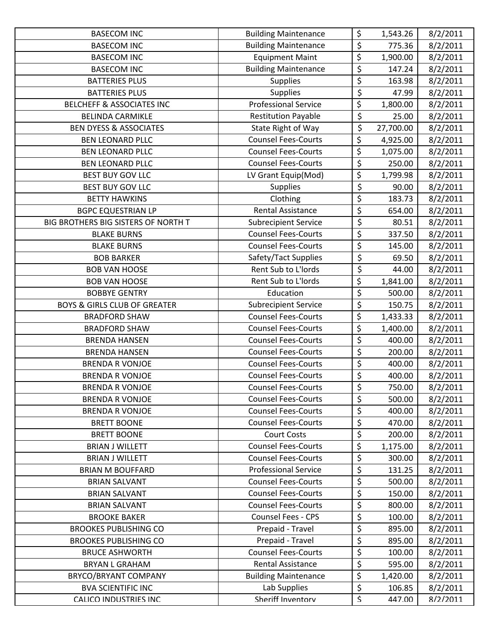| <b>BASECOM INC</b>                      | <b>Building Maintenance</b> | \$                              | 1,543.26  | 8/2/2011 |
|-----------------------------------------|-----------------------------|---------------------------------|-----------|----------|
| <b>BASECOM INC</b>                      | <b>Building Maintenance</b> | \$                              | 775.36    | 8/2/2011 |
| <b>BASECOM INC</b>                      | <b>Equipment Maint</b>      | \$                              | 1,900.00  | 8/2/2011 |
| <b>BASECOM INC</b>                      | <b>Building Maintenance</b> | \$                              | 147.24    | 8/2/2011 |
| <b>BATTERIES PLUS</b>                   | <b>Supplies</b>             | \$                              | 163.98    | 8/2/2011 |
| <b>BATTERIES PLUS</b>                   | <b>Supplies</b>             | \$                              | 47.99     | 8/2/2011 |
| BELCHEFF & ASSOCIATES INC               | <b>Professional Service</b> | $\overline{\xi}$                | 1,800.00  | 8/2/2011 |
| <b>BELINDA CARMIKLE</b>                 | <b>Restitution Payable</b>  | \$                              | 25.00     | 8/2/2011 |
| <b>BEN DYESS &amp; ASSOCIATES</b>       | State Right of Way          | \$                              | 27,700.00 | 8/2/2011 |
| <b>BEN LEONARD PLLC</b>                 | <b>Counsel Fees-Courts</b>  | \$                              | 4,925.00  | 8/2/2011 |
| <b>BEN LEONARD PLLC</b>                 | <b>Counsel Fees-Courts</b>  | \$                              | 1,075.00  | 8/2/2011 |
| <b>BEN LEONARD PLLC</b>                 | <b>Counsel Fees-Courts</b>  | \$                              | 250.00    | 8/2/2011 |
| BEST BUY GOV LLC                        | LV Grant Equip(Mod)         | \$                              | 1,799.98  | 8/2/2011 |
| <b>BEST BUY GOV LLC</b>                 | <b>Supplies</b>             | \$                              | 90.00     | 8/2/2011 |
| <b>BETTY HAWKINS</b>                    | Clothing                    | \$                              | 183.73    | 8/2/2011 |
| <b>BGPC EQUESTRIAN LP</b>               | <b>Rental Assistance</b>    | \$                              | 654.00    | 8/2/2011 |
| BIG BROTHERS BIG SISTERS OF NORTH T     | <b>Subrecipient Service</b> | \$                              | 80.51     | 8/2/2011 |
| <b>BLAKE BURNS</b>                      | <b>Counsel Fees-Courts</b>  | $\overline{\boldsymbol{\zeta}}$ | 337.50    | 8/2/2011 |
| <b>BLAKE BURNS</b>                      | <b>Counsel Fees-Courts</b>  | \$                              | 145.00    | 8/2/2011 |
| <b>BOB BARKER</b>                       | Safety/Tact Supplies        | \$                              | 69.50     | 8/2/2011 |
| <b>BOB VAN HOOSE</b>                    | Rent Sub to L'Iords         | \$                              | 44.00     | 8/2/2011 |
| <b>BOB VAN HOOSE</b>                    | Rent Sub to L'Iords         | \$                              | 1,841.00  | 8/2/2011 |
| <b>BOBBYE GENTRY</b>                    | Education                   | \$                              | 500.00    | 8/2/2011 |
| <b>BOYS &amp; GIRLS CLUB OF GREATER</b> | <b>Subrecipient Service</b> | \$                              | 150.75    | 8/2/2011 |
| <b>BRADFORD SHAW</b>                    | <b>Counsel Fees-Courts</b>  | \$                              | 1,433.33  | 8/2/2011 |
| <b>BRADFORD SHAW</b>                    | <b>Counsel Fees-Courts</b>  | \$                              | 1,400.00  | 8/2/2011 |
| <b>BRENDA HANSEN</b>                    | <b>Counsel Fees-Courts</b>  | \$                              | 400.00    | 8/2/2011 |
| <b>BRENDA HANSEN</b>                    | <b>Counsel Fees-Courts</b>  | \$                              | 200.00    | 8/2/2011 |
| <b>BRENDA R VONJOE</b>                  | <b>Counsel Fees-Courts</b>  | \$                              | 400.00    | 8/2/2011 |
| <b>BRENDA R VONJOE</b>                  | <b>Counsel Fees-Courts</b>  | \$                              | 400.00    | 8/2/2011 |
| <b>BRENDA R VONJOE</b>                  | <b>Counsel Fees-Courts</b>  | \$                              | 750.00    | 8/2/2011 |
| <b>BRENDA R VONJOE</b>                  | <b>Counsel Fees-Courts</b>  | \$                              | 500.00    | 8/2/2011 |
| <b>BRENDA R VONJOE</b>                  | <b>Counsel Fees-Courts</b>  | \$                              | 400.00    | 8/2/2011 |
| <b>BRETT BOONE</b>                      | <b>Counsel Fees-Courts</b>  | \$                              | 470.00    | 8/2/2011 |
| <b>BRETT BOONE</b>                      | <b>Court Costs</b>          | \$                              | 200.00    | 8/2/2011 |
| <b>BRIAN J WILLETT</b>                  | <b>Counsel Fees-Courts</b>  | \$                              | 1,175.00  | 8/2/2011 |
| <b>BRIAN J WILLETT</b>                  | <b>Counsel Fees-Courts</b>  | \$                              | 300.00    | 8/2/2011 |
| <b>BRIAN M BOUFFARD</b>                 | <b>Professional Service</b> | \$                              | 131.25    | 8/2/2011 |
| <b>BRIAN SALVANT</b>                    | <b>Counsel Fees-Courts</b>  | \$                              | 500.00    | 8/2/2011 |
| <b>BRIAN SALVANT</b>                    | <b>Counsel Fees-Courts</b>  | \$                              | 150.00    | 8/2/2011 |
| <b>BRIAN SALVANT</b>                    | <b>Counsel Fees-Courts</b>  | \$                              | 800.00    | 8/2/2011 |
| <b>BROOKE BAKER</b>                     | <b>Counsel Fees - CPS</b>   | \$                              | 100.00    | 8/2/2011 |
| <b>BROOKES PUBLISHING CO</b>            | Prepaid - Travel            | \$                              | 895.00    | 8/2/2011 |
| <b>BROOKES PUBLISHING CO</b>            | Prepaid - Travel            | \$                              | 895.00    | 8/2/2011 |
| <b>BRUCE ASHWORTH</b>                   | <b>Counsel Fees-Courts</b>  | \$                              | 100.00    | 8/2/2011 |
| <b>BRYAN L GRAHAM</b>                   | <b>Rental Assistance</b>    | \$                              | 595.00    | 8/2/2011 |
| BRYCO/BRYANT COMPANY                    | <b>Building Maintenance</b> | \$                              | 1,420.00  | 8/2/2011 |
| <b>BVA SCIENTIFIC INC</b>               | Lab Supplies                | \$                              | 106.85    | 8/2/2011 |
| CALICO INDUSTRIES INC                   | Sheriff Inventorv           | $\overline{\mathsf{S}}$         | 447.00    | 8/2/2011 |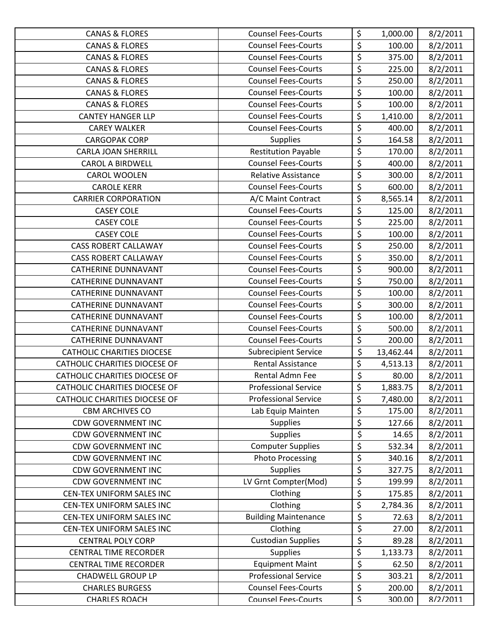| <b>CANAS &amp; FLORES</b>            | <b>Counsel Fees-Courts</b>  | \$                     | 1,000.00  | 8/2/2011 |
|--------------------------------------|-----------------------------|------------------------|-----------|----------|
| <b>CANAS &amp; FLORES</b>            | <b>Counsel Fees-Courts</b>  | \$                     | 100.00    | 8/2/2011 |
| <b>CANAS &amp; FLORES</b>            | <b>Counsel Fees-Courts</b>  | \$                     | 375.00    | 8/2/2011 |
| <b>CANAS &amp; FLORES</b>            | <b>Counsel Fees-Courts</b>  | \$                     | 225.00    | 8/2/2011 |
| <b>CANAS &amp; FLORES</b>            | <b>Counsel Fees-Courts</b>  | \$                     | 250.00    | 8/2/2011 |
| <b>CANAS &amp; FLORES</b>            | <b>Counsel Fees-Courts</b>  | \$                     | 100.00    | 8/2/2011 |
| <b>CANAS &amp; FLORES</b>            | <b>Counsel Fees-Courts</b>  | \$                     | 100.00    | 8/2/2011 |
| <b>CANTEY HANGER LLP</b>             | <b>Counsel Fees-Courts</b>  | $\overline{\xi}$       | 1,410.00  | 8/2/2011 |
| <b>CAREY WALKER</b>                  | <b>Counsel Fees-Courts</b>  | $\overline{\varsigma}$ | 400.00    | 8/2/2011 |
| <b>CARGOPAK CORP</b>                 | <b>Supplies</b>             | \$                     | 164.58    | 8/2/2011 |
| <b>CARLA JOAN SHERRILL</b>           | <b>Restitution Payable</b>  | \$                     | 170.00    | 8/2/2011 |
| <b>CAROL A BIRDWELL</b>              | <b>Counsel Fees-Courts</b>  | \$                     | 400.00    | 8/2/2011 |
| CAROL WOOLEN                         | Relative Assistance         | \$                     | 300.00    | 8/2/2011 |
| <b>CAROLE KERR</b>                   | <b>Counsel Fees-Courts</b>  | \$                     | 600.00    | 8/2/2011 |
| <b>CARRIER CORPORATION</b>           | A/C Maint Contract          | $\overline{\varsigma}$ | 8,565.14  | 8/2/2011 |
| <b>CASEY COLE</b>                    | <b>Counsel Fees-Courts</b>  | \$                     | 125.00    | 8/2/2011 |
| <b>CASEY COLE</b>                    | <b>Counsel Fees-Courts</b>  | \$                     | 225.00    | 8/2/2011 |
| <b>CASEY COLE</b>                    | <b>Counsel Fees-Courts</b>  | \$                     | 100.00    | 8/2/2011 |
| <b>CASS ROBERT CALLAWAY</b>          | <b>Counsel Fees-Courts</b>  | \$                     | 250.00    | 8/2/2011 |
| <b>CASS ROBERT CALLAWAY</b>          | <b>Counsel Fees-Courts</b>  | $\overline{\varsigma}$ | 350.00    | 8/2/2011 |
| <b>CATHERINE DUNNAVANT</b>           | <b>Counsel Fees-Courts</b>  | \$                     | 900.00    | 8/2/2011 |
| <b>CATHERINE DUNNAVANT</b>           | <b>Counsel Fees-Courts</b>  | \$                     | 750.00    | 8/2/2011 |
| CATHERINE DUNNAVANT                  | <b>Counsel Fees-Courts</b>  | \$                     | 100.00    | 8/2/2011 |
| <b>CATHERINE DUNNAVANT</b>           | <b>Counsel Fees-Courts</b>  | \$                     | 300.00    | 8/2/2011 |
| <b>CATHERINE DUNNAVANT</b>           | <b>Counsel Fees-Courts</b>  | \$                     | 100.00    | 8/2/2011 |
| <b>CATHERINE DUNNAVANT</b>           | <b>Counsel Fees-Courts</b>  | \$                     | 500.00    | 8/2/2011 |
| <b>CATHERINE DUNNAVANT</b>           | <b>Counsel Fees-Courts</b>  | $\overline{\varsigma}$ | 200.00    | 8/2/2011 |
| <b>CATHOLIC CHARITIES DIOCESE</b>    | <b>Subrecipient Service</b> | \$                     | 13,462.44 | 8/2/2011 |
| <b>CATHOLIC CHARITIES DIOCESE OF</b> | Rental Assistance           | \$                     | 4,513.13  | 8/2/2011 |
| <b>CATHOLIC CHARITIES DIOCESE OF</b> | Rental Admn Fee             | \$                     | 80.00     | 8/2/2011 |
| <b>CATHOLIC CHARITIES DIOCESE OF</b> | <b>Professional Service</b> | $\overline{\xi}$       | 1,883.75  | 8/2/2011 |
| CATHOLIC CHARITIES DIOCESE OF        | <b>Professional Service</b> | \$                     | 7,480.00  | 8/2/2011 |
| <b>CBM ARCHIVES CO</b>               | Lab Equip Mainten           | \$                     | 175.00    | 8/2/2011 |
| <b>CDW GOVERNMENT INC</b>            | <b>Supplies</b>             | \$                     | 127.66    | 8/2/2011 |
| <b>CDW GOVERNMENT INC</b>            | <b>Supplies</b>             | \$                     | 14.65     | 8/2/2011 |
| <b>CDW GOVERNMENT INC</b>            | <b>Computer Supplies</b>    | \$                     | 532.34    | 8/2/2011 |
| <b>CDW GOVERNMENT INC</b>            | <b>Photo Processing</b>     | \$                     | 340.16    | 8/2/2011 |
| <b>CDW GOVERNMENT INC</b>            | Supplies                    | \$                     | 327.75    | 8/2/2011 |
| <b>CDW GOVERNMENT INC</b>            | LV Grnt Compter(Mod)        | \$                     | 199.99    | 8/2/2011 |
| <b>CEN-TEX UNIFORM SALES INC</b>     | Clothing                    | \$                     | 175.85    | 8/2/2011 |
| CEN-TEX UNIFORM SALES INC            | Clothing                    | \$                     | 2,784.36  | 8/2/2011 |
| CEN-TEX UNIFORM SALES INC            | <b>Building Maintenance</b> | \$                     | 72.63     | 8/2/2011 |
| CEN-TEX UNIFORM SALES INC            | Clothing                    | \$                     | 27.00     | 8/2/2011 |
| <b>CENTRAL POLY CORP</b>             | <b>Custodian Supplies</b>   | \$                     | 89.28     | 8/2/2011 |
| <b>CENTRAL TIME RECORDER</b>         | <b>Supplies</b>             | \$                     | 1,133.73  | 8/2/2011 |
| <b>CENTRAL TIME RECORDER</b>         | <b>Equipment Maint</b>      | \$                     | 62.50     | 8/2/2011 |
| <b>CHADWELL GROUP LP</b>             | <b>Professional Service</b> | \$                     | 303.21    | 8/2/2011 |
| <b>CHARLES BURGESS</b>               | <b>Counsel Fees-Courts</b>  | \$                     | 200.00    | 8/2/2011 |
| CHARLES ROACH                        | <b>Counsel Fees-Courts</b>  | $\mathsf{S}$           | 300.00    | 8/2/2011 |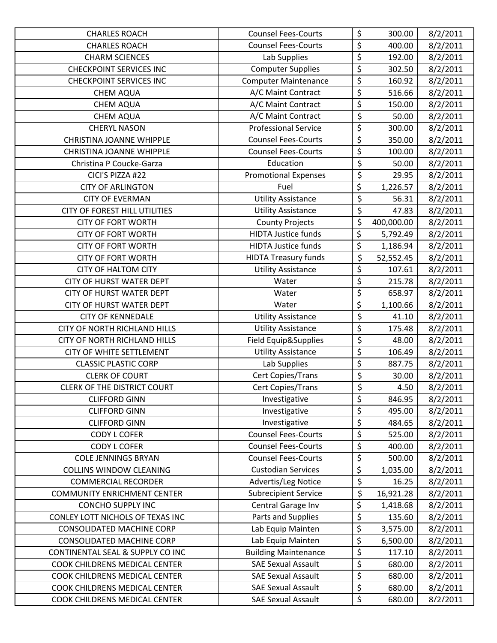| <b>CHARLES ROACH</b>                | <b>Counsel Fees-Courts</b>  | \$                      | 300.00     | 8/2/2011 |
|-------------------------------------|-----------------------------|-------------------------|------------|----------|
| <b>CHARLES ROACH</b>                | <b>Counsel Fees-Courts</b>  | $\overline{\varsigma}$  | 400.00     | 8/2/2011 |
| <b>CHARM SCIENCES</b>               | Lab Supplies                | \$                      | 192.00     | 8/2/2011 |
| <b>CHECKPOINT SERVICES INC</b>      | <b>Computer Supplies</b>    | \$                      | 302.50     | 8/2/2011 |
| <b>CHECKPOINT SERVICES INC</b>      | <b>Computer Maintenance</b> | $\overline{\xi}$        | 160.92     | 8/2/2011 |
| <b>CHEM AQUA</b>                    | A/C Maint Contract          | $\overline{\xi}$        | 516.66     | 8/2/2011 |
| <b>CHEM AQUA</b>                    | A/C Maint Contract          | \$                      | 150.00     | 8/2/2011 |
| <b>CHEM AQUA</b>                    | A/C Maint Contract          | $\overline{\xi}$        | 50.00      | 8/2/2011 |
| <b>CHERYL NASON</b>                 | <b>Professional Service</b> | \$                      | 300.00     | 8/2/2011 |
| <b>CHRISTINA JOANNE WHIPPLE</b>     | <b>Counsel Fees-Courts</b>  | \$                      | 350.00     | 8/2/2011 |
| <b>CHRISTINA JOANNE WHIPPLE</b>     | <b>Counsel Fees-Courts</b>  | \$                      | 100.00     | 8/2/2011 |
| Christina P Coucke-Garza            | Education                   | \$                      | 50.00      | 8/2/2011 |
| CICI'S PIZZA #22                    | <b>Promotional Expenses</b> | $\overline{\varsigma}$  | 29.95      | 8/2/2011 |
| <b>CITY OF ARLINGTON</b>            | Fuel                        | \$                      | 1,226.57   | 8/2/2011 |
| <b>CITY OF EVERMAN</b>              | <b>Utility Assistance</b>   | $\overline{\xi}$        | 56.31      | 8/2/2011 |
| CITY OF FOREST HILL UTILITIES       | <b>Utility Assistance</b>   | $\overline{\xi}$        | 47.83      | 8/2/2011 |
| <b>CITY OF FORT WORTH</b>           | <b>County Projects</b>      | \$                      | 400,000.00 | 8/2/2011 |
| <b>CITY OF FORT WORTH</b>           | <b>HIDTA Justice funds</b>  | \$                      | 5,792.49   | 8/2/2011 |
| <b>CITY OF FORT WORTH</b>           | <b>HIDTA Justice funds</b>  | \$                      | 1,186.94   | 8/2/2011 |
| <b>CITY OF FORT WORTH</b>           | <b>HIDTA Treasury funds</b> | \$                      | 52,552.45  | 8/2/2011 |
| <b>CITY OF HALTOM CITY</b>          | <b>Utility Assistance</b>   | \$                      | 107.61     | 8/2/2011 |
| <b>CITY OF HURST WATER DEPT</b>     | Water                       | \$                      | 215.78     | 8/2/2011 |
| <b>CITY OF HURST WATER DEPT</b>     | Water                       | \$                      | 658.97     | 8/2/2011 |
| <b>CITY OF HURST WATER DEPT</b>     | Water                       | \$                      | 1,100.66   | 8/2/2011 |
| <b>CITY OF KENNEDALE</b>            | <b>Utility Assistance</b>   | \$                      | 41.10      | 8/2/2011 |
| <b>CITY OF NORTH RICHLAND HILLS</b> | <b>Utility Assistance</b>   | \$                      | 175.48     | 8/2/2011 |
| <b>CITY OF NORTH RICHLAND HILLS</b> | Field Equip&Supplies        | \$                      | 48.00      | 8/2/2011 |
| CITY OF WHITE SETTLEMENT            | <b>Utility Assistance</b>   | \$                      | 106.49     | 8/2/2011 |
| <b>CLASSIC PLASTIC CORP</b>         | Lab Supplies                | \$                      | 887.75     | 8/2/2011 |
| <b>CLERK OF COURT</b>               | Cert Copies/Trans           | $\overline{\xi}$        | 30.00      | 8/2/2011 |
| <b>CLERK OF THE DISTRICT COURT</b>  | Cert Copies/Trans           | \$                      | 4.50       | 8/2/2011 |
| <b>CLIFFORD GINN</b>                | Investigative               | \$                      | 846.95     | 8/2/2011 |
| <b>CLIFFORD GINN</b>                | Investigative               | \$                      | 495.00     | 8/2/2011 |
| <b>CLIFFORD GINN</b>                | Investigative               | \$                      | 484.65     | 8/2/2011 |
| <b>CODY L COFER</b>                 | <b>Counsel Fees-Courts</b>  | \$                      | 525.00     | 8/2/2011 |
| <b>CODY L COFER</b>                 | <b>Counsel Fees-Courts</b>  | \$                      | 400.00     | 8/2/2011 |
| <b>COLE JENNINGS BRYAN</b>          | <b>Counsel Fees-Courts</b>  | \$                      | 500.00     | 8/2/2011 |
| <b>COLLINS WINDOW CLEANING</b>      | <b>Custodian Services</b>   | \$                      | 1,035.00   | 8/2/2011 |
| <b>COMMERCIAL RECORDER</b>          | Advertis/Leg Notice         | $\overline{\xi}$        | 16.25      | 8/2/2011 |
| <b>COMMUNITY ENRICHMENT CENTER</b>  | <b>Subrecipient Service</b> | \$                      | 16,921.28  | 8/2/2011 |
| <b>CONCHO SUPPLY INC</b>            | Central Garage Inv          | \$                      | 1,418.68   | 8/2/2011 |
| CONLEY LOTT NICHOLS OF TEXAS INC    | Parts and Supplies          | \$                      | 135.60     | 8/2/2011 |
| <b>CONSOLIDATED MACHINE CORP</b>    | Lab Equip Mainten           | \$                      | 3,575.00   | 8/2/2011 |
| <b>CONSOLIDATED MACHINE CORP</b>    | Lab Equip Mainten           | \$                      | 6,500.00   | 8/2/2011 |
| CONTINENTAL SEAL & SUPPLY CO INC    | <b>Building Maintenance</b> | $\overline{\varsigma}$  | 117.10     | 8/2/2011 |
| COOK CHILDRENS MEDICAL CENTER       | <b>SAE Sexual Assault</b>   | \$                      | 680.00     | 8/2/2011 |
| COOK CHILDRENS MEDICAL CENTER       | <b>SAE Sexual Assault</b>   | \$                      | 680.00     | 8/2/2011 |
| COOK CHILDRENS MEDICAL CENTER       | <b>SAE Sexual Assault</b>   | \$                      | 680.00     | 8/2/2011 |
| COOK CHILDRENS MEDICAL CENTER       | <b>SAF Sexual Assault</b>   | $\overline{\mathsf{S}}$ | 680.00     | 8/2/2011 |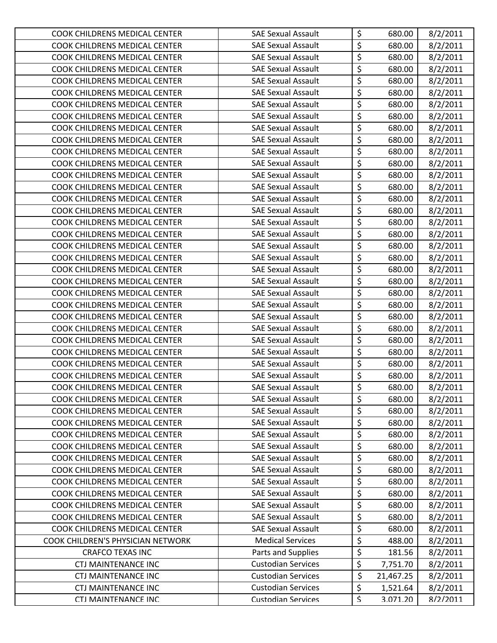| COOK CHILDRENS MEDICAL CENTER        | <b>SAE Sexual Assault</b> | \$                              | 680.00    | 8/2/2011 |
|--------------------------------------|---------------------------|---------------------------------|-----------|----------|
| COOK CHILDRENS MEDICAL CENTER        | <b>SAE Sexual Assault</b> | $\overline{\xi}$                | 680.00    | 8/2/2011 |
| COOK CHILDRENS MEDICAL CENTER        | <b>SAE Sexual Assault</b> | \$                              | 680.00    | 8/2/2011 |
| COOK CHILDRENS MEDICAL CENTER        | <b>SAE Sexual Assault</b> | \$                              | 680.00    | 8/2/2011 |
| COOK CHILDRENS MEDICAL CENTER        | <b>SAE Sexual Assault</b> | \$                              | 680.00    | 8/2/2011 |
| COOK CHILDRENS MEDICAL CENTER        | <b>SAE Sexual Assault</b> | $\overline{\xi}$                | 680.00    | 8/2/2011 |
| COOK CHILDRENS MEDICAL CENTER        | <b>SAE Sexual Assault</b> | \$                              | 680.00    | 8/2/2011 |
| COOK CHILDRENS MEDICAL CENTER        | <b>SAE Sexual Assault</b> | \$                              | 680.00    | 8/2/2011 |
| COOK CHILDRENS MEDICAL CENTER        | <b>SAE Sexual Assault</b> | $\overline{\varsigma}$          | 680.00    | 8/2/2011 |
| COOK CHILDRENS MEDICAL CENTER        | <b>SAE Sexual Assault</b> | \$                              | 680.00    | 8/2/2011 |
| COOK CHILDRENS MEDICAL CENTER        | <b>SAE Sexual Assault</b> | \$                              | 680.00    | 8/2/2011 |
| COOK CHILDRENS MEDICAL CENTER        | <b>SAE Sexual Assault</b> | \$                              | 680.00    | 8/2/2011 |
| COOK CHILDRENS MEDICAL CENTER        | <b>SAE Sexual Assault</b> | \$                              | 680.00    | 8/2/2011 |
| COOK CHILDRENS MEDICAL CENTER        | <b>SAE Sexual Assault</b> | \$                              | 680.00    | 8/2/2011 |
| COOK CHILDRENS MEDICAL CENTER        | <b>SAE Sexual Assault</b> | $\overline{\boldsymbol{\zeta}}$ | 680.00    | 8/2/2011 |
| COOK CHILDRENS MEDICAL CENTER        | <b>SAE Sexual Assault</b> | $\overline{\mathcal{L}}$        | 680.00    | 8/2/2011 |
| COOK CHILDRENS MEDICAL CENTER        | <b>SAE Sexual Assault</b> | \$                              | 680.00    | 8/2/2011 |
| COOK CHILDRENS MEDICAL CENTER        | <b>SAE Sexual Assault</b> | \$                              | 680.00    | 8/2/2011 |
| COOK CHILDRENS MEDICAL CENTER        | <b>SAE Sexual Assault</b> | \$                              | 680.00    | 8/2/2011 |
| COOK CHILDRENS MEDICAL CENTER        | <b>SAE Sexual Assault</b> | \$                              | 680.00    | 8/2/2011 |
| COOK CHILDRENS MEDICAL CENTER        | <b>SAE Sexual Assault</b> | \$                              | 680.00    | 8/2/2011 |
| COOK CHILDRENS MEDICAL CENTER        | <b>SAE Sexual Assault</b> | \$                              | 680.00    | 8/2/2011 |
| COOK CHILDRENS MEDICAL CENTER        | <b>SAE Sexual Assault</b> | \$                              | 680.00    | 8/2/2011 |
| COOK CHILDRENS MEDICAL CENTER        | <b>SAE Sexual Assault</b> | \$                              | 680.00    | 8/2/2011 |
| COOK CHILDRENS MEDICAL CENTER        | <b>SAE Sexual Assault</b> | \$                              | 680.00    | 8/2/2011 |
| COOK CHILDRENS MEDICAL CENTER        | <b>SAE Sexual Assault</b> | \$                              | 680.00    | 8/2/2011 |
| COOK CHILDRENS MEDICAL CENTER        | <b>SAE Sexual Assault</b> | \$                              | 680.00    | 8/2/2011 |
| COOK CHILDRENS MEDICAL CENTER        | <b>SAE Sexual Assault</b> | \$                              | 680.00    | 8/2/2011 |
| COOK CHILDRENS MEDICAL CENTER        | <b>SAE Sexual Assault</b> | \$                              | 680.00    | 8/2/2011 |
| <b>COOK CHILDRENS MEDICAL CENTER</b> | <b>SAE Sexual Assault</b> | \$                              | 680.00    | 8/2/2011 |
| COOK CHILDRENS MEDICAL CENTER        | <b>SAE Sexual Assault</b> | $\overline{\xi}$                | 680.00    | 8/2/2011 |
| COOK CHILDRENS MEDICAL CENTER        | <b>SAE Sexual Assault</b> | \$                              | 680.00    | 8/2/2011 |
| COOK CHILDRENS MEDICAL CENTER        | <b>SAE Sexual Assault</b> | \$                              | 680.00    | 8/2/2011 |
| COOK CHILDRENS MEDICAL CENTER        | <b>SAE Sexual Assault</b> | \$                              | 680.00    | 8/2/2011 |
| COOK CHILDRENS MEDICAL CENTER        | <b>SAE Sexual Assault</b> | \$                              | 680.00    | 8/2/2011 |
| COOK CHILDRENS MEDICAL CENTER        | <b>SAE Sexual Assault</b> | \$                              | 680.00    | 8/2/2011 |
| COOK CHILDRENS MEDICAL CENTER        | <b>SAE Sexual Assault</b> | \$                              | 680.00    | 8/2/2011 |
| COOK CHILDRENS MEDICAL CENTER        | <b>SAE Sexual Assault</b> | \$                              | 680.00    | 8/2/2011 |
| COOK CHILDRENS MEDICAL CENTER        | <b>SAE Sexual Assault</b> | \$                              | 680.00    | 8/2/2011 |
| COOK CHILDRENS MEDICAL CENTER        | <b>SAE Sexual Assault</b> | \$                              | 680.00    | 8/2/2011 |
| COOK CHILDRENS MEDICAL CENTER        | <b>SAE Sexual Assault</b> | \$                              | 680.00    | 8/2/2011 |
| COOK CHILDRENS MEDICAL CENTER        | <b>SAE Sexual Assault</b> | \$                              | 680.00    | 8/2/2011 |
| COOK CHILDRENS MEDICAL CENTER        | <b>SAE Sexual Assault</b> | \$                              | 680.00    | 8/2/2011 |
| COOK CHILDREN'S PHYSICIAN NETWORK    | <b>Medical Services</b>   | \$                              | 488.00    | 8/2/2011 |
| <b>CRAFCO TEXAS INC</b>              | Parts and Supplies        | \$                              | 181.56    | 8/2/2011 |
| <b>CTJ MAINTENANCE INC</b>           | <b>Custodian Services</b> | \$                              | 7,751.70  | 8/2/2011 |
| <b>CTJ MAINTENANCE INC</b>           | <b>Custodian Services</b> | \$                              | 21,467.25 | 8/2/2011 |
| <b>CTJ MAINTENANCE INC</b>           | <b>Custodian Services</b> | \$                              | 1,521.64  | 8/2/2011 |
| CTI MAINTFNANCF INC                  | <b>Custodian Services</b> | \$                              | 3.071.20  | 8/2/2011 |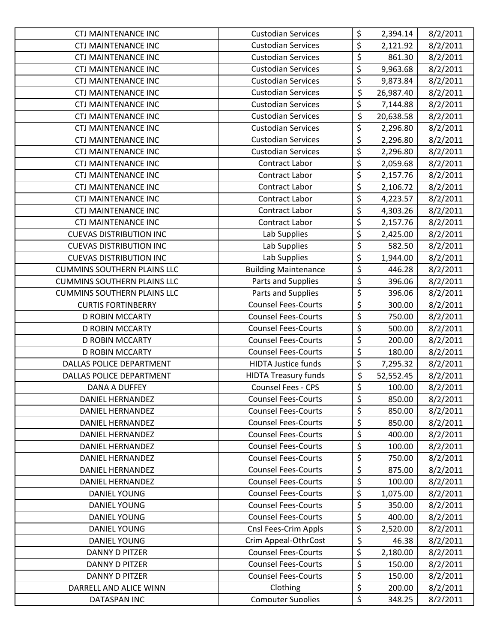| <b>CTJ MAINTENANCE INC</b>         | <b>Custodian Services</b>   | \$                              | 2,394.14  | 8/2/2011 |
|------------------------------------|-----------------------------|---------------------------------|-----------|----------|
| <b>CTJ MAINTENANCE INC</b>         | <b>Custodian Services</b>   | \$                              | 2,121.92  | 8/2/2011 |
| <b>CTJ MAINTENANCE INC</b>         | <b>Custodian Services</b>   | $\overline{\boldsymbol{\zeta}}$ | 861.30    | 8/2/2011 |
| <b>CTJ MAINTENANCE INC</b>         | <b>Custodian Services</b>   | \$                              | 9,963.68  | 8/2/2011 |
| <b>CTJ MAINTENANCE INC</b>         | <b>Custodian Services</b>   | \$                              | 9,873.84  | 8/2/2011 |
| <b>CTJ MAINTENANCE INC</b>         | <b>Custodian Services</b>   | \$                              | 26,987.40 | 8/2/2011 |
| <b>CTJ MAINTENANCE INC</b>         | <b>Custodian Services</b>   | \$                              | 7,144.88  | 8/2/2011 |
| <b>CTJ MAINTENANCE INC</b>         | <b>Custodian Services</b>   | \$                              | 20,638.58 | 8/2/2011 |
| <b>CTJ MAINTENANCE INC</b>         | <b>Custodian Services</b>   | \$                              | 2,296.80  | 8/2/2011 |
| <b>CTJ MAINTENANCE INC</b>         | <b>Custodian Services</b>   | \$                              | 2,296.80  | 8/2/2011 |
| <b>CTJ MAINTENANCE INC</b>         | <b>Custodian Services</b>   | \$                              | 2,296.80  | 8/2/2011 |
| <b>CTJ MAINTENANCE INC</b>         | Contract Labor              | \$                              | 2,059.68  | 8/2/2011 |
| <b>CTJ MAINTENANCE INC</b>         | Contract Labor              | \$                              | 2,157.76  | 8/2/2011 |
| <b>CTJ MAINTENANCE INC</b>         | Contract Labor              | \$                              | 2,106.72  | 8/2/2011 |
| <b>CTJ MAINTENANCE INC</b>         | <b>Contract Labor</b>       | $\overline{\boldsymbol{\zeta}}$ | 4,223.57  | 8/2/2011 |
| <b>CTJ MAINTENANCE INC</b>         | Contract Labor              | $\overline{\xi}$                | 4,303.26  | 8/2/2011 |
| <b>CTJ MAINTENANCE INC</b>         | Contract Labor              | $\overline{\varsigma}$          | 2,157.76  | 8/2/2011 |
| <b>CUEVAS DISTRIBUTION INC</b>     | Lab Supplies                | \$                              | 2,425.00  | 8/2/2011 |
| <b>CUEVAS DISTRIBUTION INC</b>     | Lab Supplies                | $\overline{\xi}$                | 582.50    | 8/2/2011 |
| <b>CUEVAS DISTRIBUTION INC</b>     | Lab Supplies                | \$                              | 1,944.00  | 8/2/2011 |
| <b>CUMMINS SOUTHERN PLAINS LLC</b> | <b>Building Maintenance</b> | \$                              | 446.28    | 8/2/2011 |
| <b>CUMMINS SOUTHERN PLAINS LLC</b> | Parts and Supplies          | $\overline{\xi}$                | 396.06    | 8/2/2011 |
| <b>CUMMINS SOUTHERN PLAINS LLC</b> | Parts and Supplies          | $\overline{\xi}$                | 396.06    | 8/2/2011 |
| <b>CURTIS FORTINBERRY</b>          | <b>Counsel Fees-Courts</b>  | \$                              | 300.00    | 8/2/2011 |
| <b>D ROBIN MCCARTY</b>             | <b>Counsel Fees-Courts</b>  | $\overline{\boldsymbol{\zeta}}$ | 750.00    | 8/2/2011 |
| <b>D ROBIN MCCARTY</b>             | <b>Counsel Fees-Courts</b>  | \$                              | 500.00    | 8/2/2011 |
| <b>D ROBIN MCCARTY</b>             | <b>Counsel Fees-Courts</b>  | $\overline{\xi}$                | 200.00    | 8/2/2011 |
| <b>D ROBIN MCCARTY</b>             | <b>Counsel Fees-Courts</b>  | \$                              | 180.00    | 8/2/2011 |
| DALLAS POLICE DEPARTMENT           | <b>HIDTA Justice funds</b>  | \$                              | 7,295.32  | 8/2/2011 |
| DALLAS POLICE DEPARTMENT           | <b>HIDTA Treasury funds</b> | \$                              | 52,552.45 | 8/2/2011 |
| DANA A DUFFEY                      | Counsel Fees - CPS          | \$                              | 100.00    | 8/2/2011 |
| <b>DANIEL HERNANDEZ</b>            | <b>Counsel Fees-Courts</b>  | \$                              | 850.00    | 8/2/2011 |
| <b>DANIEL HERNANDEZ</b>            | <b>Counsel Fees-Courts</b>  | \$                              | 850.00    | 8/2/2011 |
| DANIEL HERNANDEZ                   | <b>Counsel Fees-Courts</b>  | $\overline{\varsigma}$          | 850.00    | 8/2/2011 |
| <b>DANIEL HERNANDEZ</b>            | <b>Counsel Fees-Courts</b>  | \$                              | 400.00    | 8/2/2011 |
| DANIEL HERNANDEZ                   | <b>Counsel Fees-Courts</b>  | \$                              | 100.00    | 8/2/2011 |
| <b>DANIEL HERNANDEZ</b>            | <b>Counsel Fees-Courts</b>  | \$                              | 750.00    | 8/2/2011 |
| DANIEL HERNANDEZ                   | <b>Counsel Fees-Courts</b>  | \$                              | 875.00    | 8/2/2011 |
| DANIEL HERNANDEZ                   | <b>Counsel Fees-Courts</b>  | \$                              | 100.00    | 8/2/2011 |
| <b>DANIEL YOUNG</b>                | <b>Counsel Fees-Courts</b>  | \$                              | 1,075.00  | 8/2/2011 |
| <b>DANIEL YOUNG</b>                | <b>Counsel Fees-Courts</b>  | \$                              | 350.00    | 8/2/2011 |
| <b>DANIEL YOUNG</b>                | <b>Counsel Fees-Courts</b>  | \$                              | 400.00    | 8/2/2011 |
| <b>DANIEL YOUNG</b>                | Cnsl Fees-Crim Appls        | \$                              | 2,520.00  | 8/2/2011 |
| <b>DANIEL YOUNG</b>                | Crim Appeal-OthrCost        | \$                              | 46.38     | 8/2/2011 |
| <b>DANNY D PITZER</b>              | <b>Counsel Fees-Courts</b>  | \$                              | 2,180.00  | 8/2/2011 |
| <b>DANNY D PITZER</b>              | <b>Counsel Fees-Courts</b>  | \$                              | 150.00    | 8/2/2011 |
| <b>DANNY D PITZER</b>              | <b>Counsel Fees-Courts</b>  | \$                              | 150.00    | 8/2/2011 |
| DARRELL AND ALICE WINN             | Clothing                    | \$                              | 200.00    | 8/2/2011 |
| DATASPAN INC                       | <b>Computer Supplies</b>    | $\overline{\mathcal{S}}$        | 348.25    | 8/2/2011 |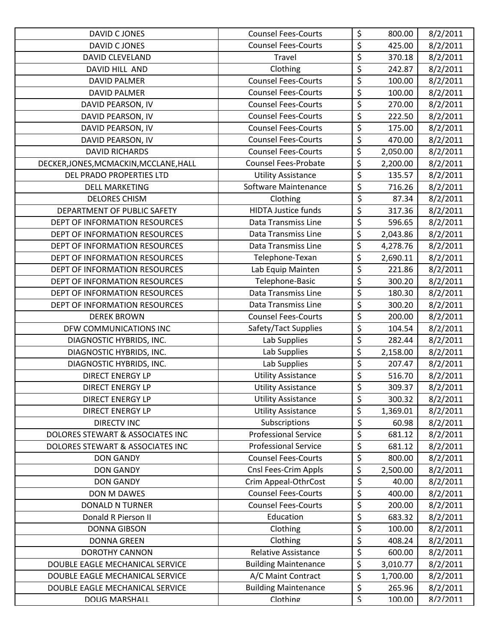| DAVID C JONES                          | <b>Counsel Fees-Courts</b>  | \$                              | 800.00   | 8/2/2011 |
|----------------------------------------|-----------------------------|---------------------------------|----------|----------|
| DAVID C JONES                          | <b>Counsel Fees-Courts</b>  | $\overline{\xi}$                | 425.00   | 8/2/2011 |
| <b>DAVID CLEVELAND</b>                 | Travel                      | \$                              | 370.18   | 8/2/2011 |
| DAVID HILL AND                         | Clothing                    | \$                              | 242.87   | 8/2/2011 |
| <b>DAVID PALMER</b>                    | <b>Counsel Fees-Courts</b>  | \$                              | 100.00   | 8/2/2011 |
| <b>DAVID PALMER</b>                    | <b>Counsel Fees-Courts</b>  | $\overline{\xi}$                | 100.00   | 8/2/2011 |
| DAVID PEARSON, IV                      | <b>Counsel Fees-Courts</b>  | \$                              | 270.00   | 8/2/2011 |
| DAVID PEARSON, IV                      | <b>Counsel Fees-Courts</b>  | $\overline{\xi}$                | 222.50   | 8/2/2011 |
| DAVID PEARSON, IV                      | <b>Counsel Fees-Courts</b>  | \$                              | 175.00   | 8/2/2011 |
| DAVID PEARSON, IV                      | <b>Counsel Fees-Courts</b>  | \$                              | 470.00   | 8/2/2011 |
| <b>DAVID RICHARDS</b>                  | <b>Counsel Fees-Courts</b>  | \$                              | 2,050.00 | 8/2/2011 |
| DECKER, JONES, MCMACKIN, MCCLANE, HALL | <b>Counsel Fees-Probate</b> | \$                              | 2,200.00 | 8/2/2011 |
| DEL PRADO PROPERTIES LTD               | <b>Utility Assistance</b>   | \$                              | 135.57   | 8/2/2011 |
| <b>DELL MARKETING</b>                  | Software Maintenance        | \$                              | 716.26   | 8/2/2011 |
| <b>DELORES CHISM</b>                   | Clothing                    | \$                              | 87.34    | 8/2/2011 |
| DEPARTMENT OF PUBLIC SAFETY            | <b>HIDTA Justice funds</b>  | $\overline{\xi}$                | 317.36   | 8/2/2011 |
| DEPT OF INFORMATION RESOURCES          | Data Transmiss Line         | \$                              | 596.65   | 8/2/2011 |
| DEPT OF INFORMATION RESOURCES          | Data Transmiss Line         | \$                              | 2,043.86 | 8/2/2011 |
| DEPT OF INFORMATION RESOURCES          | Data Transmiss Line         | \$                              | 4,278.76 | 8/2/2011 |
| DEPT OF INFORMATION RESOURCES          | Telephone-Texan             | $\overline{\varsigma}$          | 2,690.11 | 8/2/2011 |
| DEPT OF INFORMATION RESOURCES          | Lab Equip Mainten           | \$                              | 221.86   | 8/2/2011 |
| DEPT OF INFORMATION RESOURCES          | Telephone-Basic             | \$                              | 300.20   | 8/2/2011 |
| DEPT OF INFORMATION RESOURCES          | Data Transmiss Line         | \$                              | 180.30   | 8/2/2011 |
| DEPT OF INFORMATION RESOURCES          | Data Transmiss Line         | $\overline{\xi}$                | 300.20   | 8/2/2011 |
| <b>DEREK BROWN</b>                     | <b>Counsel Fees-Courts</b>  | $\overline{\xi}$                | 200.00   | 8/2/2011 |
| DFW COMMUNICATIONS INC                 | Safety/Tact Supplies        | \$                              | 104.54   | 8/2/2011 |
| DIAGNOSTIC HYBRIDS, INC.               | Lab Supplies                | \$                              | 282.44   | 8/2/2011 |
| DIAGNOSTIC HYBRIDS, INC.               | Lab Supplies                | \$                              | 2,158.00 | 8/2/2011 |
| DIAGNOSTIC HYBRIDS, INC.               | Lab Supplies                | \$                              | 207.47   | 8/2/2011 |
| <b>DIRECT ENERGY LP</b>                | <b>Utility Assistance</b>   | \$                              | 516.70   | 8/2/2011 |
| <b>DIRECT ENERGY LP</b>                | <b>Utility Assistance</b>   | \$                              | 309.37   | 8/2/2011 |
| <b>DIRECT ENERGY LP</b>                | <b>Utility Assistance</b>   | \$                              | 300.32   | 8/2/2011 |
| <b>DIRECT ENERGY LP</b>                | <b>Utility Assistance</b>   | \$                              | 1,369.01 | 8/2/2011 |
| <b>DIRECTV INC</b>                     | Subscriptions               | \$                              | 60.98    | 8/2/2011 |
| DOLORES STEWART & ASSOCIATES INC       | <b>Professional Service</b> | \$                              | 681.12   | 8/2/2011 |
| DOLORES STEWART & ASSOCIATES INC       | <b>Professional Service</b> | \$                              | 681.12   | 8/2/2011 |
| <b>DON GANDY</b>                       | <b>Counsel Fees-Courts</b>  | \$                              | 800.00   | 8/2/2011 |
| <b>DON GANDY</b>                       | Cnsl Fees-Crim Appls        | \$                              | 2,500.00 | 8/2/2011 |
| <b>DON GANDY</b>                       | Crim Appeal-OthrCost        | $\overline{\boldsymbol{\zeta}}$ | 40.00    | 8/2/2011 |
| DON M DAWES                            | <b>Counsel Fees-Courts</b>  | \$                              | 400.00   | 8/2/2011 |
| <b>DONALD N TURNER</b>                 | <b>Counsel Fees-Courts</b>  | \$                              | 200.00   | 8/2/2011 |
| Donald R Pierson II                    | Education                   | \$                              | 683.32   | 8/2/2011 |
| <b>DONNA GIBSON</b>                    | Clothing                    | \$                              | 100.00   | 8/2/2011 |
| <b>DONNA GREEN</b>                     | Clothing                    | \$                              | 408.24   | 8/2/2011 |
| DOROTHY CANNON                         | Relative Assistance         | \$                              | 600.00   | 8/2/2011 |
| DOUBLE EAGLE MECHANICAL SERVICE        | <b>Building Maintenance</b> | \$                              | 3,010.77 | 8/2/2011 |
| DOUBLE EAGLE MECHANICAL SERVICE        | A/C Maint Contract          | \$                              | 1,700.00 | 8/2/2011 |
| DOUBLE EAGLE MECHANICAL SERVICE        | <b>Building Maintenance</b> | \$                              | 265.96   | 8/2/2011 |
| <b>DOUG MARSHALL</b>                   | Clothing                    | $\overline{\mathsf{S}}$         | 100.00   | 8/2/2011 |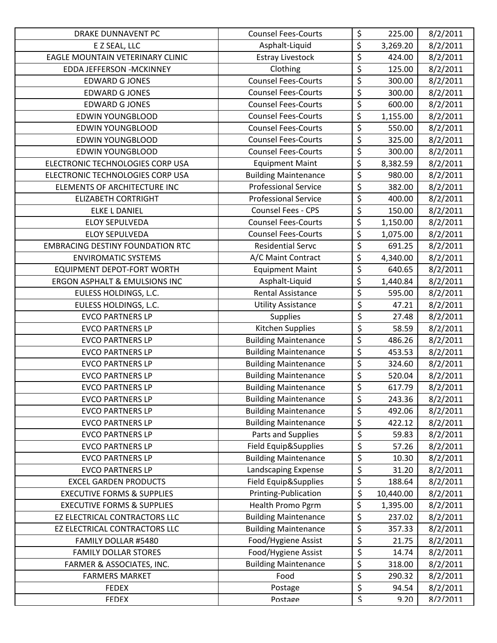| <b>DRAKE DUNNAVENT PC</b>               | <b>Counsel Fees-Courts</b>  | \$                              | 225.00    | 8/2/2011 |
|-----------------------------------------|-----------------------------|---------------------------------|-----------|----------|
| E Z SEAL, LLC                           | Asphalt-Liquid              | \$                              | 3,269.20  | 8/2/2011 |
| EAGLE MOUNTAIN VETERINARY CLINIC        | <b>Estray Livestock</b>     | \$                              | 424.00    | 8/2/2011 |
| <b>EDDA JEFFERSON - MCKINNEY</b>        | Clothing                    | $\overline{\boldsymbol{\zeta}}$ | 125.00    | 8/2/2011 |
| <b>EDWARD G JONES</b>                   | <b>Counsel Fees-Courts</b>  | \$                              | 300.00    | 8/2/2011 |
| <b>EDWARD G JONES</b>                   | <b>Counsel Fees-Courts</b>  | \$                              | 300.00    | 8/2/2011 |
| <b>EDWARD G JONES</b>                   | <b>Counsel Fees-Courts</b>  | \$                              | 600.00    | 8/2/2011 |
| <b>EDWIN YOUNGBLOOD</b>                 | <b>Counsel Fees-Courts</b>  | \$                              | 1,155.00  | 8/2/2011 |
| <b>EDWIN YOUNGBLOOD</b>                 | <b>Counsel Fees-Courts</b>  | \$                              | 550.00    | 8/2/2011 |
| <b>EDWIN YOUNGBLOOD</b>                 | <b>Counsel Fees-Courts</b>  | \$                              | 325.00    | 8/2/2011 |
| <b>EDWIN YOUNGBLOOD</b>                 | <b>Counsel Fees-Courts</b>  | \$                              | 300.00    | 8/2/2011 |
| ELECTRONIC TECHNOLOGIES CORP USA        | <b>Equipment Maint</b>      | \$                              | 8,382.59  | 8/2/2011 |
| ELECTRONIC TECHNOLOGIES CORP USA        | <b>Building Maintenance</b> | \$                              | 980.00    | 8/2/2011 |
| ELEMENTS OF ARCHITECTURE INC            | <b>Professional Service</b> | \$                              | 382.00    | 8/2/2011 |
| <b>ELIZABETH CORTRIGHT</b>              | <b>Professional Service</b> | \$                              | 400.00    | 8/2/2011 |
| <b>ELKE L DANIEL</b>                    | Counsel Fees - CPS          | \$                              | 150.00    | 8/2/2011 |
| <b>ELOY SEPULVEDA</b>                   | <b>Counsel Fees-Courts</b>  | \$                              | 1,150.00  | 8/2/2011 |
| <b>ELOY SEPULVEDA</b>                   | <b>Counsel Fees-Courts</b>  | \$                              | 1,075.00  | 8/2/2011 |
| <b>EMBRACING DESTINY FOUNDATION RTC</b> | <b>Residential Servc</b>    | \$                              | 691.25    | 8/2/2011 |
| <b>ENVIROMATIC SYSTEMS</b>              | A/C Maint Contract          | \$                              | 4,340.00  | 8/2/2011 |
| <b>EQUIPMENT DEPOT-FORT WORTH</b>       | <b>Equipment Maint</b>      | \$                              | 640.65    | 8/2/2011 |
| ERGON ASPHALT & EMULSIONS INC           | Asphalt-Liquid              | \$                              | 1,440.84  | 8/2/2011 |
| EULESS HOLDINGS, L.C.                   | <b>Rental Assistance</b>    | \$                              | 595.00    | 8/2/2011 |
| EULESS HOLDINGS, L.C.                   | <b>Utility Assistance</b>   | \$                              | 47.21     | 8/2/2011 |
| <b>EVCO PARTNERS LP</b>                 | Supplies                    | \$                              | 27.48     | 8/2/2011 |
| <b>EVCO PARTNERS LP</b>                 | Kitchen Supplies            | \$                              | 58.59     | 8/2/2011 |
| <b>EVCO PARTNERS LP</b>                 | <b>Building Maintenance</b> | \$                              | 486.26    | 8/2/2011 |
| <b>EVCO PARTNERS LP</b>                 | <b>Building Maintenance</b> | \$                              | 453.53    | 8/2/2011 |
| <b>EVCO PARTNERS LP</b>                 | <b>Building Maintenance</b> | $\overline{\boldsymbol{\zeta}}$ | 324.60    | 8/2/2011 |
| <b>EVCO PARTNERS LP</b>                 | <b>Building Maintenance</b> | \$                              | 520.04    | 8/2/2011 |
| <b>EVCO PARTNERS LP</b>                 | <b>Building Maintenance</b> | $\overline{\xi}$                | 617.79    | 8/2/2011 |
| <b>EVCO PARTNERS LP</b>                 | <b>Building Maintenance</b> | \$                              | 243.36    | 8/2/2011 |
| <b>EVCO PARTNERS LP</b>                 | <b>Building Maintenance</b> | \$                              | 492.06    | 8/2/2011 |
| <b>EVCO PARTNERS LP</b>                 | <b>Building Maintenance</b> | \$                              | 422.12    | 8/2/2011 |
| <b>EVCO PARTNERS LP</b>                 | Parts and Supplies          | \$                              | 59.83     | 8/2/2011 |
| <b>EVCO PARTNERS LP</b>                 | Field Equip&Supplies        | \$                              | 57.26     | 8/2/2011 |
| <b>EVCO PARTNERS LP</b>                 | <b>Building Maintenance</b> | \$                              | 10.30     | 8/2/2011 |
| <b>EVCO PARTNERS LP</b>                 | Landscaping Expense         | \$                              | 31.20     | 8/2/2011 |
| <b>EXCEL GARDEN PRODUCTS</b>            | Field Equip&Supplies        | \$                              | 188.64    | 8/2/2011 |
| <b>EXECUTIVE FORMS &amp; SUPPLIES</b>   | Printing-Publication        | \$                              | 10,440.00 | 8/2/2011 |
| <b>EXECUTIVE FORMS &amp; SUPPLIES</b>   | Health Promo Pgrm           | \$                              | 1,395.00  | 8/2/2011 |
| EZ ELECTRICAL CONTRACTORS LLC           | <b>Building Maintenance</b> | \$                              | 237.02    | 8/2/2011 |
| EZ ELECTRICAL CONTRACTORS LLC           | <b>Building Maintenance</b> | \$                              | 357.33    | 8/2/2011 |
| FAMILY DOLLAR #5480                     | Food/Hygiene Assist         | \$                              | 21.75     | 8/2/2011 |
| <b>FAMILY DOLLAR STORES</b>             | Food/Hygiene Assist         | \$                              | 14.74     | 8/2/2011 |
| FARMER & ASSOCIATES, INC.               | <b>Building Maintenance</b> | \$                              | 318.00    | 8/2/2011 |
| <b>FARMERS MARKET</b>                   | Food                        | \$                              | 290.32    | 8/2/2011 |
| <b>FEDEX</b>                            | Postage                     | \$                              | 94.54     | 8/2/2011 |
| <b>FFDFX</b>                            | Postage                     | $\overline{\mathsf{S}}$         | 9.20      | 8/2/2011 |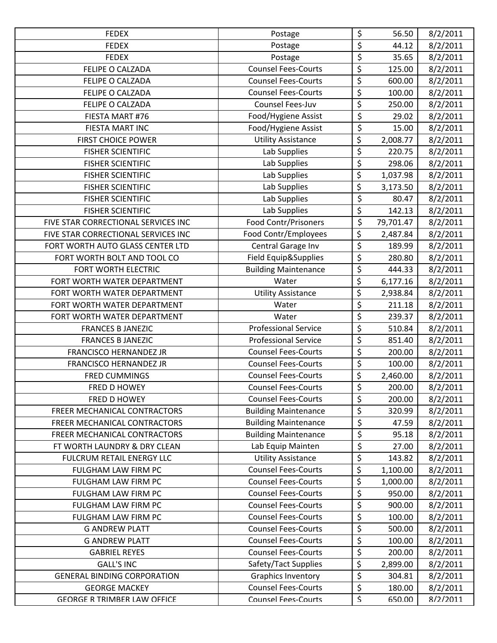| <b>FEDEX</b>                        | Postage                     | \$                      | 56.50     | 8/2/2011 |
|-------------------------------------|-----------------------------|-------------------------|-----------|----------|
| <b>FEDEX</b>                        | Postage                     | \$                      | 44.12     | 8/2/2011 |
| <b>FEDEX</b>                        | Postage                     | \$                      | 35.65     | 8/2/2011 |
| FELIPE O CALZADA                    | <b>Counsel Fees-Courts</b>  | \$                      | 125.00    | 8/2/2011 |
| FELIPE O CALZADA                    | <b>Counsel Fees-Courts</b>  | \$                      | 600.00    | 8/2/2011 |
| <b>FELIPE O CALZADA</b>             | <b>Counsel Fees-Courts</b>  | \$                      | 100.00    | 8/2/2011 |
| FELIPE O CALZADA                    | Counsel Fees-Juv            | \$                      | 250.00    | 8/2/2011 |
| FIESTA MART #76                     | Food/Hygiene Assist         | \$                      | 29.02     | 8/2/2011 |
| FIESTA MART INC                     | Food/Hygiene Assist         | \$                      | 15.00     | 8/2/2011 |
| <b>FIRST CHOICE POWER</b>           | <b>Utility Assistance</b>   | \$                      | 2,008.77  | 8/2/2011 |
| <b>FISHER SCIENTIFIC</b>            | Lab Supplies                | \$                      | 220.75    | 8/2/2011 |
| <b>FISHER SCIENTIFIC</b>            | Lab Supplies                | \$                      | 298.06    | 8/2/2011 |
| <b>FISHER SCIENTIFIC</b>            | Lab Supplies                | \$                      | 1,037.98  | 8/2/2011 |
| <b>FISHER SCIENTIFIC</b>            | Lab Supplies                | \$                      | 3,173.50  | 8/2/2011 |
| <b>FISHER SCIENTIFIC</b>            | Lab Supplies                | \$                      | 80.47     | 8/2/2011 |
| <b>FISHER SCIENTIFIC</b>            | Lab Supplies                | \$                      | 142.13    | 8/2/2011 |
| FIVE STAR CORRECTIONAL SERVICES INC | <b>Food Contr/Prisoners</b> | \$                      | 79,701.47 | 8/2/2011 |
| FIVE STAR CORRECTIONAL SERVICES INC | Food Contr/Employees        | \$                      | 2,487.84  | 8/2/2011 |
| FORT WORTH AUTO GLASS CENTER LTD    | Central Garage Inv          | \$                      | 189.99    | 8/2/2011 |
| FORT WORTH BOLT AND TOOL CO         | Field Equip&Supplies        | $\overline{\varsigma}$  | 280.80    | 8/2/2011 |
| FORT WORTH ELECTRIC                 | <b>Building Maintenance</b> | \$                      | 444.33    | 8/2/2011 |
| FORT WORTH WATER DEPARTMENT         | Water                       | \$                      | 6,177.16  | 8/2/2011 |
| FORT WORTH WATER DEPARTMENT         | <b>Utility Assistance</b>   | \$                      | 2,938.84  | 8/2/2011 |
| FORT WORTH WATER DEPARTMENT         | Water                       | \$                      | 211.18    | 8/2/2011 |
| FORT WORTH WATER DEPARTMENT         | Water                       | \$                      | 239.37    | 8/2/2011 |
| <b>FRANCES B JANEZIC</b>            | <b>Professional Service</b> | \$                      | 510.84    | 8/2/2011 |
| <b>FRANCES B JANEZIC</b>            | <b>Professional Service</b> | $\overline{\varsigma}$  | 851.40    | 8/2/2011 |
| <b>FRANCISCO HERNANDEZ JR</b>       | <b>Counsel Fees-Courts</b>  | \$                      | 200.00    | 8/2/2011 |
| <b>FRANCISCO HERNANDEZ JR</b>       | <b>Counsel Fees-Courts</b>  | \$                      | 100.00    | 8/2/2011 |
| <b>FRED CUMMINGS</b>                | <b>Counsel Fees-Courts</b>  | \$                      | 2,460.00  | 8/2/2011 |
| FRED D HOWEY                        | <b>Counsel Fees-Courts</b>  | \$                      | 200.00    | 8/2/2011 |
| <b>FRED D HOWEY</b>                 | <b>Counsel Fees-Courts</b>  | \$                      | 200.00    | 8/2/2011 |
| FREER MECHANICAL CONTRACTORS        | <b>Building Maintenance</b> | \$                      | 320.99    | 8/2/2011 |
| FREER MECHANICAL CONTRACTORS        | <b>Building Maintenance</b> | \$                      | 47.59     | 8/2/2011 |
| FREER MECHANICAL CONTRACTORS        | <b>Building Maintenance</b> | \$                      | 95.18     | 8/2/2011 |
| FT WORTH LAUNDRY & DRY CLEAN        | Lab Equip Mainten           | \$                      | 27.00     | 8/2/2011 |
| FULCRUM RETAIL ENERGY LLC           | <b>Utility Assistance</b>   | \$                      | 143.82    | 8/2/2011 |
| FULGHAM LAW FIRM PC                 | <b>Counsel Fees-Courts</b>  | \$                      | 1,100.00  | 8/2/2011 |
| FULGHAM LAW FIRM PC                 | <b>Counsel Fees-Courts</b>  | \$                      | 1,000.00  | 8/2/2011 |
| FULGHAM LAW FIRM PC                 | <b>Counsel Fees-Courts</b>  | \$                      | 950.00    | 8/2/2011 |
| FULGHAM LAW FIRM PC                 | <b>Counsel Fees-Courts</b>  | \$                      | 900.00    | 8/2/2011 |
| FULGHAM LAW FIRM PC                 | <b>Counsel Fees-Courts</b>  | \$                      | 100.00    | 8/2/2011 |
| <b>G ANDREW PLATT</b>               | <b>Counsel Fees-Courts</b>  | \$                      | 500.00    | 8/2/2011 |
| <b>G ANDREW PLATT</b>               | <b>Counsel Fees-Courts</b>  | \$                      | 100.00    | 8/2/2011 |
| <b>GABRIEL REYES</b>                | <b>Counsel Fees-Courts</b>  | \$                      | 200.00    | 8/2/2011 |
| <b>GALL'S INC</b>                   | Safety/Tact Supplies        | \$                      | 2,899.00  | 8/2/2011 |
| <b>GENERAL BINDING CORPORATION</b>  | <b>Graphics Inventory</b>   | \$                      | 304.81    | 8/2/2011 |
| <b>GEORGE MACKEY</b>                | <b>Counsel Fees-Courts</b>  | \$                      | 180.00    | 8/2/2011 |
| <b>GFORGF R TRIMBFR LAW OFFICF</b>  | <b>Counsel Fees-Courts</b>  | $\overline{\mathsf{S}}$ | 650.00    | 8/2/2011 |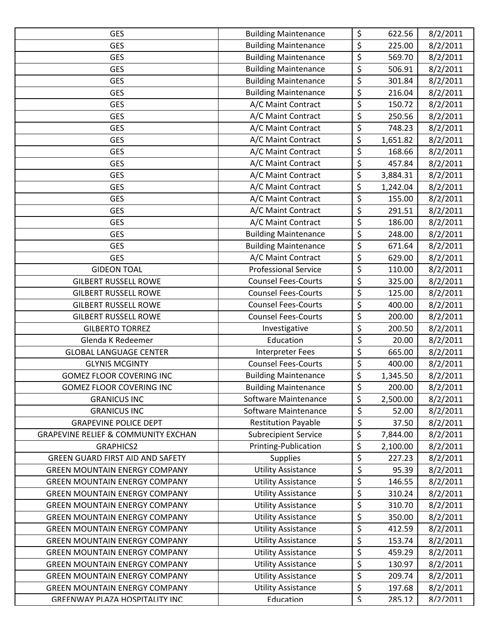| <b>GES</b>                                     | <b>Building Maintenance</b> | \$                       | 622.56   | 8/2/2011 |
|------------------------------------------------|-----------------------------|--------------------------|----------|----------|
| <b>GES</b>                                     | <b>Building Maintenance</b> | $\overline{\xi}$         | 225.00   | 8/2/2011 |
| <b>GES</b>                                     | <b>Building Maintenance</b> | $\overline{\xi}$         | 569.70   | 8/2/2011 |
| <b>GES</b>                                     | <b>Building Maintenance</b> | \$                       | 506.91   | 8/2/2011 |
| <b>GES</b>                                     | <b>Building Maintenance</b> | \$                       | 301.84   | 8/2/2011 |
| <b>GES</b>                                     | <b>Building Maintenance</b> | \$                       | 216.04   | 8/2/2011 |
| <b>GES</b>                                     | A/C Maint Contract          | \$                       | 150.72   | 8/2/2011 |
| <b>GES</b>                                     | A/C Maint Contract          | \$                       | 250.56   | 8/2/2011 |
| <b>GES</b>                                     | A/C Maint Contract          | \$                       | 748.23   | 8/2/2011 |
| <b>GES</b>                                     | A/C Maint Contract          | \$                       | 1,651.82 | 8/2/2011 |
| <b>GES</b>                                     | A/C Maint Contract          | \$                       | 168.66   | 8/2/2011 |
| <b>GES</b>                                     | A/C Maint Contract          | \$                       | 457.84   | 8/2/2011 |
| <b>GES</b>                                     | A/C Maint Contract          | $\overline{\varsigma}$   | 3,884.31 | 8/2/2011 |
| <b>GES</b>                                     | A/C Maint Contract          | \$                       | 1,242.04 | 8/2/2011 |
| <b>GES</b>                                     | A/C Maint Contract          | \$                       | 155.00   | 8/2/2011 |
| <b>GES</b>                                     | A/C Maint Contract          | $\overline{\varsigma}$   | 291.51   | 8/2/2011 |
| <b>GES</b>                                     | A/C Maint Contract          | \$                       | 186.00   | 8/2/2011 |
| <b>GES</b>                                     | <b>Building Maintenance</b> | \$                       | 248.00   | 8/2/2011 |
| <b>GES</b>                                     | <b>Building Maintenance</b> | \$                       | 671.64   | 8/2/2011 |
| <b>GES</b>                                     | A/C Maint Contract          | \$                       | 629.00   | 8/2/2011 |
| <b>GIDEON TOAL</b>                             | <b>Professional Service</b> | \$                       | 110.00   | 8/2/2011 |
| <b>GILBERT RUSSELL ROWE</b>                    | <b>Counsel Fees-Courts</b>  | $\overline{\xi}$         | 325.00   | 8/2/2011 |
| <b>GILBERT RUSSELL ROWE</b>                    | <b>Counsel Fees-Courts</b>  | \$                       | 125.00   | 8/2/2011 |
| <b>GILBERT RUSSELL ROWE</b>                    | <b>Counsel Fees-Courts</b>  | \$                       | 400.00   | 8/2/2011 |
| <b>GILBERT RUSSELL ROWE</b>                    | <b>Counsel Fees-Courts</b>  | \$                       | 200.00   | 8/2/2011 |
| <b>GILBERTO TORREZ</b>                         | Investigative               | \$                       | 200.50   | 8/2/2011 |
| Glenda K Redeemer                              | Education                   | \$                       | 20.00    | 8/2/2011 |
| <b>GLOBAL LANGUAGE CENTER</b>                  | <b>Interpreter Fees</b>     | \$                       | 665.00   | 8/2/2011 |
| <b>GLYNIS MCGINTY</b>                          | <b>Counsel Fees-Courts</b>  | \$                       | 400.00   | 8/2/2011 |
| <b>GOMEZ FLOOR COVERING INC</b>                | <b>Building Maintenance</b> | \$                       | 1,345.50 | 8/2/2011 |
| <b>GOMEZ FLOOR COVERING INC</b>                | <b>Building Maintenance</b> | \$                       | 200.00   | 8/2/2011 |
| <b>GRANICUS INC</b>                            | Software Maintenance        | \$                       | 2,500.00 | 8/2/2011 |
| <b>GRANICUS INC</b>                            | Software Maintenance        | \$                       | 52.00    | 8/2/2011 |
| <b>GRAPEVINE POLICE DEPT</b>                   | <b>Restitution Payable</b>  | \$                       | 37.50    | 8/2/2011 |
| <b>GRAPEVINE RELIEF &amp; COMMUNITY EXCHAN</b> | <b>Subrecipient Service</b> | \$                       | 7,844.00 | 8/2/2011 |
| <b>GRAPHICS2</b>                               | Printing-Publication        | \$                       | 2,100.00 | 8/2/2011 |
| <b>GREEN GUARD FIRST AID AND SAFETY</b>        | <b>Supplies</b>             | \$                       | 227.23   | 8/2/2011 |
| <b>GREEN MOUNTAIN ENERGY COMPANY</b>           | <b>Utility Assistance</b>   | \$                       | 95.39    | 8/2/2011 |
| <b>GREEN MOUNTAIN ENERGY COMPANY</b>           | <b>Utility Assistance</b>   | \$                       | 146.55   | 8/2/2011 |
| <b>GREEN MOUNTAIN ENERGY COMPANY</b>           | <b>Utility Assistance</b>   | \$                       | 310.24   | 8/2/2011 |
| <b>GREEN MOUNTAIN ENERGY COMPANY</b>           | <b>Utility Assistance</b>   | \$                       | 310.70   | 8/2/2011 |
| <b>GREEN MOUNTAIN ENERGY COMPANY</b>           | <b>Utility Assistance</b>   | \$                       | 350.00   | 8/2/2011 |
| <b>GREEN MOUNTAIN ENERGY COMPANY</b>           | <b>Utility Assistance</b>   | \$                       | 412.59   | 8/2/2011 |
| <b>GREEN MOUNTAIN ENERGY COMPANY</b>           | <b>Utility Assistance</b>   | \$                       | 153.74   | 8/2/2011 |
| <b>GREEN MOUNTAIN ENERGY COMPANY</b>           | <b>Utility Assistance</b>   | \$                       | 459.29   | 8/2/2011 |
| <b>GREEN MOUNTAIN ENERGY COMPANY</b>           | <b>Utility Assistance</b>   | \$                       | 130.97   | 8/2/2011 |
| <b>GREEN MOUNTAIN ENERGY COMPANY</b>           | <b>Utility Assistance</b>   | \$                       | 209.74   | 8/2/2011 |
| <b>GREEN MOUNTAIN ENERGY COMPANY</b>           | <b>Utility Assistance</b>   | \$                       | 197.68   | 8/2/2011 |
| GRFFNWAY PLAZA HOSPITALITY INC                 | Fducation                   | $\overline{\mathcal{S}}$ | 285.12   | 8/2/2011 |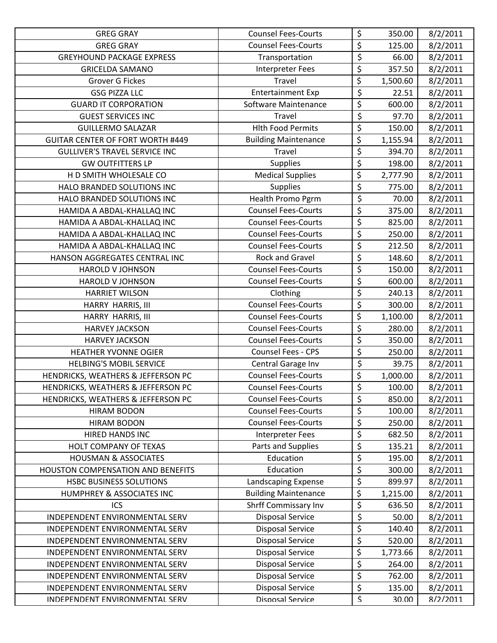| <b>GREG GRAY</b>                         | <b>Counsel Fees-Courts</b>  | \$                              | 350.00   | 8/2/2011 |
|------------------------------------------|-----------------------------|---------------------------------|----------|----------|
| <b>GREG GRAY</b>                         | <b>Counsel Fees-Courts</b>  | \$                              | 125.00   | 8/2/2011 |
| <b>GREYHOUND PACKAGE EXPRESS</b>         | Transportation              | \$                              | 66.00    | 8/2/2011 |
| <b>GRICELDA SAMANO</b>                   | Interpreter Fees            | \$                              | 357.50   | 8/2/2011 |
| <b>Grover G Fickes</b>                   | Travel                      | \$                              | 1,500.60 | 8/2/2011 |
| <b>GSG PIZZA LLC</b>                     | <b>Entertainment Exp</b>    | \$                              | 22.51    | 8/2/2011 |
| <b>GUARD IT CORPORATION</b>              | Software Maintenance        | \$                              | 600.00   | 8/2/2011 |
| <b>GUEST SERVICES INC</b>                | Travel                      | $\overline{\xi}$                | 97.70    | 8/2/2011 |
| <b>GUILLERMO SALAZAR</b>                 | <b>Hlth Food Permits</b>    | \$                              | 150.00   | 8/2/2011 |
| <b>GUITAR CENTER OF FORT WORTH #449</b>  | <b>Building Maintenance</b> | \$                              | 1,155.94 | 8/2/2011 |
| <b>GULLIVER'S TRAVEL SERVICE INC</b>     | Travel                      | \$                              | 394.70   | 8/2/2011 |
| <b>GW OUTFITTERS LP</b>                  | <b>Supplies</b>             | $\overline{\boldsymbol{\zeta}}$ | 198.00   | 8/2/2011 |
| H D SMITH WHOLESALE CO                   | <b>Medical Supplies</b>     | \$                              | 2,777.90 | 8/2/2011 |
| HALO BRANDED SOLUTIONS INC               | <b>Supplies</b>             | \$                              | 775.00   | 8/2/2011 |
| HALO BRANDED SOLUTIONS INC               | Health Promo Pgrm           | \$                              | 70.00    | 8/2/2011 |
| HAMIDA A ABDAL-KHALLAQ INC               | <b>Counsel Fees-Courts</b>  | \$                              | 375.00   | 8/2/2011 |
| HAMIDA A ABDAL-KHALLAQ INC               | <b>Counsel Fees-Courts</b>  | $\overline{\varsigma}$          | 825.00   | 8/2/2011 |
| HAMIDA A ABDAL-KHALLAQ INC               | <b>Counsel Fees-Courts</b>  | $\overline{\boldsymbol{\zeta}}$ | 250.00   | 8/2/2011 |
| HAMIDA A ABDAL-KHALLAQ INC               | <b>Counsel Fees-Courts</b>  | \$                              | 212.50   | 8/2/2011 |
| HANSON AGGREGATES CENTRAL INC            | Rock and Gravel             | $\overline{\varsigma}$          | 148.60   | 8/2/2011 |
| <b>HAROLD V JOHNSON</b>                  | <b>Counsel Fees-Courts</b>  | \$                              | 150.00   | 8/2/2011 |
| <b>HAROLD V JOHNSON</b>                  | <b>Counsel Fees-Courts</b>  | \$                              | 600.00   | 8/2/2011 |
| <b>HARRIET WILSON</b>                    | Clothing                    | \$                              | 240.13   | 8/2/2011 |
| HARRY HARRIS, III                        | <b>Counsel Fees-Courts</b>  | \$                              | 300.00   | 8/2/2011 |
| HARRY HARRIS, III                        | <b>Counsel Fees-Courts</b>  | \$                              | 1,100.00 | 8/2/2011 |
| <b>HARVEY JACKSON</b>                    | <b>Counsel Fees-Courts</b>  | \$                              | 280.00   | 8/2/2011 |
| <b>HARVEY JACKSON</b>                    | <b>Counsel Fees-Courts</b>  | \$                              | 350.00   | 8/2/2011 |
| <b>HEATHER YVONNE OGIER</b>              | <b>Counsel Fees - CPS</b>   | \$                              | 250.00   | 8/2/2011 |
| <b>HELBING'S MOBIL SERVICE</b>           | Central Garage Inv          | \$                              | 39.75    | 8/2/2011 |
| HENDRICKS, WEATHERS & JEFFERSON PC       | <b>Counsel Fees-Courts</b>  | \$                              | 1,000.00 | 8/2/2011 |
| HENDRICKS, WEATHERS & JEFFERSON PC       | <b>Counsel Fees-Courts</b>  | \$                              | 100.00   | 8/2/2011 |
| HENDRICKS, WEATHERS & JEFFERSON PC       | <b>Counsel Fees-Courts</b>  | \$                              | 850.00   | 8/2/2011 |
| <b>HIRAM BODON</b>                       | <b>Counsel Fees-Courts</b>  | \$                              | 100.00   | 8/2/2011 |
| <b>HIRAM BODON</b>                       | <b>Counsel Fees-Courts</b>  | \$                              | 250.00   | 8/2/2011 |
| HIRED HANDS INC                          | <b>Interpreter Fees</b>     | \$                              | 682.50   | 8/2/2011 |
| HOLT COMPANY OF TEXAS                    | Parts and Supplies          | \$                              | 135.21   | 8/2/2011 |
| <b>HOUSMAN &amp; ASSOCIATES</b>          | Education                   | \$                              | 195.00   | 8/2/2011 |
| <b>HOUSTON COMPENSATION AND BENEFITS</b> | Education                   | \$                              | 300.00   | 8/2/2011 |
| <b>HSBC BUSINESS SOLUTIONS</b>           | Landscaping Expense         | \$                              | 899.97   | 8/2/2011 |
| HUMPHREY & ASSOCIATES INC                | <b>Building Maintenance</b> | \$                              | 1,215.00 | 8/2/2011 |
| <b>ICS</b>                               | Shrff Commissary Inv        | \$                              | 636.50   | 8/2/2011 |
| INDEPENDENT ENVIRONMENTAL SERV           | <b>Disposal Service</b>     | \$                              | 50.00    | 8/2/2011 |
| INDEPENDENT ENVIRONMENTAL SERV           | <b>Disposal Service</b>     | \$                              | 140.40   | 8/2/2011 |
| INDEPENDENT ENVIRONMENTAL SERV           | <b>Disposal Service</b>     | \$                              | 520.00   | 8/2/2011 |
| INDEPENDENT ENVIRONMENTAL SERV           | <b>Disposal Service</b>     | \$                              | 1,773.66 | 8/2/2011 |
| INDEPENDENT ENVIRONMENTAL SERV           | <b>Disposal Service</b>     | \$                              | 264.00   | 8/2/2011 |
| INDEPENDENT ENVIRONMENTAL SERV           | <b>Disposal Service</b>     | \$                              | 762.00   | 8/2/2011 |
| INDEPENDENT ENVIRONMENTAL SERV           | <b>Disposal Service</b>     | \$                              | 135.00   | 8/2/2011 |
| INDFPFNDFNT FNVIRONMFNTAL SFRV           | Disnosal Service            | $\mathsf S$                     | 30.00    | 8/2/2011 |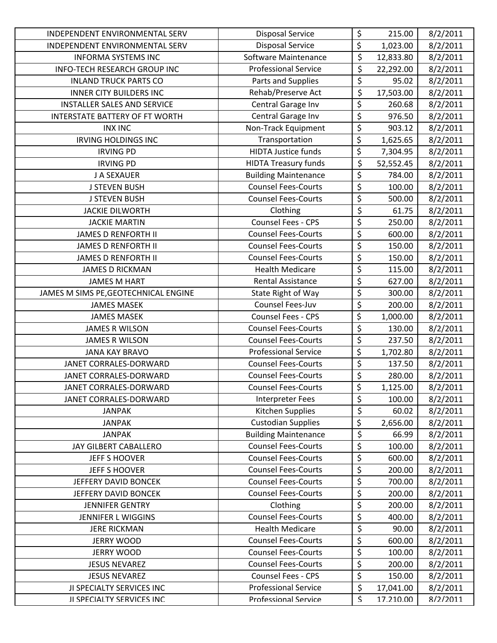| <b>INDEPENDENT ENVIRONMENTAL SERV</b> | <b>Disposal Service</b>     | \$                              | 215.00    | 8/2/2011 |
|---------------------------------------|-----------------------------|---------------------------------|-----------|----------|
| INDEPENDENT ENVIRONMENTAL SERV        | <b>Disposal Service</b>     | \$                              | 1,023.00  | 8/2/2011 |
| <b>INFORMA SYSTEMS INC</b>            | Software Maintenance        | \$                              | 12,833.80 | 8/2/2011 |
| INFO-TECH RESEARCH GROUP INC          | <b>Professional Service</b> | \$                              | 22,292.00 | 8/2/2011 |
| <b>INLAND TRUCK PARTS CO</b>          | Parts and Supplies          | \$                              | 95.02     | 8/2/2011 |
| <b>INNER CITY BUILDERS INC</b>        | Rehab/Preserve Act          | $\overline{\xi}$                | 17,503.00 | 8/2/2011 |
| <b>INSTALLER SALES AND SERVICE</b>    | Central Garage Inv          | \$                              | 260.68    | 8/2/2011 |
| <b>INTERSTATE BATTERY OF FT WORTH</b> | Central Garage Inv          | $\overline{\boldsymbol{\zeta}}$ | 976.50    | 8/2/2011 |
| <b>INX INC</b>                        | Non-Track Equipment         | $\overline{\varsigma}$          | 903.12    | 8/2/2011 |
| <b>IRVING HOLDINGS INC</b>            | Transportation              | \$                              | 1,625.65  | 8/2/2011 |
| <b>IRVING PD</b>                      | <b>HIDTA Justice funds</b>  | \$                              | 7,304.95  | 8/2/2011 |
| <b>IRVING PD</b>                      | <b>HIDTA Treasury funds</b> | \$                              | 52,552.45 | 8/2/2011 |
| J A SEXAUER                           | <b>Building Maintenance</b> | \$                              | 784.00    | 8/2/2011 |
| <b>J STEVEN BUSH</b>                  | <b>Counsel Fees-Courts</b>  | \$                              | 100.00    | 8/2/2011 |
| <b>J STEVEN BUSH</b>                  | <b>Counsel Fees-Courts</b>  | $\overline{\boldsymbol{\zeta}}$ | 500.00    | 8/2/2011 |
| <b>JACKIE DILWORTH</b>                | Clothing                    | $\overline{\varsigma}$          | 61.75     | 8/2/2011 |
| <b>JACKIE MARTIN</b>                  | Counsel Fees - CPS          | \$                              | 250.00    | 8/2/2011 |
| <b>JAMES D RENFORTH II</b>            | <b>Counsel Fees-Courts</b>  | \$                              | 600.00    | 8/2/2011 |
| <b>JAMES D RENFORTH II</b>            | <b>Counsel Fees-Courts</b>  | \$                              | 150.00    | 8/2/2011 |
| <b>JAMES D RENFORTH II</b>            | <b>Counsel Fees-Courts</b>  | \$                              | 150.00    | 8/2/2011 |
| <b>JAMES D RICKMAN</b>                | <b>Health Medicare</b>      | \$                              | 115.00    | 8/2/2011 |
| <b>JAMES M HART</b>                   | <b>Rental Assistance</b>    | \$                              | 627.00    | 8/2/2011 |
| JAMES M SIMS PE, GEOTECHNICAL ENGINE  | State Right of Way          | $\overline{\varsigma}$          | 300.00    | 8/2/2011 |
| <b>JAMES MASEK</b>                    | Counsel Fees-Juv            | \$                              | 200.00    | 8/2/2011 |
| <b>JAMES MASEK</b>                    | Counsel Fees - CPS          | \$                              | 1,000.00  | 8/2/2011 |
| <b>JAMES R WILSON</b>                 | <b>Counsel Fees-Courts</b>  | \$                              | 130.00    | 8/2/2011 |
| <b>JAMES R WILSON</b>                 | <b>Counsel Fees-Courts</b>  | \$                              | 237.50    | 8/2/2011 |
| <b>JANA KAY BRAVO</b>                 | <b>Professional Service</b> | \$                              | 1,702.80  | 8/2/2011 |
| JANET CORRALES-DORWARD                | <b>Counsel Fees-Courts</b>  | \$                              | 137.50    | 8/2/2011 |
| JANET CORRALES-DORWARD                | <b>Counsel Fees-Courts</b>  | \$                              | 280.00    | 8/2/2011 |
| JANET CORRALES-DORWARD                | <b>Counsel Fees-Courts</b>  | $\overline{\boldsymbol{\zeta}}$ | 1,125.00  | 8/2/2011 |
| JANET CORRALES-DORWARD                | <b>Interpreter Fees</b>     | \$                              | 100.00    | 8/2/2011 |
| <b>JANPAK</b>                         | Kitchen Supplies            | \$                              | 60.02     | 8/2/2011 |
| <b>JANPAK</b>                         | <b>Custodian Supplies</b>   | \$                              | 2,656.00  | 8/2/2011 |
| <b>JANPAK</b>                         | <b>Building Maintenance</b> | \$                              | 66.99     | 8/2/2011 |
| JAY GILBERT CABALLERO                 | <b>Counsel Fees-Courts</b>  | \$                              | 100.00    | 8/2/2011 |
| JEFF S HOOVER                         | <b>Counsel Fees-Courts</b>  | \$                              | 600.00    | 8/2/2011 |
| JEFF S HOOVER                         | <b>Counsel Fees-Courts</b>  | \$                              | 200.00    | 8/2/2011 |
| JEFFERY DAVID BONCEK                  | <b>Counsel Fees-Courts</b>  | \$                              | 700.00    | 8/2/2011 |
| JEFFERY DAVID BONCEK                  | <b>Counsel Fees-Courts</b>  | \$                              | 200.00    | 8/2/2011 |
| <b>JENNIFER GENTRY</b>                | Clothing                    | \$                              | 200.00    | 8/2/2011 |
| <b>JENNIFER L WIGGINS</b>             | <b>Counsel Fees-Courts</b>  | \$                              | 400.00    | 8/2/2011 |
| <b>JERE RICKMAN</b>                   | <b>Health Medicare</b>      | \$                              | 90.00     | 8/2/2011 |
| <b>JERRY WOOD</b>                     | <b>Counsel Fees-Courts</b>  | \$                              | 600.00    | 8/2/2011 |
| <b>JERRY WOOD</b>                     | <b>Counsel Fees-Courts</b>  | \$                              | 100.00    | 8/2/2011 |
| <b>JESUS NEVAREZ</b>                  | <b>Counsel Fees-Courts</b>  | \$                              | 200.00    | 8/2/2011 |
| <b>JESUS NEVAREZ</b>                  | <b>Counsel Fees - CPS</b>   | \$                              | 150.00    | 8/2/2011 |
| JI SPECIALTY SERVICES INC             | <b>Professional Service</b> | $\overline{\varsigma}$          | 17,041.00 | 8/2/2011 |
| <b>II SPECIALTY SERVICES INC.</b>     | <b>Professional Service</b> | $\boldsymbol{\zeta}$            | 17.210.00 | 8/2/2011 |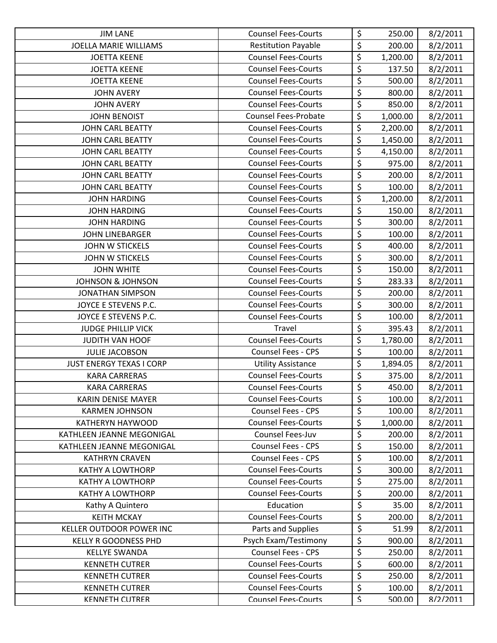| <b>JIM LANE</b>                 | <b>Counsel Fees-Courts</b>  | \$                              | 250.00   | 8/2/2011 |
|---------------------------------|-----------------------------|---------------------------------|----------|----------|
| <b>JOELLA MARIE WILLIAMS</b>    | <b>Restitution Payable</b>  | $\overline{\xi}$                | 200.00   | 8/2/2011 |
| <b>JOETTA KEENE</b>             | <b>Counsel Fees-Courts</b>  | $\overline{\xi}$                | 1,200.00 | 8/2/2011 |
| <b>JOETTA KEENE</b>             | <b>Counsel Fees-Courts</b>  | \$                              | 137.50   | 8/2/2011 |
| <b>JOETTA KEENE</b>             | <b>Counsel Fees-Courts</b>  | \$                              | 500.00   | 8/2/2011 |
| <b>JOHN AVERY</b>               | <b>Counsel Fees-Courts</b>  | \$                              | 800.00   | 8/2/2011 |
| <b>JOHN AVERY</b>               | <b>Counsel Fees-Courts</b>  | \$                              | 850.00   | 8/2/2011 |
| <b>JOHN BENOIST</b>             | <b>Counsel Fees-Probate</b> | $\overline{\xi}$                | 1,000.00 | 8/2/2011 |
| <b>JOHN CARL BEATTY</b>         | <b>Counsel Fees-Courts</b>  | \$                              | 2,200.00 | 8/2/2011 |
| <b>JOHN CARL BEATTY</b>         | <b>Counsel Fees-Courts</b>  | $\overline{\xi}$                | 1,450.00 | 8/2/2011 |
| <b>JOHN CARL BEATTY</b>         | <b>Counsel Fees-Courts</b>  | $\overline{\xi}$                | 4,150.00 | 8/2/2011 |
| <b>JOHN CARL BEATTY</b>         | <b>Counsel Fees-Courts</b>  | \$                              | 975.00   | 8/2/2011 |
| JOHN CARL BEATTY                | <b>Counsel Fees-Courts</b>  | \$                              | 200.00   | 8/2/2011 |
| <b>JOHN CARL BEATTY</b>         | <b>Counsel Fees-Courts</b>  | \$                              | 100.00   | 8/2/2011 |
| <b>JOHN HARDING</b>             | <b>Counsel Fees-Courts</b>  | $\overline{\xi}$                | 1,200.00 | 8/2/2011 |
| <b>JOHN HARDING</b>             | <b>Counsel Fees-Courts</b>  | \$                              | 150.00   | 8/2/2011 |
| <b>JOHN HARDING</b>             | <b>Counsel Fees-Courts</b>  | \$                              | 300.00   | 8/2/2011 |
| <b>JOHN LINEBARGER</b>          | <b>Counsel Fees-Courts</b>  | \$                              | 100.00   | 8/2/2011 |
| <b>JOHN W STICKELS</b>          | <b>Counsel Fees-Courts</b>  | \$                              | 400.00   | 8/2/2011 |
| <b>JOHN W STICKELS</b>          | <b>Counsel Fees-Courts</b>  | $\overline{\xi}$                | 300.00   | 8/2/2011 |
| <b>JOHN WHITE</b>               | <b>Counsel Fees-Courts</b>  | \$                              | 150.00   | 8/2/2011 |
| <b>JOHNSON &amp; JOHNSON</b>    | <b>Counsel Fees-Courts</b>  | $\overline{\xi}$                | 283.33   | 8/2/2011 |
| <b>JONATHAN SIMPSON</b>         | <b>Counsel Fees-Courts</b>  | $\overline{\varsigma}$          | 200.00   | 8/2/2011 |
| JOYCE E STEVENS P.C.            | <b>Counsel Fees-Courts</b>  | \$                              | 300.00   | 8/2/2011 |
| JOYCE E STEVENS P.C.            | <b>Counsel Fees-Courts</b>  | \$                              | 100.00   | 8/2/2011 |
| <b>JUDGE PHILLIP VICK</b>       | Travel                      | \$                              | 395.43   | 8/2/2011 |
| JUDITH VAN HOOF                 | <b>Counsel Fees-Courts</b>  | \$                              | 1,780.00 | 8/2/2011 |
| <b>JULIE JACOBSON</b>           | Counsel Fees - CPS          | \$                              | 100.00   | 8/2/2011 |
| <b>JUST ENERGY TEXAS I CORP</b> | <b>Utility Assistance</b>   | $\overline{\xi}$                | 1,894.05 | 8/2/2011 |
| <b>KARA CARRERAS</b>            | <b>Counsel Fees-Courts</b>  | \$                              | 375.00   | 8/2/2011 |
| <b>KARA CARRERAS</b>            | <b>Counsel Fees-Courts</b>  | $\overline{\boldsymbol{\zeta}}$ | 450.00   | 8/2/2011 |
| <b>KARIN DENISE MAYER</b>       | <b>Counsel Fees-Courts</b>  | \$                              | 100.00   | 8/2/2011 |
| <b>KARMEN JOHNSON</b>           | Counsel Fees - CPS          | \$                              | 100.00   | 8/2/2011 |
| KATHERYN HAYWOOD                | <b>Counsel Fees-Courts</b>  | \$                              | 1,000.00 | 8/2/2011 |
| KATHLEEN JEANNE MEGONIGAL       | Counsel Fees-Juv            | \$                              | 200.00   | 8/2/2011 |
| KATHLEEN JEANNE MEGONIGAL       | <b>Counsel Fees - CPS</b>   | \$                              | 150.00   | 8/2/2011 |
| <b>KATHRYN CRAVEN</b>           | <b>Counsel Fees - CPS</b>   | \$                              | 100.00   | 8/2/2011 |
| <b>KATHY A LOWTHORP</b>         | <b>Counsel Fees-Courts</b>  | \$                              | 300.00   | 8/2/2011 |
| <b>KATHY A LOWTHORP</b>         | <b>Counsel Fees-Courts</b>  | \$                              | 275.00   | 8/2/2011 |
| <b>KATHY A LOWTHORP</b>         | <b>Counsel Fees-Courts</b>  | \$                              | 200.00   | 8/2/2011 |
| Kathy A Quintero                | Education                   | \$                              | 35.00    | 8/2/2011 |
| <b>KEITH MCKAY</b>              | <b>Counsel Fees-Courts</b>  | \$                              | 200.00   | 8/2/2011 |
| KELLER OUTDOOR POWER INC        | Parts and Supplies          | \$                              | 51.99    | 8/2/2011 |
| <b>KELLY R GOODNESS PHD</b>     | Psych Exam/Testimony        | \$                              | 900.00   | 8/2/2011 |
| <b>KELLYE SWANDA</b>            | Counsel Fees - CPS          | \$                              | 250.00   | 8/2/2011 |
| <b>KENNETH CUTRER</b>           | <b>Counsel Fees-Courts</b>  | \$                              | 600.00   | 8/2/2011 |
| <b>KENNETH CUTRER</b>           | <b>Counsel Fees-Courts</b>  | \$                              | 250.00   | 8/2/2011 |
| <b>KENNETH CUTRER</b>           | <b>Counsel Fees-Courts</b>  | \$                              | 100.00   | 8/2/2011 |
| <b>KFNNFTH CUTRFR</b>           | <b>Counsel Fees-Courts</b>  | $\overline{\mathcal{S}}$        | 500.00   | 8/2/2011 |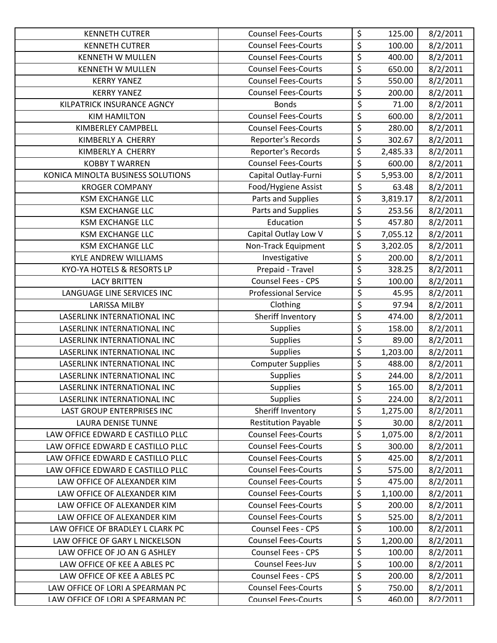| <b>KENNETH CUTRER</b>             | <b>Counsel Fees-Courts</b>  | \$                              | 125.00   | 8/2/2011 |
|-----------------------------------|-----------------------------|---------------------------------|----------|----------|
| <b>KENNETH CUTRER</b>             | <b>Counsel Fees-Courts</b>  | \$                              | 100.00   | 8/2/2011 |
| <b>KENNETH W MULLEN</b>           | <b>Counsel Fees-Courts</b>  | \$                              | 400.00   | 8/2/2011 |
| <b>KENNETH W MULLEN</b>           | <b>Counsel Fees-Courts</b>  | \$                              | 650.00   | 8/2/2011 |
| <b>KERRY YANEZ</b>                | <b>Counsel Fees-Courts</b>  | \$                              | 550.00   | 8/2/2011 |
| <b>KERRY YANEZ</b>                | <b>Counsel Fees-Courts</b>  | \$                              | 200.00   | 8/2/2011 |
| KILPATRICK INSURANCE AGNCY        | <b>Bonds</b>                | \$                              | 71.00    | 8/2/2011 |
| <b>KIM HAMILTON</b>               | <b>Counsel Fees-Courts</b>  | $\overline{\xi}$                | 600.00   | 8/2/2011 |
| <b>KIMBERLEY CAMPBELL</b>         | <b>Counsel Fees-Courts</b>  | $\overline{\xi}$                | 280.00   | 8/2/2011 |
| KIMBERLY A CHERRY                 | Reporter's Records          | \$                              | 302.67   | 8/2/2011 |
| KIMBERLY A CHERRY                 | Reporter's Records          | \$                              | 2,485.33 | 8/2/2011 |
| <b>KOBBY T WARREN</b>             | <b>Counsel Fees-Courts</b>  | \$                              | 600.00   | 8/2/2011 |
| KONICA MINOLTA BUSINESS SOLUTIONS | Capital Outlay-Furni        | \$                              | 5,953.00 | 8/2/2011 |
| <b>KROGER COMPANY</b>             | Food/Hygiene Assist         | $\overline{\xi}$                | 63.48    | 8/2/2011 |
| <b>KSM EXCHANGE LLC</b>           | Parts and Supplies          | \$                              | 3,819.17 | 8/2/2011 |
| <b>KSM EXCHANGE LLC</b>           | Parts and Supplies          | \$                              | 253.56   | 8/2/2011 |
| <b>KSM EXCHANGE LLC</b>           | Education                   | $\overline{\varsigma}$          | 457.80   | 8/2/2011 |
| <b>KSM EXCHANGE LLC</b>           | Capital Outlay Low V        | \$                              | 7,055.12 | 8/2/2011 |
| <b>KSM EXCHANGE LLC</b>           | Non-Track Equipment         | \$                              | 3,202.05 | 8/2/2011 |
| <b>KYLE ANDREW WILLIAMS</b>       | Investigative               | $\overline{\varsigma}$          | 200.00   | 8/2/2011 |
| KYO-YA HOTELS & RESORTS LP        | Prepaid - Travel            | $\overline{\boldsymbol{\zeta}}$ | 328.25   | 8/2/2011 |
| <b>LACY BRITTEN</b>               | Counsel Fees - CPS          | \$                              | 100.00   | 8/2/2011 |
| LANGUAGE LINE SERVICES INC        | <b>Professional Service</b> | $\overline{\varsigma}$          | 45.95    | 8/2/2011 |
| <b>LARISSA MILBY</b>              | Clothing                    | $\overline{\xi}$                | 97.94    | 8/2/2011 |
| LASERLINK INTERNATIONAL INC       | Sheriff Inventory           | \$                              | 474.00   | 8/2/2011 |
| LASERLINK INTERNATIONAL INC       | <b>Supplies</b>             | \$                              | 158.00   | 8/2/2011 |
| LASERLINK INTERNATIONAL INC       | <b>Supplies</b>             | $\overline{\xi}$                | 89.00    | 8/2/2011 |
| LASERLINK INTERNATIONAL INC       | <b>Supplies</b>             | \$                              | 1,203.00 | 8/2/2011 |
| LASERLINK INTERNATIONAL INC       | <b>Computer Supplies</b>    | \$                              | 488.00   | 8/2/2011 |
| LASERLINK INTERNATIONAL INC       | Supplies                    | \$                              | 244.00   | 8/2/2011 |
| LASERLINK INTERNATIONAL INC       | <b>Supplies</b>             | $\overline{\xi}$                | 165.00   | 8/2/2011 |
| LASERLINK INTERNATIONAL INC       | <b>Supplies</b>             | \$                              | 224.00   | 8/2/2011 |
| LAST GROUP ENTERPRISES INC        | Sheriff Inventory           | \$                              | 1,275.00 | 8/2/2011 |
| <b>LAURA DENISE TUNNE</b>         | <b>Restitution Payable</b>  | $\overline{\boldsymbol{\zeta}}$ | 30.00    | 8/2/2011 |
| LAW OFFICE EDWARD E CASTILLO PLLC | <b>Counsel Fees-Courts</b>  | \$                              | 1,075.00 | 8/2/2011 |
| LAW OFFICE EDWARD E CASTILLO PLLC | <b>Counsel Fees-Courts</b>  | \$                              | 300.00   | 8/2/2011 |
| LAW OFFICE EDWARD E CASTILLO PLLC | <b>Counsel Fees-Courts</b>  | \$                              | 425.00   | 8/2/2011 |
| LAW OFFICE EDWARD E CASTILLO PLLC | <b>Counsel Fees-Courts</b>  | \$                              | 575.00   | 8/2/2011 |
| LAW OFFICE OF ALEXANDER KIM       | <b>Counsel Fees-Courts</b>  | \$                              | 475.00   | 8/2/2011 |
| LAW OFFICE OF ALEXANDER KIM       | <b>Counsel Fees-Courts</b>  | \$                              | 1,100.00 | 8/2/2011 |
| LAW OFFICE OF ALEXANDER KIM       | <b>Counsel Fees-Courts</b>  | \$                              | 200.00   | 8/2/2011 |
| LAW OFFICE OF ALEXANDER KIM       | <b>Counsel Fees-Courts</b>  | \$                              | 525.00   | 8/2/2011 |
| LAW OFFICE OF BRADLEY L CLARK PC  | Counsel Fees - CPS          | \$                              | 100.00   | 8/2/2011 |
| LAW OFFICE OF GARY L NICKELSON    | <b>Counsel Fees-Courts</b>  | \$                              | 1,200.00 | 8/2/2011 |
| LAW OFFICE OF JO AN G ASHLEY      | Counsel Fees - CPS          | \$                              | 100.00   | 8/2/2011 |
| LAW OFFICE OF KEE A ABLES PC      | Counsel Fees-Juv            | \$                              | 100.00   | 8/2/2011 |
| LAW OFFICE OF KEE A ABLES PC      | <b>Counsel Fees - CPS</b>   | \$                              | 200.00   | 8/2/2011 |
| LAW OFFICE OF LORI A SPEARMAN PC  | <b>Counsel Fees-Courts</b>  | \$                              | 750.00   | 8/2/2011 |
| LAW OFFICF OF LORI A SPFARMAN PC  | <b>Counsel Fees-Courts</b>  | $\boldsymbol{\mathsf{S}}$       | 460.00   | 8/2/2011 |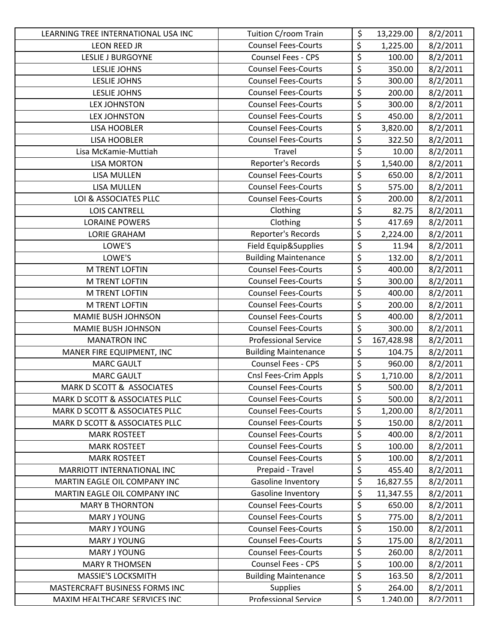| LEARNING TREE INTERNATIONAL USA INC | Tuition C/room Train        | \$                     | 13,229.00  | 8/2/2011 |
|-------------------------------------|-----------------------------|------------------------|------------|----------|
| <b>LEON REED JR</b>                 | <b>Counsel Fees-Courts</b>  | \$                     | 1,225.00   | 8/2/2011 |
| <b>LESLIE J BURGOYNE</b>            | <b>Counsel Fees - CPS</b>   | $\overline{\xi}$       | 100.00     | 8/2/2011 |
| <b>LESLIE JOHNS</b>                 | <b>Counsel Fees-Courts</b>  | $\overline{\xi}$       | 350.00     | 8/2/2011 |
| <b>LESLIE JOHNS</b>                 | <b>Counsel Fees-Courts</b>  | \$                     | 300.00     | 8/2/2011 |
| LESLIE JOHNS                        | <b>Counsel Fees-Courts</b>  | $\overline{\xi}$       | 200.00     | 8/2/2011 |
| <b>LEX JOHNSTON</b>                 | <b>Counsel Fees-Courts</b>  | \$                     | 300.00     | 8/2/2011 |
| <b>LEX JOHNSTON</b>                 | <b>Counsel Fees-Courts</b>  | $\overline{\xi}$       | 450.00     | 8/2/2011 |
| <b>LISA HOOBLER</b>                 | <b>Counsel Fees-Courts</b>  | \$                     | 3,820.00   | 8/2/2011 |
| <b>LISA HOOBLER</b>                 | <b>Counsel Fees-Courts</b>  | \$                     | 322.50     | 8/2/2011 |
| Lisa McKamie-Muttiah                | Travel                      | \$                     | 10.00      | 8/2/2011 |
| <b>LISA MORTON</b>                  | Reporter's Records          | \$                     | 1,540.00   | 8/2/2011 |
| LISA MULLEN                         | <b>Counsel Fees-Courts</b>  | \$                     | 650.00     | 8/2/2011 |
| <b>LISA MULLEN</b>                  | <b>Counsel Fees-Courts</b>  | \$                     | 575.00     | 8/2/2011 |
| LOI & ASSOCIATES PLLC               | <b>Counsel Fees-Courts</b>  | $\overline{\xi}$       | 200.00     | 8/2/2011 |
| <b>LOIS CANTRELL</b>                | Clothing                    | \$                     | 82.75      | 8/2/2011 |
| <b>LORAINE POWERS</b>               | Clothing                    | \$                     | 417.69     | 8/2/2011 |
| <b>LORIE GRAHAM</b>                 | Reporter's Records          | \$                     | 2,224.00   | 8/2/2011 |
| LOWE'S                              | Field Equip&Supplies        | \$                     | 11.94      | 8/2/2011 |
| LOWE'S                              | <b>Building Maintenance</b> | \$                     | 132.00     | 8/2/2011 |
| M TRENT LOFTIN                      | <b>Counsel Fees-Courts</b>  | \$                     | 400.00     | 8/2/2011 |
| <b>M TRENT LOFTIN</b>               | <b>Counsel Fees-Courts</b>  | $\overline{\xi}$       | 300.00     | 8/2/2011 |
| M TRENT LOFTIN                      | <b>Counsel Fees-Courts</b>  | \$                     | 400.00     | 8/2/2011 |
| M TRENT LOFTIN                      | <b>Counsel Fees-Courts</b>  | \$                     | 200.00     | 8/2/2011 |
| <b>MAMIE BUSH JOHNSON</b>           | <b>Counsel Fees-Courts</b>  | \$                     | 400.00     | 8/2/2011 |
| <b>MAMIE BUSH JOHNSON</b>           | <b>Counsel Fees-Courts</b>  | \$                     | 300.00     | 8/2/2011 |
| <b>MANATRON INC</b>                 | <b>Professional Service</b> | \$                     | 167,428.98 | 8/2/2011 |
| MANER FIRE EQUIPMENT, INC           | <b>Building Maintenance</b> | \$                     | 104.75     | 8/2/2011 |
| <b>MARC GAULT</b>                   | Counsel Fees - CPS          | $\overline{\xi}$       | 960.00     | 8/2/2011 |
| <b>MARC GAULT</b>                   | Cnsl Fees-Crim Appls        | \$                     | 1,710.00   | 8/2/2011 |
| MARK D SCOTT & ASSOCIATES           | <b>Counsel Fees-Courts</b>  | \$                     | 500.00     | 8/2/2011 |
| MARK D SCOTT & ASSOCIATES PLLC      | <b>Counsel Fees-Courts</b>  | \$                     | 500.00     | 8/2/2011 |
| MARK D SCOTT & ASSOCIATES PLLC      | <b>Counsel Fees-Courts</b>  | \$                     | 1,200.00   | 8/2/2011 |
| MARK D SCOTT & ASSOCIATES PLLC      | <b>Counsel Fees-Courts</b>  | $\overline{\varsigma}$ | 150.00     | 8/2/2011 |
| <b>MARK ROSTEET</b>                 | <b>Counsel Fees-Courts</b>  | \$                     | 400.00     | 8/2/2011 |
| <b>MARK ROSTEET</b>                 | <b>Counsel Fees-Courts</b>  | \$                     | 100.00     | 8/2/2011 |
| <b>MARK ROSTEET</b>                 | <b>Counsel Fees-Courts</b>  | \$                     | 100.00     | 8/2/2011 |
| MARRIOTT INTERNATIONAL INC          | Prepaid - Travel            | \$                     | 455.40     | 8/2/2011 |
| MARTIN EAGLE OIL COMPANY INC        | Gasoline Inventory          | \$                     | 16,827.55  | 8/2/2011 |
| MARTIN EAGLE OIL COMPANY INC        | Gasoline Inventory          | \$                     | 11,347.55  | 8/2/2011 |
| <b>MARY B THORNTON</b>              | <b>Counsel Fees-Courts</b>  | \$                     | 650.00     | 8/2/2011 |
| <b>MARY J YOUNG</b>                 | <b>Counsel Fees-Courts</b>  | \$                     | 775.00     | 8/2/2011 |
| MARY J YOUNG                        | <b>Counsel Fees-Courts</b>  | \$                     | 150.00     | 8/2/2011 |
| MARY J YOUNG                        | <b>Counsel Fees-Courts</b>  | \$                     | 175.00     | 8/2/2011 |
| <b>MARY J YOUNG</b>                 | <b>Counsel Fees-Courts</b>  | $\overline{\xi}$       | 260.00     | 8/2/2011 |
| <b>MARY R THOMSEN</b>               | <b>Counsel Fees - CPS</b>   | \$                     | 100.00     | 8/2/2011 |
| <b>MASSIE'S LOCKSMITH</b>           | <b>Building Maintenance</b> | \$                     | 163.50     | 8/2/2011 |
| MASTERCRAFT BUSINESS FORMS INC      | <b>Supplies</b>             | $\overline{\xi}$       | 264.00     | 8/2/2011 |
| MAXIM HFALTHCARF SFRVICES INC       | <b>Professional Service</b> | Ś.                     | 1.240.00   | 8/2/2011 |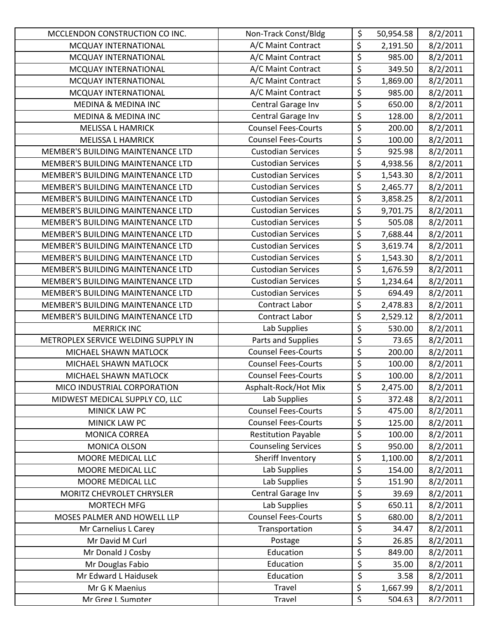| MCCLENDON CONSTRUCTION CO INC.      | Non-Track Const/Bldg       | \$                              | 50,954.58 | 8/2/2011 |
|-------------------------------------|----------------------------|---------------------------------|-----------|----------|
| MCQUAY INTERNATIONAL                | A/C Maint Contract         | \$                              | 2,191.50  | 8/2/2011 |
| MCQUAY INTERNATIONAL                | A/C Maint Contract         | $\overline{\xi}$                | 985.00    | 8/2/2011 |
| MCQUAY INTERNATIONAL                | A/C Maint Contract         | \$                              | 349.50    | 8/2/2011 |
| MCQUAY INTERNATIONAL                | A/C Maint Contract         | \$                              | 1,869.00  | 8/2/2011 |
| MCQUAY INTERNATIONAL                | A/C Maint Contract         | \$                              | 985.00    | 8/2/2011 |
| MEDINA & MEDINA INC                 | Central Garage Inv         | \$                              | 650.00    | 8/2/2011 |
| MEDINA & MEDINA INC                 | Central Garage Inv         | $\overline{\xi}$                | 128.00    | 8/2/2011 |
| <b>MELISSA L HAMRICK</b>            | <b>Counsel Fees-Courts</b> | $\overline{\xi}$                | 200.00    | 8/2/2011 |
| <b>MELISSA L HAMRICK</b>            | <b>Counsel Fees-Courts</b> | $\overline{\xi}$                | 100.00    | 8/2/2011 |
| MEMBER'S BUILDING MAINTENANCE LTD   | <b>Custodian Services</b>  | \$                              | 925.98    | 8/2/2011 |
| MEMBER'S BUILDING MAINTENANCE LTD   | <b>Custodian Services</b>  | \$                              | 4,938.56  | 8/2/2011 |
| MEMBER'S BUILDING MAINTENANCE LTD   | <b>Custodian Services</b>  | \$                              | 1,543.30  | 8/2/2011 |
| MEMBER'S BUILDING MAINTENANCE LTD   | <b>Custodian Services</b>  | \$                              | 2,465.77  | 8/2/2011 |
| MEMBER'S BUILDING MAINTENANCE LTD   | <b>Custodian Services</b>  | \$                              | 3,858.25  | 8/2/2011 |
| MEMBER'S BUILDING MAINTENANCE LTD   | <b>Custodian Services</b>  | $\overline{\xi}$                | 9,701.75  | 8/2/2011 |
| MEMBER'S BUILDING MAINTENANCE LTD   | <b>Custodian Services</b>  | $\overline{\varsigma}$          | 505.08    | 8/2/2011 |
| MEMBER'S BUILDING MAINTENANCE LTD   | <b>Custodian Services</b>  | \$                              | 7,688.44  | 8/2/2011 |
| MEMBER'S BUILDING MAINTENANCE LTD   | <b>Custodian Services</b>  | \$                              | 3,619.74  | 8/2/2011 |
| MEMBER'S BUILDING MAINTENANCE LTD   | <b>Custodian Services</b>  | \$                              | 1,543.30  | 8/2/2011 |
| MEMBER'S BUILDING MAINTENANCE LTD   | <b>Custodian Services</b>  | \$                              | 1,676.59  | 8/2/2011 |
| MEMBER'S BUILDING MAINTENANCE LTD   | <b>Custodian Services</b>  | \$                              | 1,234.64  | 8/2/2011 |
| MEMBER'S BUILDING MAINTENANCE LTD   | <b>Custodian Services</b>  | $\overline{\varsigma}$          | 694.49    | 8/2/2011 |
| MEMBER'S BUILDING MAINTENANCE LTD   | <b>Contract Labor</b>      | $\overline{\boldsymbol{\zeta}}$ | 2,478.83  | 8/2/2011 |
| MEMBER'S BUILDING MAINTENANCE LTD   | Contract Labor             | \$                              | 2,529.12  | 8/2/2011 |
| <b>MERRICK INC</b>                  | Lab Supplies               | \$                              | 530.00    | 8/2/2011 |
| METROPLEX SERVICE WELDING SUPPLY IN | Parts and Supplies         | \$                              | 73.65     | 8/2/2011 |
| MICHAEL SHAWN MATLOCK               | <b>Counsel Fees-Courts</b> | $\overline{\xi}$                | 200.00    | 8/2/2011 |
| MICHAEL SHAWN MATLOCK               | <b>Counsel Fees-Courts</b> | $\overline{\xi}$                | 100.00    | 8/2/2011 |
| MICHAEL SHAWN MATLOCK               | <b>Counsel Fees-Courts</b> | \$                              | 100.00    | 8/2/2011 |
| MICO INDUSTRIAL CORPORATION         | Asphalt-Rock/Hot Mix       | \$                              | 2,475.00  | 8/2/2011 |
| MIDWEST MEDICAL SUPPLY CO, LLC      | Lab Supplies               | \$                              | 372.48    | 8/2/2011 |
| MINICK LAW PC                       | <b>Counsel Fees-Courts</b> | \$                              | 475.00    | 8/2/2011 |
| MINICK LAW PC                       | <b>Counsel Fees-Courts</b> | \$                              | 125.00    | 8/2/2011 |
| MONICA CORREA                       | <b>Restitution Payable</b> | \$                              | 100.00    | 8/2/2011 |
| MONICA OLSON                        | <b>Counseling Services</b> | \$                              | 950.00    | 8/2/2011 |
| MOORE MEDICAL LLC                   | Sheriff Inventory          | \$                              | 1,100.00  | 8/2/2011 |
| MOORE MEDICAL LLC                   | Lab Supplies               | $\overline{\varsigma}$          | 154.00    | 8/2/2011 |
| MOORE MEDICAL LLC                   | Lab Supplies               | \$                              | 151.90    | 8/2/2011 |
| MORITZ CHEVROLET CHRYSLER           | Central Garage Inv         | \$                              | 39.69     | 8/2/2011 |
| <b>MORTECH MFG</b>                  | Lab Supplies               | \$                              | 650.11    | 8/2/2011 |
| MOSES PALMER AND HOWELL LLP         | <b>Counsel Fees-Courts</b> | \$                              | 680.00    | 8/2/2011 |
| Mr Carnelius L Carey                | Transportation             | \$                              | 34.47     | 8/2/2011 |
| Mr David M Curl                     | Postage                    | \$                              | 26.85     | 8/2/2011 |
| Mr Donald J Cosby                   | Education                  | \$                              | 849.00    | 8/2/2011 |
| Mr Douglas Fabio                    | Education                  | \$                              | 35.00     | 8/2/2011 |
| Mr Edward L Haidusek                | Education                  | \$                              | 3.58      | 8/2/2011 |
| Mr G K Maenius                      | Travel                     | \$                              | 1,667.99  | 8/2/2011 |
| Mr Greg L Sumnter                   | Travel                     | $\overline{\mathsf{S}}$         | 504.63    | 8/2/2011 |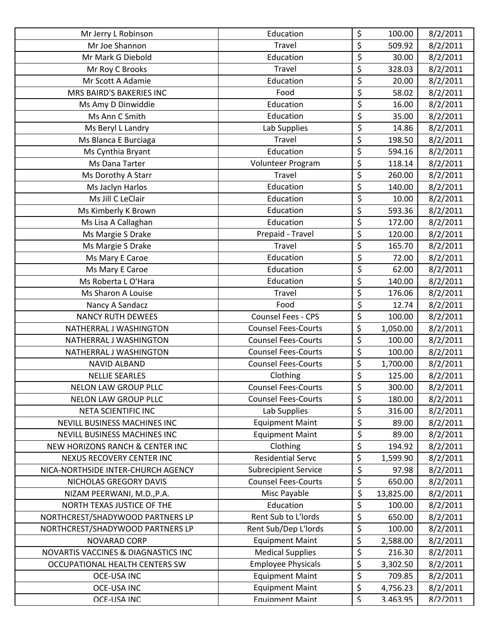| Mr Jerry L Robinson                 | Education                   | \$                        | 100.00    | 8/2/2011 |
|-------------------------------------|-----------------------------|---------------------------|-----------|----------|
| Mr Joe Shannon                      | Travel                      | \$                        | 509.92    | 8/2/2011 |
| Mr Mark G Diebold                   | Education                   | \$                        | 30.00     | 8/2/2011 |
| Mr Roy C Brooks                     | Travel                      | \$                        | 328.03    | 8/2/2011 |
| Mr Scott A Adamie                   | Education                   | \$                        | 20.00     | 8/2/2011 |
| MRS BAIRD'S BAKERIES INC            | Food                        | \$                        | 58.02     | 8/2/2011 |
| Ms Amy D Dinwiddie                  | Education                   | \$                        | 16.00     | 8/2/2011 |
| Ms Ann C Smith                      | Education                   | \$                        | 35.00     | 8/2/2011 |
| Ms Beryl L Landry                   | Lab Supplies                | \$                        | 14.86     | 8/2/2011 |
| Ms Blanca E Burciaga                | Travel                      | \$                        | 198.50    | 8/2/2011 |
| Ms Cynthia Bryant                   | Education                   | \$                        | 594.16    | 8/2/2011 |
| Ms Dana Tarter                      | Volunteer Program           | \$                        | 118.14    | 8/2/2011 |
| Ms Dorothy A Starr                  | Travel                      | \$                        | 260.00    | 8/2/2011 |
| Ms Jaclyn Harlos                    | Education                   | \$                        | 140.00    | 8/2/2011 |
| Ms Jill C LeClair                   | Education                   | \$                        | 10.00     | 8/2/2011 |
| Ms Kimberly K Brown                 | Education                   | \$                        | 593.36    | 8/2/2011 |
| Ms Lisa A Callaghan                 | Education                   | \$                        | 172.00    | 8/2/2011 |
| Ms Margie S Drake                   | Prepaid - Travel            | \$                        | 120.00    | 8/2/2011 |
| Ms Margie S Drake                   | Travel                      | \$                        | 165.70    | 8/2/2011 |
| Ms Mary E Caroe                     | Education                   | \$                        | 72.00     | 8/2/2011 |
| Ms Mary E Caroe                     | Education                   | \$                        | 62.00     | 8/2/2011 |
| Ms Roberta L O'Hara                 | Education                   | \$                        | 140.00    | 8/2/2011 |
| Ms Sharon A Louise                  | Travel                      | \$                        | 176.06    | 8/2/2011 |
| Nancy A Sandacz                     | Food                        | \$                        | 12.74     | 8/2/2011 |
| <b>NANCY RUTH DEWEES</b>            | <b>Counsel Fees - CPS</b>   | \$                        | 100.00    | 8/2/2011 |
| NATHERRAL J WASHINGTON              | <b>Counsel Fees-Courts</b>  | \$                        | 1,050.00  | 8/2/2011 |
| NATHERRAL J WASHINGTON              | <b>Counsel Fees-Courts</b>  | \$                        | 100.00    | 8/2/2011 |
| NATHERRAL J WASHINGTON              | <b>Counsel Fees-Courts</b>  | \$                        | 100.00    | 8/2/2011 |
| <b>NAVID ALBAND</b>                 | <b>Counsel Fees-Courts</b>  | \$                        | 1,700.00  | 8/2/2011 |
| <b>NELLIE SEARLES</b>               | Clothing                    | \$                        | 125.00    | 8/2/2011 |
| <b>NELON LAW GROUP PLLC</b>         | <b>Counsel Fees-Courts</b>  | \$                        | 300.00    | 8/2/2011 |
| <b>NELON LAW GROUP PLLC</b>         | <b>Counsel Fees-Courts</b>  | \$                        | 180.00    | 8/2/2011 |
| NETA SCIENTIFIC INC                 | Lab Supplies                | \$                        | 316.00    | 8/2/2011 |
| NEVILL BUSINESS MACHINES INC        | <b>Equipment Maint</b>      | \$                        | 89.00     | 8/2/2011 |
| NEVILL BUSINESS MACHINES INC        | <b>Equipment Maint</b>      | \$                        | 89.00     | 8/2/2011 |
| NEW HORIZONS RANCH & CENTER INC     | Clothing                    | \$                        | 194.92    | 8/2/2011 |
| NEXUS RECOVERY CENTER INC           | <b>Residential Servc</b>    | \$                        | 1,599.90  | 8/2/2011 |
| NICA-NORTHSIDE INTER-CHURCH AGENCY  | <b>Subrecipient Service</b> | \$                        | 97.98     | 8/2/2011 |
| NICHOLAS GREGORY DAVIS              | <b>Counsel Fees-Courts</b>  | \$                        | 650.00    | 8/2/2011 |
| NIZAM PEERWANI, M.D., P.A.          | Misc Payable                | \$                        | 13,825.00 | 8/2/2011 |
| NORTH TEXAS JUSTICE OF THE          | Education                   | \$                        | 100.00    | 8/2/2011 |
| NORTHCREST/SHADYWOOD PARTNERS LP    | Rent Sub to L'Iords         | \$                        | 650.00    | 8/2/2011 |
| NORTHCREST/SHADYWOOD PARTNERS LP    | Rent Sub/Dep L'Iords        | \$                        | 100.00    | 8/2/2011 |
| <b>NOVARAD CORP</b>                 | <b>Equipment Maint</b>      | \$                        | 2,588.00  | 8/2/2011 |
| NOVARTIS VACCINES & DIAGNASTICS INC | <b>Medical Supplies</b>     | \$                        | 216.30    | 8/2/2011 |
| OCCUPATIONAL HEALTH CENTERS SW      | <b>Employee Physicals</b>   | \$                        | 3,302.50  | 8/2/2011 |
| <b>OCE-USA INC</b>                  | <b>Equipment Maint</b>      | \$                        | 709.85    | 8/2/2011 |
| <b>OCE-USA INC</b>                  | <b>Equipment Maint</b>      | \$                        | 4,756.23  | 8/2/2011 |
| OCF-USA INC                         | <b>Fauinment Maint</b>      | $\boldsymbol{\mathsf{S}}$ | 3.463.95  | 8/2/2011 |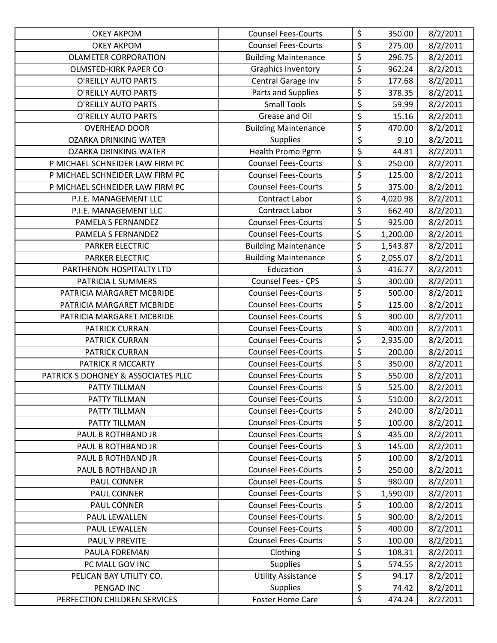| <b>OKEY AKPOM</b>                   | <b>Counsel Fees-Courts</b>  | \$                              | 350.00   | 8/2/2011 |
|-------------------------------------|-----------------------------|---------------------------------|----------|----------|
| <b>OKEY AKPOM</b>                   | <b>Counsel Fees-Courts</b>  | \$                              | 275.00   | 8/2/2011 |
| <b>OLAMETER CORPORATION</b>         | <b>Building Maintenance</b> | \$                              | 296.75   | 8/2/2011 |
| <b>OLMSTED-KIRK PAPER CO</b>        | <b>Graphics Inventory</b>   | \$                              | 962.24   | 8/2/2011 |
| O'REILLY AUTO PARTS                 | Central Garage Inv          | \$                              | 177.68   | 8/2/2011 |
| O'REILLY AUTO PARTS                 | Parts and Supplies          | $\overline{\xi}$                | 378.35   | 8/2/2011 |
| O'REILLY AUTO PARTS                 | <b>Small Tools</b>          | \$                              | 59.99    | 8/2/2011 |
| O'REILLY AUTO PARTS                 | Grease and Oil              | $\overline{\xi}$                | 15.16    | 8/2/2011 |
| <b>OVERHEAD DOOR</b>                | <b>Building Maintenance</b> | $\overline{\xi}$                | 470.00   | 8/2/2011 |
| <b>OZARKA DRINKING WATER</b>        | <b>Supplies</b>             | \$                              | 9.10     | 8/2/2011 |
| <b>OZARKA DRINKING WATER</b>        | Health Promo Pgrm           | $\overline{\xi}$                | 44.81    | 8/2/2011 |
| P MICHAEL SCHNEIDER LAW FIRM PC     | <b>Counsel Fees-Courts</b>  | \$                              | 250.00   | 8/2/2011 |
| P MICHAEL SCHNEIDER LAW FIRM PC     | <b>Counsel Fees-Courts</b>  | $\overline{\xi}$                | 125.00   | 8/2/2011 |
| P MICHAEL SCHNEIDER LAW FIRM PC     | <b>Counsel Fees-Courts</b>  | \$                              | 375.00   | 8/2/2011 |
| P.I.E. MANAGEMENT LLC               | <b>Contract Labor</b>       | \$                              | 4,020.98 | 8/2/2011 |
| P.I.E. MANAGEMENT LLC               | Contract Labor              | \$                              | 662.40   | 8/2/2011 |
| PAMELA S FERNANDEZ                  | <b>Counsel Fees-Courts</b>  | $\overline{\varsigma}$          | 925.00   | 8/2/2011 |
| PAMELA S FERNANDEZ                  | <b>Counsel Fees-Courts</b>  | \$                              | 1,200.00 | 8/2/2011 |
| PARKER ELECTRIC                     | <b>Building Maintenance</b> | \$                              | 1,543.87 | 8/2/2011 |
| <b>PARKER ELECTRIC</b>              | <b>Building Maintenance</b> | \$                              | 2,055.07 | 8/2/2011 |
| PARTHENON HOSPITALTY LTD            | Education                   | $\overline{\boldsymbol{\zeta}}$ | 416.77   | 8/2/2011 |
| PATRICIA L SUMMERS                  | Counsel Fees - CPS          | \$                              | 300.00   | 8/2/2011 |
| PATRICIA MARGARET MCBRIDE           | <b>Counsel Fees-Courts</b>  | $\overline{\varsigma}$          | 500.00   | 8/2/2011 |
| PATRICIA MARGARET MCBRIDE           | <b>Counsel Fees-Courts</b>  | $\overline{\boldsymbol{\zeta}}$ | 125.00   | 8/2/2011 |
| PATRICIA MARGARET MCBRIDE           | <b>Counsel Fees-Courts</b>  | \$                              | 300.00   | 8/2/2011 |
| PATRICK CURRAN                      | <b>Counsel Fees-Courts</b>  | \$                              | 400.00   | 8/2/2011 |
| PATRICK CURRAN                      | <b>Counsel Fees-Courts</b>  | \$                              | 2,935.00 | 8/2/2011 |
| <b>PATRICK CURRAN</b>               | <b>Counsel Fees-Courts</b>  | \$                              | 200.00   | 8/2/2011 |
| PATRICK R MCCARTY                   | <b>Counsel Fees-Courts</b>  | \$                              | 350.00   | 8/2/2011 |
| PATRICK S DOHONEY & ASSOCIATES PLLC | <b>Counsel Fees-Courts</b>  | \$                              | 550.00   | 8/2/2011 |
| PATTY TILLMAN                       | <b>Counsel Fees-Courts</b>  | $\overline{\xi}$                | 525.00   | 8/2/2011 |
| PATTY TILLMAN                       | <b>Counsel Fees-Courts</b>  | \$                              | 510.00   | 8/2/2011 |
| PATTY TILLMAN                       | <b>Counsel Fees-Courts</b>  | \$                              | 240.00   | 8/2/2011 |
| PATTY TILLMAN                       | <b>Counsel Fees-Courts</b>  | $\overline{\varsigma}$          | 100.00   | 8/2/2011 |
| PAUL B ROTHBAND JR                  | <b>Counsel Fees-Courts</b>  | \$                              | 435.00   | 8/2/2011 |
| PAUL B ROTHBAND JR                  | <b>Counsel Fees-Courts</b>  | \$                              | 145.00   | 8/2/2011 |
| PAUL B ROTHBAND JR                  | <b>Counsel Fees-Courts</b>  | \$                              | 100.00   | 8/2/2011 |
| PAUL B ROTHBAND JR                  | <b>Counsel Fees-Courts</b>  | \$                              | 250.00   | 8/2/2011 |
| PAUL CONNER                         | <b>Counsel Fees-Courts</b>  | \$                              | 980.00   | 8/2/2011 |
| PAUL CONNER                         | <b>Counsel Fees-Courts</b>  | \$                              | 1,590.00 | 8/2/2011 |
| PAUL CONNER                         | <b>Counsel Fees-Courts</b>  | \$                              | 100.00   | 8/2/2011 |
| PAUL LEWALLEN                       | <b>Counsel Fees-Courts</b>  | \$                              | 900.00   | 8/2/2011 |
| PAUL LEWALLEN                       | <b>Counsel Fees-Courts</b>  | \$                              | 400.00   | 8/2/2011 |
| PAUL V PREVITE                      | <b>Counsel Fees-Courts</b>  | \$                              | 100.00   | 8/2/2011 |
| PAULA FOREMAN                       | Clothing                    | \$                              | 108.31   | 8/2/2011 |
| PC MALL GOV INC                     | <b>Supplies</b>             | \$                              | 574.55   | 8/2/2011 |
| PELICAN BAY UTILITY CO.             | <b>Utility Assistance</b>   | \$                              | 94.17    | 8/2/2011 |
| PENGAD INC                          | <b>Supplies</b>             | \$                              | 74.42    | 8/2/2011 |
| PERFECTION CHILDREN SERVICES        | <b>Foster Home Care</b>     | $\boldsymbol{\mathsf{S}}$       | 474.24   | 8/2/2011 |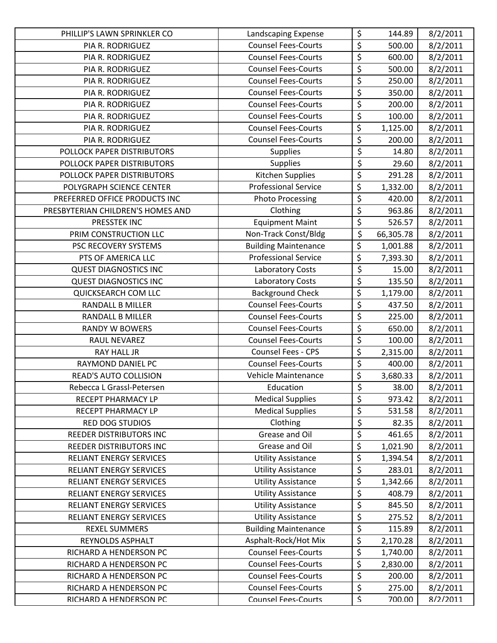| PHILLIP'S LAWN SPRINKLER CO       | Landscaping Expense         | \$                              | 144.89    | 8/2/2011 |
|-----------------------------------|-----------------------------|---------------------------------|-----------|----------|
| PIA R. RODRIGUEZ                  | <b>Counsel Fees-Courts</b>  | $\overline{\varsigma}$          | 500.00    | 8/2/2011 |
| PIA R. RODRIGUEZ                  | <b>Counsel Fees-Courts</b>  | $\overline{\xi}$                | 600.00    | 8/2/2011 |
| PIA R. RODRIGUEZ                  | <b>Counsel Fees-Courts</b>  | $\overline{\boldsymbol{\zeta}}$ | 500.00    | 8/2/2011 |
| PIA R. RODRIGUEZ                  | <b>Counsel Fees-Courts</b>  | $\overline{\xi}$                | 250.00    | 8/2/2011 |
| PIA R. RODRIGUEZ                  | <b>Counsel Fees-Courts</b>  | $\overline{\varsigma}$          | 350.00    | 8/2/2011 |
| PIA R. RODRIGUEZ                  | <b>Counsel Fees-Courts</b>  | \$                              | 200.00    | 8/2/2011 |
| PIA R. RODRIGUEZ                  | <b>Counsel Fees-Courts</b>  | $\overline{\xi}$                | 100.00    | 8/2/2011 |
| PIA R. RODRIGUEZ                  | <b>Counsel Fees-Courts</b>  | \$                              | 1,125.00  | 8/2/2011 |
| PIA R. RODRIGUEZ                  | <b>Counsel Fees-Courts</b>  | \$                              | 200.00    | 8/2/2011 |
| POLLOCK PAPER DISTRIBUTORS        | <b>Supplies</b>             | \$                              | 14.80     | 8/2/2011 |
| POLLOCK PAPER DISTRIBUTORS        | <b>Supplies</b>             | \$                              | 29.60     | 8/2/2011 |
| POLLOCK PAPER DISTRIBUTORS        | Kitchen Supplies            | \$                              | 291.28    | 8/2/2011 |
| POLYGRAPH SCIENCE CENTER          | <b>Professional Service</b> | \$                              | 1,332.00  | 8/2/2011 |
| PREFERRED OFFICE PRODUCTS INC     | <b>Photo Processing</b>     | $\overline{\xi}$                | 420.00    | 8/2/2011 |
| PRESBYTERIAN CHILDREN'S HOMES AND | Clothing                    | $\overline{\varsigma}$          | 963.86    | 8/2/2011 |
| PRESSTEK INC                      | <b>Equipment Maint</b>      | \$                              | 526.57    | 8/2/2011 |
| PRIM CONSTRUCTION LLC             | Non-Track Const/Bldg        | \$                              | 66,305.78 | 8/2/2011 |
| PSC RECOVERY SYSTEMS              | <b>Building Maintenance</b> | \$                              | 1,001.88  | 8/2/2011 |
| PTS OF AMERICA LLC                | <b>Professional Service</b> | \$                              | 7,393.30  | 8/2/2011 |
| <b>QUEST DIAGNOSTICS INC</b>      | Laboratory Costs            | \$                              | 15.00     | 8/2/2011 |
| <b>QUEST DIAGNOSTICS INC</b>      | Laboratory Costs            | $\overline{\xi}$                | 135.50    | 8/2/2011 |
| QUICKSEARCH COM LLC               | <b>Background Check</b>     | $\overline{\xi}$                | 1,179.00  | 8/2/2011 |
| <b>RANDALL B MILLER</b>           | <b>Counsel Fees-Courts</b>  | \$                              | 437.50    | 8/2/2011 |
| <b>RANDALL B MILLER</b>           | <b>Counsel Fees-Courts</b>  | \$                              | 225.00    | 8/2/2011 |
| <b>RANDY W BOWERS</b>             | <b>Counsel Fees-Courts</b>  | \$                              | 650.00    | 8/2/2011 |
| RAUL NEVAREZ                      | <b>Counsel Fees-Courts</b>  | $\overline{\xi}$                | 100.00    | 8/2/2011 |
| RAY HALL JR                       | Counsel Fees - CPS          | \$                              | 2,315.00  | 8/2/2011 |
| RAYMOND DANIEL PC                 | <b>Counsel Fees-Courts</b>  | $\overline{\xi}$                | 400.00    | 8/2/2011 |
| <b>READ'S AUTO COLLISION</b>      | Vehicle Maintenance         | \$                              | 3,680.33  | 8/2/2011 |
| Rebecca L Grassl-Petersen         | Education                   | $\overline{\xi}$                | 38.00     | 8/2/2011 |
| RECEPT PHARMACY LP                | <b>Medical Supplies</b>     | \$                              | 973.42    | 8/2/2011 |
| RECEPT PHARMACY LP                | <b>Medical Supplies</b>     | \$                              | 531.58    | 8/2/2011 |
| RED DOG STUDIOS                   | Clothing                    | $\overline{\boldsymbol{\zeta}}$ | 82.35     | 8/2/2011 |
| <b>REEDER DISTRIBUTORS INC</b>    | Grease and Oil              | \$                              | 461.65    | 8/2/2011 |
| <b>REEDER DISTRIBUTORS INC</b>    | Grease and Oil              | \$                              | 1,021.90  | 8/2/2011 |
| <b>RELIANT ENERGY SERVICES</b>    | <b>Utility Assistance</b>   | \$                              | 1,394.54  | 8/2/2011 |
| RELIANT ENERGY SERVICES           | <b>Utility Assistance</b>   | \$                              | 283.01    | 8/2/2011 |
| <b>RELIANT ENERGY SERVICES</b>    | <b>Utility Assistance</b>   | \$                              | 1,342.66  | 8/2/2011 |
| <b>RELIANT ENERGY SERVICES</b>    | <b>Utility Assistance</b>   | \$                              | 408.79    | 8/2/2011 |
| <b>RELIANT ENERGY SERVICES</b>    | <b>Utility Assistance</b>   | \$                              | 845.50    | 8/2/2011 |
| RELIANT ENERGY SERVICES           | <b>Utility Assistance</b>   | \$                              | 275.52    | 8/2/2011 |
| <b>REXEL SUMMERS</b>              | <b>Building Maintenance</b> | \$                              | 115.89    | 8/2/2011 |
| REYNOLDS ASPHALT                  | Asphalt-Rock/Hot Mix        | \$                              | 2,170.28  | 8/2/2011 |
| RICHARD A HENDERSON PC            | <b>Counsel Fees-Courts</b>  | \$                              | 1,740.00  | 8/2/2011 |
| RICHARD A HENDERSON PC            | <b>Counsel Fees-Courts</b>  | \$                              | 2,830.00  | 8/2/2011 |
| RICHARD A HENDERSON PC            | <b>Counsel Fees-Courts</b>  | \$                              | 200.00    | 8/2/2011 |
| RICHARD A HENDERSON PC            | <b>Counsel Fees-Courts</b>  | $\overline{\xi}$                | 275.00    | 8/2/2011 |
| RICHARD A HENDERSON PC            | <b>Counsel Fees-Courts</b>  | $\boldsymbol{\mathsf{S}}$       | 700.00    | 8/2/2011 |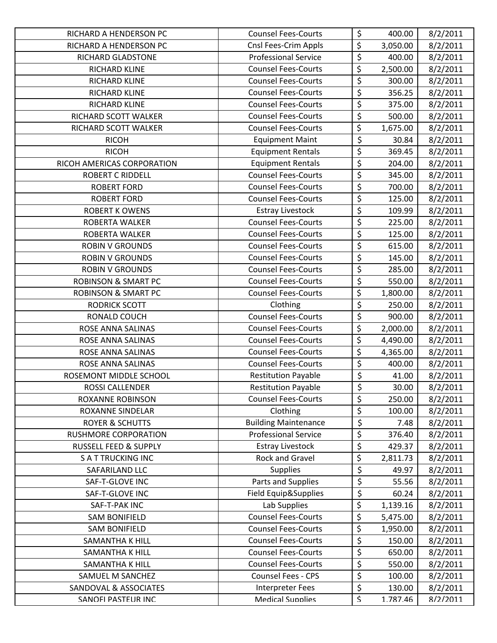| RICHARD A HENDERSON PC         | <b>Counsel Fees-Courts</b>  | \$                     | 400.00   | 8/2/2011 |
|--------------------------------|-----------------------------|------------------------|----------|----------|
| RICHARD A HENDERSON PC         | Cnsl Fees-Crim Appls        | \$                     | 3,050.00 | 8/2/2011 |
| RICHARD GLADSTONE              | <b>Professional Service</b> | $\overline{\xi}$       | 400.00   | 8/2/2011 |
| RICHARD KLINE                  | <b>Counsel Fees-Courts</b>  | \$                     | 2,500.00 | 8/2/2011 |
| RICHARD KLINE                  | <b>Counsel Fees-Courts</b>  | \$                     | 300.00   | 8/2/2011 |
| RICHARD KLINE                  | <b>Counsel Fees-Courts</b>  | $\overline{\varsigma}$ | 356.25   | 8/2/2011 |
| RICHARD KLINE                  | <b>Counsel Fees-Courts</b>  | \$                     | 375.00   | 8/2/2011 |
| RICHARD SCOTT WALKER           | <b>Counsel Fees-Courts</b>  | $\overline{\xi}$       | 500.00   | 8/2/2011 |
| RICHARD SCOTT WALKER           | <b>Counsel Fees-Courts</b>  | \$                     | 1,675.00 | 8/2/2011 |
| <b>RICOH</b>                   | <b>Equipment Maint</b>      | $\overline{\xi}$       | 30.84    | 8/2/2011 |
| <b>RICOH</b>                   | <b>Equipment Rentals</b>    | \$                     | 369.45   | 8/2/2011 |
| RICOH AMERICAS CORPORATION     | <b>Equipment Rentals</b>    | \$                     | 204.00   | 8/2/2011 |
| <b>ROBERT C RIDDELL</b>        | <b>Counsel Fees-Courts</b>  | \$                     | 345.00   | 8/2/2011 |
| <b>ROBERT FORD</b>             | <b>Counsel Fees-Courts</b>  | \$                     | 700.00   | 8/2/2011 |
| <b>ROBERT FORD</b>             | <b>Counsel Fees-Courts</b>  | $\overline{\xi}$       | 125.00   | 8/2/2011 |
| <b>ROBERT K OWENS</b>          | <b>Estray Livestock</b>     | \$                     | 109.99   | 8/2/2011 |
| ROBERTA WALKER                 | <b>Counsel Fees-Courts</b>  | \$                     | 225.00   | 8/2/2011 |
| <b>ROBERTA WALKER</b>          | <b>Counsel Fees-Courts</b>  | \$                     | 125.00   | 8/2/2011 |
| <b>ROBIN V GROUNDS</b>         | <b>Counsel Fees-Courts</b>  | $\overline{\xi}$       | 615.00   | 8/2/2011 |
| <b>ROBIN V GROUNDS</b>         | <b>Counsel Fees-Courts</b>  | $\overline{\xi}$       | 145.00   | 8/2/2011 |
| <b>ROBIN V GROUNDS</b>         | <b>Counsel Fees-Courts</b>  | \$                     | 285.00   | 8/2/2011 |
| <b>ROBINSON &amp; SMART PC</b> | <b>Counsel Fees-Courts</b>  | $\overline{\xi}$       | 550.00   | 8/2/2011 |
| <b>ROBINSON &amp; SMART PC</b> | <b>Counsel Fees-Courts</b>  | \$                     | 1,800.00 | 8/2/2011 |
| <b>RODRICK SCOTT</b>           | Clothing                    | \$                     | 250.00   | 8/2/2011 |
| RONALD COUCH                   | <b>Counsel Fees-Courts</b>  | $\overline{\xi}$       | 900.00   | 8/2/2011 |
| ROSE ANNA SALINAS              | <b>Counsel Fees-Courts</b>  | \$                     | 2,000.00 | 8/2/2011 |
| ROSE ANNA SALINAS              | <b>Counsel Fees-Courts</b>  | \$                     | 4,490.00 | 8/2/2011 |
| <b>ROSE ANNA SALINAS</b>       | <b>Counsel Fees-Courts</b>  | \$                     | 4,365.00 | 8/2/2011 |
| ROSE ANNA SALINAS              | <b>Counsel Fees-Courts</b>  | \$                     | 400.00   | 8/2/2011 |
| ROSEMONT MIDDLE SCHOOL         | <b>Restitution Payable</b>  | \$                     | 41.00    | 8/2/2011 |
| ROSSI CALLENDER                | <b>Restitution Payable</b>  | \$                     | 30.00    | 8/2/2011 |
| <b>ROXANNE ROBINSON</b>        | <b>Counsel Fees-Courts</b>  | \$                     | 250.00   | 8/2/2011 |
| <b>ROXANNE SINDELAR</b>        | Clothing                    | \$                     | 100.00   | 8/2/2011 |
| <b>ROYER &amp; SCHUTTS</b>     | <b>Building Maintenance</b> | $\overline{\varsigma}$ | 7.48     | 8/2/2011 |
| RUSHMORE CORPORATION           | <b>Professional Service</b> | \$                     | 376.40   | 8/2/2011 |
| RUSSELL FEED & SUPPLY          | <b>Estray Livestock</b>     | \$                     | 429.37   | 8/2/2011 |
| <b>SATTRUCKING INC</b>         | Rock and Gravel             | \$                     | 2,811.73 | 8/2/2011 |
| SAFARILAND LLC                 | <b>Supplies</b>             | $\overline{\xi}$       | 49.97    | 8/2/2011 |
| SAF-T-GLOVE INC                | Parts and Supplies          | \$                     | 55.56    | 8/2/2011 |
| SAF-T-GLOVE INC                | Field Equip&Supplies        | \$                     | 60.24    | 8/2/2011 |
| SAF-T-PAK INC                  | Lab Supplies                | \$                     | 1,139.16 | 8/2/2011 |
| <b>SAM BONIFIELD</b>           | <b>Counsel Fees-Courts</b>  | \$                     | 5,475.00 | 8/2/2011 |
| <b>SAM BONIFIELD</b>           | <b>Counsel Fees-Courts</b>  | \$                     | 1,950.00 | 8/2/2011 |
| <b>SAMANTHA K HILL</b>         | <b>Counsel Fees-Courts</b>  | \$                     | 150.00   | 8/2/2011 |
| SAMANTHA K HILL                | <b>Counsel Fees-Courts</b>  | \$                     | 650.00   | 8/2/2011 |
| <b>SAMANTHA K HILL</b>         | <b>Counsel Fees-Courts</b>  | \$                     | 550.00   | 8/2/2011 |
| SAMUEL M SANCHEZ               | Counsel Fees - CPS          | \$                     | 100.00   | 8/2/2011 |
| SANDOVAL & ASSOCIATES          | <b>Interpreter Fees</b>     | \$                     | 130.00   | 8/2/2011 |
| SANOFI PASTFUR INC             | <b>Medical Sunnlies</b>     | $\mathsf{S}$           | 1.787.46 | 8/2/2011 |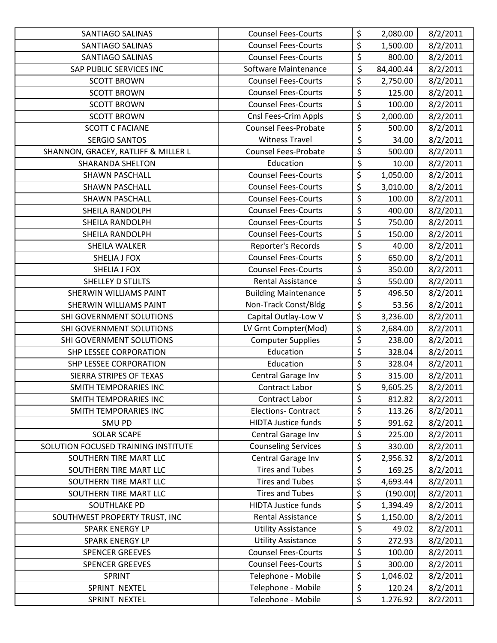| <b>SANTIAGO SALINAS</b>             | <b>Counsel Fees-Courts</b>  | \$                              | 2,080.00  | 8/2/2011 |
|-------------------------------------|-----------------------------|---------------------------------|-----------|----------|
| SANTIAGO SALINAS                    | <b>Counsel Fees-Courts</b>  | \$                              | 1,500.00  | 8/2/2011 |
| <b>SANTIAGO SALINAS</b>             | <b>Counsel Fees-Courts</b>  | \$                              | 800.00    | 8/2/2011 |
| SAP PUBLIC SERVICES INC             | Software Maintenance        | \$                              | 84,400.44 | 8/2/2011 |
| <b>SCOTT BROWN</b>                  | <b>Counsel Fees-Courts</b>  | \$                              | 2,750.00  | 8/2/2011 |
| <b>SCOTT BROWN</b>                  | <b>Counsel Fees-Courts</b>  | \$                              | 125.00    | 8/2/2011 |
| <b>SCOTT BROWN</b>                  | <b>Counsel Fees-Courts</b>  | \$                              | 100.00    | 8/2/2011 |
| <b>SCOTT BROWN</b>                  | <b>Cnsl Fees-Crim Appls</b> | \$                              | 2,000.00  | 8/2/2011 |
| <b>SCOTT C FACIANE</b>              | <b>Counsel Fees-Probate</b> | $\overline{\varsigma}$          | 500.00    | 8/2/2011 |
| <b>SERGIO SANTOS</b>                | <b>Witness Travel</b>       | \$                              | 34.00     | 8/2/2011 |
| SHANNON, GRACEY, RATLIFF & MILLER L | <b>Counsel Fees-Probate</b> | \$                              | 500.00    | 8/2/2011 |
| <b>SHARANDA SHELTON</b>             | Education                   | $\overline{\xi}$                | 10.00     | 8/2/2011 |
| <b>SHAWN PASCHALL</b>               | <b>Counsel Fees-Courts</b>  | \$                              | 1,050.00  | 8/2/2011 |
| <b>SHAWN PASCHALL</b>               | <b>Counsel Fees-Courts</b>  | \$                              | 3,010.00  | 8/2/2011 |
| <b>SHAWN PASCHALL</b>               | <b>Counsel Fees-Courts</b>  | $\overline{\xi}$                | 100.00    | 8/2/2011 |
| SHEILA RANDOLPH                     | <b>Counsel Fees-Courts</b>  | $\overline{\varsigma}$          | 400.00    | 8/2/2011 |
| SHEILA RANDOLPH                     | <b>Counsel Fees-Courts</b>  | \$                              | 750.00    | 8/2/2011 |
| SHEILA RANDOLPH                     | <b>Counsel Fees-Courts</b>  | $\overline{\xi}$                | 150.00    | 8/2/2011 |
| SHEILA WALKER                       | Reporter's Records          | \$                              | 40.00     | 8/2/2011 |
| <b>SHELIA J FOX</b>                 | <b>Counsel Fees-Courts</b>  | \$                              | 650.00    | 8/2/2011 |
| SHELIA J FOX                        | <b>Counsel Fees-Courts</b>  | $\overline{\xi}$                | 350.00    | 8/2/2011 |
| <b>SHELLEY D STULTS</b>             | <b>Rental Assistance</b>    | $\overline{\xi}$                | 550.00    | 8/2/2011 |
| SHERWIN WILLIAMS PAINT              | <b>Building Maintenance</b> | $\overline{\varsigma}$          | 496.50    | 8/2/2011 |
| <b>SHERWIN WILLIAMS PAINT</b>       | Non-Track Const/Bldg        | \$                              | 53.56     | 8/2/2011 |
| SHI GOVERNMENT SOLUTIONS            | Capital Outlay-Low V        | \$                              | 3,236.00  | 8/2/2011 |
| SHI GOVERNMENT SOLUTIONS            | LV Grnt Compter(Mod)        | \$                              | 2,684.00  | 8/2/2011 |
| SHI GOVERNMENT SOLUTIONS            | <b>Computer Supplies</b>    | \$                              | 238.00    | 8/2/2011 |
| SHP LESSEE CORPORATION              | Education                   | \$                              | 328.04    | 8/2/2011 |
| <b>SHP LESSEE CORPORATION</b>       | Education                   | \$                              | 328.04    | 8/2/2011 |
| SIERRA STRIPES OF TEXAS             | Central Garage Inv          | \$                              | 315.00    | 8/2/2011 |
| <b>SMITH TEMPORARIES INC</b>        | Contract Labor              | \$                              | 9,605.25  | 8/2/2011 |
| SMITH TEMPORARIES INC               | Contract Labor              | \$                              | 812.82    | 8/2/2011 |
| <b>SMITH TEMPORARIES INC</b>        | <b>Elections- Contract</b>  | \$                              | 113.26    | 8/2/2011 |
| SMU PD                              | <b>HIDTA Justice funds</b>  | $\overline{\boldsymbol{\zeta}}$ | 991.62    | 8/2/2011 |
| <b>SOLAR SCAPE</b>                  | Central Garage Inv          | \$                              | 225.00    | 8/2/2011 |
| SOLUTION FOCUSED TRAINING INSTITUTE | <b>Counseling Services</b>  | \$                              | 330.00    | 8/2/2011 |
| SOUTHERN TIRE MART LLC              | Central Garage Inv          | \$                              | 2,956.32  | 8/2/2011 |
| SOUTHERN TIRE MART LLC              | <b>Tires and Tubes</b>      | \$                              | 169.25    | 8/2/2011 |
| SOUTHERN TIRE MART LLC              | <b>Tires and Tubes</b>      | \$                              | 4,693.44  | 8/2/2011 |
| SOUTHERN TIRE MART LLC              | <b>Tires and Tubes</b>      | \$                              | (190.00)  | 8/2/2011 |
| SOUTHLAKE PD                        | <b>HIDTA Justice funds</b>  | \$                              | 1,394.49  | 8/2/2011 |
| SOUTHWEST PROPERTY TRUST, INC       | <b>Rental Assistance</b>    | \$                              | 1,150.00  | 8/2/2011 |
| <b>SPARK ENERGY LP</b>              | <b>Utility Assistance</b>   | $\overline{\boldsymbol{\zeta}}$ | 49.02     | 8/2/2011 |
| <b>SPARK ENERGY LP</b>              | <b>Utility Assistance</b>   | \$                              | 272.93    | 8/2/2011 |
| <b>SPENCER GREEVES</b>              | <b>Counsel Fees-Courts</b>  | $\overline{\varsigma}$          | 100.00    | 8/2/2011 |
| <b>SPENCER GREEVES</b>              | <b>Counsel Fees-Courts</b>  | $\overline{\xi}$                | 300.00    | 8/2/2011 |
| SPRINT                              | Telephone - Mobile          | \$                              | 1,046.02  | 8/2/2011 |
| SPRINT NEXTEL                       | Telephone - Mobile          | \$                              | 120.24    | 8/2/2011 |
| SPRINT NFXTFL                       | Telenhone - Mobile          | $\overline{\mathcal{S}}$        | 1.276.92  | 8/2/2011 |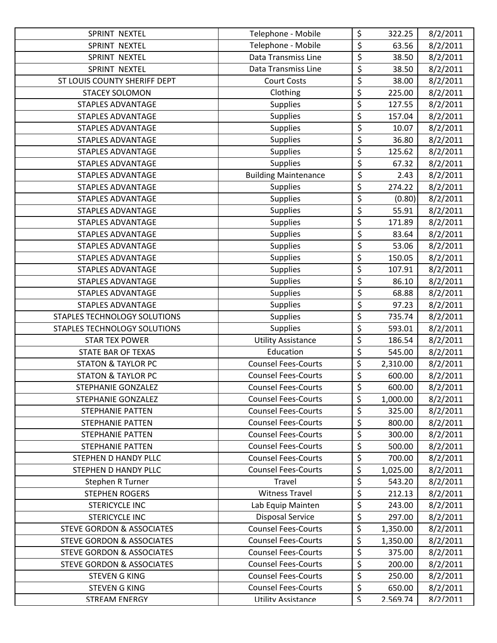| SPRINT NEXTEL                        | Telephone - Mobile          | \$                       | 322.25   | 8/2/2011 |
|--------------------------------------|-----------------------------|--------------------------|----------|----------|
| SPRINT NEXTEL                        | Telephone - Mobile          | \$                       | 63.56    | 8/2/2011 |
| SPRINT NEXTEL                        | Data Transmiss Line         | \$                       | 38.50    | 8/2/2011 |
| SPRINT NEXTEL                        | Data Transmiss Line         | \$                       | 38.50    | 8/2/2011 |
| ST LOUIS COUNTY SHERIFF DEPT         | <b>Court Costs</b>          | \$                       | 38.00    | 8/2/2011 |
| <b>STACEY SOLOMON</b>                | Clothing                    | \$                       | 225.00   | 8/2/2011 |
| <b>STAPLES ADVANTAGE</b>             | <b>Supplies</b>             | \$                       | 127.55   | 8/2/2011 |
| STAPLES ADVANTAGE                    | <b>Supplies</b>             | \$                       | 157.04   | 8/2/2011 |
| STAPLES ADVANTAGE                    | <b>Supplies</b>             | $\overline{\varsigma}$   | 10.07    | 8/2/2011 |
| <b>STAPLES ADVANTAGE</b>             | <b>Supplies</b>             | \$                       | 36.80    | 8/2/2011 |
| STAPLES ADVANTAGE                    | <b>Supplies</b>             | \$                       | 125.62   | 8/2/2011 |
| <b>STAPLES ADVANTAGE</b>             | <b>Supplies</b>             | $\overline{\xi}$         | 67.32    | 8/2/2011 |
| STAPLES ADVANTAGE                    | <b>Building Maintenance</b> | $\overline{\varsigma}$   | 2.43     | 8/2/2011 |
| <b>STAPLES ADVANTAGE</b>             | <b>Supplies</b>             | $\overline{\xi}$         | 274.22   | 8/2/2011 |
| <b>STAPLES ADVANTAGE</b>             | <b>Supplies</b>             | $\overline{\xi}$         | (0.80)   | 8/2/2011 |
| <b>STAPLES ADVANTAGE</b>             | <b>Supplies</b>             | \$                       | 55.91    | 8/2/2011 |
| <b>STAPLES ADVANTAGE</b>             | <b>Supplies</b>             | \$                       | 171.89   | 8/2/2011 |
| <b>STAPLES ADVANTAGE</b>             | <b>Supplies</b>             | $\overline{\xi}$         | 83.64    | 8/2/2011 |
| <b>STAPLES ADVANTAGE</b>             | <b>Supplies</b>             | \$                       | 53.06    | 8/2/2011 |
| <b>STAPLES ADVANTAGE</b>             | <b>Supplies</b>             | \$                       | 150.05   | 8/2/2011 |
| <b>STAPLES ADVANTAGE</b>             | <b>Supplies</b>             | \$                       | 107.91   | 8/2/2011 |
| <b>STAPLES ADVANTAGE</b>             | <b>Supplies</b>             | \$                       | 86.10    | 8/2/2011 |
| STAPLES ADVANTAGE                    | <b>Supplies</b>             | $\overline{\xi}$         | 68.88    | 8/2/2011 |
| <b>STAPLES ADVANTAGE</b>             | <b>Supplies</b>             | $\overline{\xi}$         | 97.23    | 8/2/2011 |
| STAPLES TECHNOLOGY SOLUTIONS         | <b>Supplies</b>             | \$                       | 735.74   | 8/2/2011 |
| STAPLES TECHNOLOGY SOLUTIONS         | <b>Supplies</b>             | \$                       | 593.01   | 8/2/2011 |
| <b>STAR TEX POWER</b>                | <b>Utility Assistance</b>   | \$                       | 186.54   | 8/2/2011 |
| STATE BAR OF TEXAS                   | Education                   | \$                       | 545.00   | 8/2/2011 |
| <b>STATON &amp; TAYLOR PC</b>        | <b>Counsel Fees-Courts</b>  | \$                       | 2,310.00 | 8/2/2011 |
| <b>STATON &amp; TAYLOR PC</b>        | <b>Counsel Fees-Courts</b>  | \$                       | 600.00   | 8/2/2011 |
| STEPHANIE GONZALEZ                   | <b>Counsel Fees-Courts</b>  | $\overline{\xi}$         | 600.00   | 8/2/2011 |
| STEPHANIE GONZALEZ                   | <b>Counsel Fees-Courts</b>  | \$                       | 1,000.00 | 8/2/2011 |
| <b>STEPHANIE PATTEN</b>              | <b>Counsel Fees-Courts</b>  | \$                       | 325.00   | 8/2/2011 |
| <b>STEPHANIE PATTEN</b>              | <b>Counsel Fees-Courts</b>  | $\overline{\mathcal{L}}$ | 800.00   | 8/2/2011 |
| <b>STEPHANIE PATTEN</b>              | <b>Counsel Fees-Courts</b>  | \$                       | 300.00   | 8/2/2011 |
| <b>STEPHANIE PATTEN</b>              | <b>Counsel Fees-Courts</b>  | \$                       | 500.00   | 8/2/2011 |
| STEPHEN D HANDY PLLC                 | <b>Counsel Fees-Courts</b>  | \$                       | 700.00   | 8/2/2011 |
| <b>STEPHEN D HANDY PLLC</b>          | <b>Counsel Fees-Courts</b>  | \$                       | 1,025.00 | 8/2/2011 |
| Stephen R Turner                     | Travel                      | \$                       | 543.20   | 8/2/2011 |
| <b>STEPHEN ROGERS</b>                | <b>Witness Travel</b>       | \$                       | 212.13   | 8/2/2011 |
| <b>STERICYCLE INC</b>                | Lab Equip Mainten           | \$                       | 243.00   | 8/2/2011 |
| <b>STERICYCLE INC</b>                | <b>Disposal Service</b>     | \$                       | 297.00   | 8/2/2011 |
| <b>STEVE GORDON &amp; ASSOCIATES</b> | <b>Counsel Fees-Courts</b>  | \$                       | 1,350.00 | 8/2/2011 |
| <b>STEVE GORDON &amp; ASSOCIATES</b> | <b>Counsel Fees-Courts</b>  | \$                       | 1,350.00 | 8/2/2011 |
| <b>STEVE GORDON &amp; ASSOCIATES</b> | <b>Counsel Fees-Courts</b>  | \$                       | 375.00   | 8/2/2011 |
| <b>STEVE GORDON &amp; ASSOCIATES</b> | <b>Counsel Fees-Courts</b>  | \$                       | 200.00   | 8/2/2011 |
| <b>STEVEN G KING</b>                 | <b>Counsel Fees-Courts</b>  | \$                       | 250.00   | 8/2/2011 |
| <b>STEVEN G KING</b>                 | <b>Counsel Fees-Courts</b>  | \$                       | 650.00   | 8/2/2011 |
| <b>STRFAM FNFRGY</b>                 | Utility Assistance          | $\mathsf{S}$             | 2.569.74 | 8/2/2011 |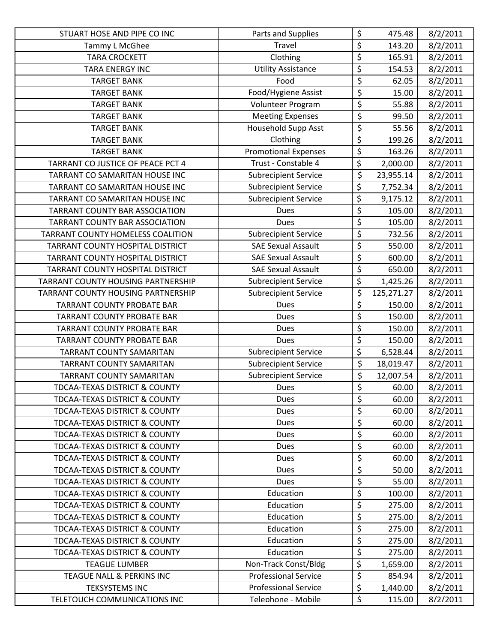| STUART HOSE AND PIPE CO INC              | Parts and Supplies          | \$                              | 475.48     | 8/2/2011 |
|------------------------------------------|-----------------------------|---------------------------------|------------|----------|
| Tammy L McGhee                           | Travel                      | \$                              | 143.20     | 8/2/2011 |
| <b>TARA CROCKETT</b>                     | Clothing                    | $\overline{\boldsymbol{\zeta}}$ | 165.91     | 8/2/2011 |
| <b>TARA ENERGY INC</b>                   | <b>Utility Assistance</b>   | \$                              | 154.53     | 8/2/2011 |
| <b>TARGET BANK</b>                       | Food                        | $\overline{\xi}$                | 62.05      | 8/2/2011 |
| <b>TARGET BANK</b>                       | Food/Hygiene Assist         | \$                              | 15.00      | 8/2/2011 |
| <b>TARGET BANK</b>                       | Volunteer Program           | \$                              | 55.88      | 8/2/2011 |
| <b>TARGET BANK</b>                       | <b>Meeting Expenses</b>     | \$                              | 99.50      | 8/2/2011 |
| <b>TARGET BANK</b>                       | <b>Household Supp Asst</b>  | \$                              | 55.56      | 8/2/2011 |
| <b>TARGET BANK</b>                       | Clothing                    | \$                              | 199.26     | 8/2/2011 |
| <b>TARGET BANK</b>                       | <b>Promotional Expenses</b> | \$                              | 163.26     | 8/2/2011 |
| TARRANT CO JUSTICE OF PEACE PCT 4        | Trust - Constable 4         | \$                              | 2,000.00   | 8/2/2011 |
| TARRANT CO SAMARITAN HOUSE INC           | <b>Subrecipient Service</b> | $\overline{\boldsymbol{\zeta}}$ | 23,955.14  | 8/2/2011 |
| TARRANT CO SAMARITAN HOUSE INC           | <b>Subrecipient Service</b> | \$                              | 7,752.34   | 8/2/2011 |
| TARRANT CO SAMARITAN HOUSE INC           | <b>Subrecipient Service</b> | \$                              | 9,175.12   | 8/2/2011 |
| TARRANT COUNTY BAR ASSOCIATION           | <b>Dues</b>                 | \$                              | 105.00     | 8/2/2011 |
| TARRANT COUNTY BAR ASSOCIATION           | <b>Dues</b>                 | $\overline{\boldsymbol{\zeta}}$ | 105.00     | 8/2/2011 |
| TARRANT COUNTY HOMELESS COALITION        | <b>Subrecipient Service</b> | \$                              | 732.56     | 8/2/2011 |
| TARRANT COUNTY HOSPITAL DISTRICT         | <b>SAE Sexual Assault</b>   | \$                              | 550.00     | 8/2/2011 |
| TARRANT COUNTY HOSPITAL DISTRICT         | <b>SAE Sexual Assault</b>   | \$                              | 600.00     | 8/2/2011 |
| TARRANT COUNTY HOSPITAL DISTRICT         | <b>SAE Sexual Assault</b>   | \$                              | 650.00     | 8/2/2011 |
| TARRANT COUNTY HOUSING PARTNERSHIP       | <b>Subrecipient Service</b> | \$                              | 1,425.26   | 8/2/2011 |
| TARRANT COUNTY HOUSING PARTNERSHIP       | <b>Subrecipient Service</b> | \$                              | 125,271.27 | 8/2/2011 |
| <b>TARRANT COUNTY PROBATE BAR</b>        | <b>Dues</b>                 | \$                              | 150.00     | 8/2/2011 |
| <b>TARRANT COUNTY PROBATE BAR</b>        | <b>Dues</b>                 | \$                              | 150.00     | 8/2/2011 |
| <b>TARRANT COUNTY PROBATE BAR</b>        | Dues                        | \$                              | 150.00     | 8/2/2011 |
| <b>TARRANT COUNTY PROBATE BAR</b>        | Dues                        | \$                              | 150.00     | 8/2/2011 |
| TARRANT COUNTY SAMARITAN                 | <b>Subrecipient Service</b> | \$                              | 6,528.44   | 8/2/2011 |
| <b>TARRANT COUNTY SAMARITAN</b>          | <b>Subrecipient Service</b> | \$                              | 18,019.47  | 8/2/2011 |
| TARRANT COUNTY SAMARITAN                 | <b>Subrecipient Service</b> | \$                              | 12,007.54  | 8/2/2011 |
| <b>TDCAA-TEXAS DISTRICT &amp; COUNTY</b> | Dues                        | \$                              | 60.00      | 8/2/2011 |
| <b>TDCAA-TEXAS DISTRICT &amp; COUNTY</b> | Dues                        | \$                              | 60.00      | 8/2/2011 |
| <b>TDCAA-TEXAS DISTRICT &amp; COUNTY</b> | Dues                        | \$                              | 60.00      | 8/2/2011 |
| <b>TDCAA-TEXAS DISTRICT &amp; COUNTY</b> | Dues                        | \$                              | 60.00      | 8/2/2011 |
| <b>TDCAA-TEXAS DISTRICT &amp; COUNTY</b> | <b>Dues</b>                 | \$                              | 60.00      | 8/2/2011 |
| TDCAA-TEXAS DISTRICT & COUNTY            | <b>Dues</b>                 | \$                              | 60.00      | 8/2/2011 |
| <b>TDCAA-TEXAS DISTRICT &amp; COUNTY</b> | Dues                        | \$                              | 60.00      | 8/2/2011 |
| TDCAA-TEXAS DISTRICT & COUNTY            | Dues                        | \$                              | 50.00      | 8/2/2011 |
| <b>TDCAA-TEXAS DISTRICT &amp; COUNTY</b> | <b>Dues</b>                 | \$                              | 55.00      | 8/2/2011 |
| TDCAA-TEXAS DISTRICT & COUNTY            | Education                   | \$                              | 100.00     | 8/2/2011 |
| TDCAA-TEXAS DISTRICT & COUNTY            | Education                   | \$                              | 275.00     | 8/2/2011 |
| <b>TDCAA-TEXAS DISTRICT &amp; COUNTY</b> | Education                   | \$                              | 275.00     | 8/2/2011 |
| <b>TDCAA-TEXAS DISTRICT &amp; COUNTY</b> | Education                   | \$                              | 275.00     | 8/2/2011 |
| TDCAA-TEXAS DISTRICT & COUNTY            | Education                   | \$                              | 275.00     | 8/2/2011 |
| TDCAA-TEXAS DISTRICT & COUNTY            | Education                   | \$                              | 275.00     | 8/2/2011 |
| <b>TEAGUE LUMBER</b>                     | Non-Track Const/Bldg        | \$                              | 1,659.00   | 8/2/2011 |
| TEAGUE NALL & PERKINS INC                | <b>Professional Service</b> | \$                              | 854.94     | 8/2/2011 |
| <b>TEKSYSTEMS INC</b>                    | <b>Professional Service</b> | \$                              | 1,440.00   | 8/2/2011 |
| TELETOUCH COMMUNICATIONS INC.            | Telenhone - Mobile          | $\boldsymbol{\mathsf{S}}$       | 115.00     | 8/2/2011 |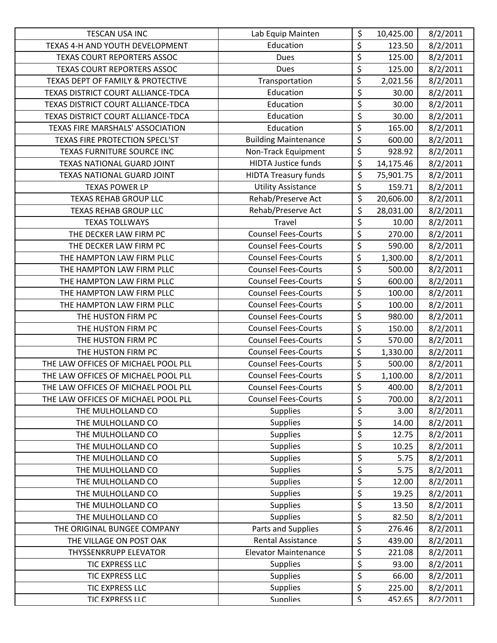| <b>TESCAN USA INC</b>               | Lab Equip Mainten           | \$                              | 10,425.00 | 8/2/2011 |
|-------------------------------------|-----------------------------|---------------------------------|-----------|----------|
| TEXAS 4-H AND YOUTH DEVELOPMENT     | Education                   | \$                              | 123.50    | 8/2/2011 |
| TEXAS COURT REPORTERS ASSOC         | <b>Dues</b>                 | \$                              | 125.00    | 8/2/2011 |
| TEXAS COURT REPORTERS ASSOC         | Dues                        | \$                              | 125.00    | 8/2/2011 |
| TEXAS DEPT OF FAMILY & PROTECTIVE   | Transportation              | \$                              | 2,021.56  | 8/2/2011 |
| TEXAS DISTRICT COURT ALLIANCE-TDCA  | Education                   | \$                              | 30.00     | 8/2/2011 |
| TEXAS DISTRICT COURT ALLIANCE-TDCA  | Education                   | \$                              | 30.00     | 8/2/2011 |
| TEXAS DISTRICT COURT ALLIANCE-TDCA  | Education                   | $\overline{\xi}$                | 30.00     | 8/2/2011 |
| TEXAS FIRE MARSHALS' ASSOCIATION    | Education                   | \$                              | 165.00    | 8/2/2011 |
| TEXAS FIRE PROTECTION SPECL'ST      | <b>Building Maintenance</b> | $\overline{\boldsymbol{\zeta}}$ | 600.00    | 8/2/2011 |
| TEXAS FURNITURE SOURCE INC          | Non-Track Equipment         | \$                              | 928.92    | 8/2/2011 |
| TEXAS NATIONAL GUARD JOINT          | <b>HIDTA Justice funds</b>  | \$                              | 14,175.46 | 8/2/2011 |
| TEXAS NATIONAL GUARD JOINT          | <b>HIDTA Treasury funds</b> | \$                              | 75,901.75 | 8/2/2011 |
| <b>TEXAS POWER LP</b>               | <b>Utility Assistance</b>   | \$                              | 159.71    | 8/2/2011 |
| <b>TEXAS REHAB GROUP LLC</b>        | Rehab/Preserve Act          | \$                              | 20,606.00 | 8/2/2011 |
| <b>TEXAS REHAB GROUP LLC</b>        | Rehab/Preserve Act          | \$                              | 28,031.00 | 8/2/2011 |
| <b>TEXAS TOLLWAYS</b>               | Travel                      | $\overline{\varsigma}$          | 10.00     | 8/2/2011 |
| THE DECKER LAW FIRM PC              | <b>Counsel Fees-Courts</b>  | \$                              | 270.00    | 8/2/2011 |
| THE DECKER LAW FIRM PC              | <b>Counsel Fees-Courts</b>  | \$                              | 590.00    | 8/2/2011 |
| THE HAMPTON LAW FIRM PLLC           | <b>Counsel Fees-Courts</b>  | \$                              | 1,300.00  | 8/2/2011 |
| THE HAMPTON LAW FIRM PLLC           | <b>Counsel Fees-Courts</b>  | \$                              | 500.00    | 8/2/2011 |
| THE HAMPTON LAW FIRM PLLC           | <b>Counsel Fees-Courts</b>  | \$                              | 600.00    | 8/2/2011 |
| THE HAMPTON LAW FIRM PLLC           | <b>Counsel Fees-Courts</b>  | $\overline{\varsigma}$          | 100.00    | 8/2/2011 |
| THE HAMPTON LAW FIRM PLLC           | <b>Counsel Fees-Courts</b>  | \$                              | 100.00    | 8/2/2011 |
| THE HUSTON FIRM PC                  | <b>Counsel Fees-Courts</b>  | \$                              | 980.00    | 8/2/2011 |
| THE HUSTON FIRM PC                  | <b>Counsel Fees-Courts</b>  | \$                              | 150.00    | 8/2/2011 |
| THE HUSTON FIRM PC                  | <b>Counsel Fees-Courts</b>  | \$                              | 570.00    | 8/2/2011 |
| THE HUSTON FIRM PC                  | <b>Counsel Fees-Courts</b>  | \$                              | 1,330.00  | 8/2/2011 |
| THE LAW OFFICES OF MICHAEL POOL PLL | <b>Counsel Fees-Courts</b>  | \$                              | 500.00    | 8/2/2011 |
| THE LAW OFFICES OF MICHAEL POOL PLL | <b>Counsel Fees-Courts</b>  | \$                              | 1,100.00  | 8/2/2011 |
| THE LAW OFFICES OF MICHAEL POOL PLL | <b>Counsel Fees-Courts</b>  | $\overline{\boldsymbol{\zeta}}$ | 400.00    | 8/2/2011 |
| THE LAW OFFICES OF MICHAEL POOL PLL | <b>Counsel Fees-Courts</b>  | \$                              | 700.00    | 8/2/2011 |
| THE MULHOLLAND CO                   | <b>Supplies</b>             | \$                              | 3.00      | 8/2/2011 |
| THE MULHOLLAND CO                   | <b>Supplies</b>             | $\overline{\xi}$                | 14.00     | 8/2/2011 |
| THE MULHOLLAND CO                   | <b>Supplies</b>             | \$                              | 12.75     | 8/2/2011 |
| THE MULHOLLAND CO                   | <b>Supplies</b>             | $\overline{\xi}$                | 10.25     | 8/2/2011 |
| THE MULHOLLAND CO                   | <b>Supplies</b>             | \$                              | 5.75      | 8/2/2011 |
| THE MULHOLLAND CO                   | <b>Supplies</b>             | $\overline{\xi}$                | 5.75      | 8/2/2011 |
| THE MULHOLLAND CO                   | <b>Supplies</b>             | \$                              | 12.00     | 8/2/2011 |
| THE MULHOLLAND CO                   | <b>Supplies</b>             | \$                              | 19.25     | 8/2/2011 |
| THE MULHOLLAND CO                   | Supplies                    | $\overline{\xi}$                | 13.50     | 8/2/2011 |
| THE MULHOLLAND CO                   | <b>Supplies</b>             | \$                              | 82.50     | 8/2/2011 |
| THE ORIGINAL BUNGEE COMPANY         | Parts and Supplies          | \$                              | 276.46    | 8/2/2011 |
| THE VILLAGE ON POST OAK             | <b>Rental Assistance</b>    | \$                              | 439.00    | 8/2/2011 |
| <b>THYSSENKRUPP ELEVATOR</b>        | <b>Elevator Maintenance</b> | \$                              | 221.08    | 8/2/2011 |
| TIC EXPRESS LLC                     | <b>Supplies</b>             | \$                              | 93.00     | 8/2/2011 |
| TIC EXPRESS LLC                     | Supplies                    | \$                              | 66.00     | 8/2/2011 |
| TIC EXPRESS LLC                     | <b>Supplies</b>             | \$                              | 225.00    | 8/2/2011 |
| TIC FXPRFSS LLC                     | <b>Sunnlies</b>             | $\overline{\mathcal{S}}$        | 452.65    | 8/2/2011 |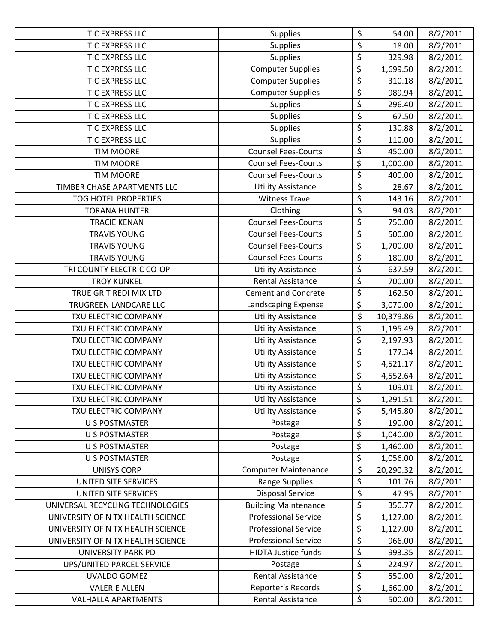| <b>TIC EXPRESS LLC</b>            | <b>Supplies</b>             | \$                              | 54.00     | 8/2/2011 |
|-----------------------------------|-----------------------------|---------------------------------|-----------|----------|
| <b>TIC EXPRESS LLC</b>            | <b>Supplies</b>             | $\overline{\xi}$                | 18.00     | 8/2/2011 |
| TIC EXPRESS LLC                   | <b>Supplies</b>             | \$                              | 329.98    | 8/2/2011 |
| <b>TIC EXPRESS LLC</b>            | <b>Computer Supplies</b>    | \$                              | 1,699.50  | 8/2/2011 |
| <b>TIC EXPRESS LLC</b>            | <b>Computer Supplies</b>    | \$                              | 310.18    | 8/2/2011 |
| TIC EXPRESS LLC                   | <b>Computer Supplies</b>    | $\overline{\xi}$                | 989.94    | 8/2/2011 |
| TIC EXPRESS LLC                   | <b>Supplies</b>             | \$                              | 296.40    | 8/2/2011 |
| <b>TIC EXPRESS LLC</b>            | <b>Supplies</b>             | $\overline{\xi}$                | 67.50     | 8/2/2011 |
| <b>TIC EXPRESS LLC</b>            | <b>Supplies</b>             | $\overline{\xi}$                | 130.88    | 8/2/2011 |
| TIC EXPRESS LLC                   | <b>Supplies</b>             | \$                              | 110.00    | 8/2/2011 |
| <b>TIM MOORE</b>                  | <b>Counsel Fees-Courts</b>  | \$                              | 450.00    | 8/2/2011 |
| <b>TIM MOORE</b>                  | <b>Counsel Fees-Courts</b>  | \$                              | 1,000.00  | 8/2/2011 |
| <b>TIM MOORE</b>                  | <b>Counsel Fees-Courts</b>  | $\overline{\boldsymbol{\zeta}}$ | 400.00    | 8/2/2011 |
| TIMBER CHASE APARTMENTS LLC       | <b>Utility Assistance</b>   | \$                              | 28.67     | 8/2/2011 |
| <b>TOG HOTEL PROPERTIES</b>       | <b>Witness Travel</b>       | \$                              | 143.16    | 8/2/2011 |
| <b>TORANA HUNTER</b>              | Clothing                    | \$                              | 94.03     | 8/2/2011 |
| <b>TRACIE KENAN</b>               | <b>Counsel Fees-Courts</b>  | \$                              | 750.00    | 8/2/2011 |
| <b>TRAVIS YOUNG</b>               | <b>Counsel Fees-Courts</b>  | \$                              | 500.00    | 8/2/2011 |
| <b>TRAVIS YOUNG</b>               | <b>Counsel Fees-Courts</b>  | \$                              | 1,700.00  | 8/2/2011 |
| <b>TRAVIS YOUNG</b>               | <b>Counsel Fees-Courts</b>  | \$                              | 180.00    | 8/2/2011 |
| TRI COUNTY ELECTRIC CO-OP         | <b>Utility Assistance</b>   | \$                              | 637.59    | 8/2/2011 |
| <b>TROY KUNKEL</b>                | <b>Rental Assistance</b>    | \$                              | 700.00    | 8/2/2011 |
| TRUE GRIT REDI MIX LTD            | <b>Cement and Concrete</b>  | $\overline{\boldsymbol{\zeta}}$ | 162.50    | 8/2/2011 |
| TRUGREEN LANDCARE LLC             | Landscaping Expense         | \$                              | 3,070.00  | 8/2/2011 |
| TXU ELECTRIC COMPANY              | <b>Utility Assistance</b>   | \$                              | 10,379.86 | 8/2/2011 |
| TXU ELECTRIC COMPANY              | <b>Utility Assistance</b>   | \$                              | 1,195.49  | 8/2/2011 |
| TXU ELECTRIC COMPANY              | <b>Utility Assistance</b>   | \$                              | 2,197.93  | 8/2/2011 |
| TXU ELECTRIC COMPANY              | <b>Utility Assistance</b>   | \$                              | 177.34    | 8/2/2011 |
| TXU ELECTRIC COMPANY              | <b>Utility Assistance</b>   | \$                              | 4,521.17  | 8/2/2011 |
| TXU ELECTRIC COMPANY              | <b>Utility Assistance</b>   | \$                              | 4,552.64  | 8/2/2011 |
| TXU ELECTRIC COMPANY              | <b>Utility Assistance</b>   | $\overline{\boldsymbol{\zeta}}$ | 109.01    | 8/2/2011 |
| TXU ELECTRIC COMPANY              | <b>Utility Assistance</b>   | \$                              | 1,291.51  | 8/2/2011 |
| TXU ELECTRIC COMPANY              | <b>Utility Assistance</b>   | \$                              | 5,445.80  | 8/2/2011 |
| <b>U S POSTMASTER</b>             | Postage                     | \$                              | 190.00    | 8/2/2011 |
| <b>U S POSTMASTER</b>             | Postage                     | \$                              | 1,040.00  | 8/2/2011 |
| <b>U S POSTMASTER</b>             | Postage                     | \$                              | 1,460.00  | 8/2/2011 |
| <b>U S POSTMASTER</b>             | Postage                     | \$                              | 1,056.00  | 8/2/2011 |
| <b>UNISYS CORP</b>                | <b>Computer Maintenance</b> | \$                              | 20,290.32 | 8/2/2011 |
| UNITED SITE SERVICES              | Range Supplies              | \$                              | 101.76    | 8/2/2011 |
| UNITED SITE SERVICES              | <b>Disposal Service</b>     | \$                              | 47.95     | 8/2/2011 |
| UNIVERSAL RECYCLING TECHNOLOGIES  | <b>Building Maintenance</b> | \$                              | 350.77    | 8/2/2011 |
| UNIVERSITY OF N TX HEALTH SCIENCE | <b>Professional Service</b> | \$                              | 1,127.00  | 8/2/2011 |
| UNIVERSITY OF N TX HEALTH SCIENCE | <b>Professional Service</b> | \$                              | 1,127.00  | 8/2/2011 |
| UNIVERSITY OF N TX HEALTH SCIENCE | <b>Professional Service</b> | \$                              | 966.00    | 8/2/2011 |
| UNIVERSITY PARK PD                | <b>HIDTA Justice funds</b>  | \$                              | 993.35    | 8/2/2011 |
| UPS/UNITED PARCEL SERVICE         | Postage                     | \$                              | 224.97    | 8/2/2011 |
| UVALDO GOMEZ                      | <b>Rental Assistance</b>    | \$                              | 550.00    | 8/2/2011 |
| <b>VALERIE ALLEN</b>              | Reporter's Records          | \$                              | 1,660.00  | 8/2/2011 |
| VALHALLA APARTMENTS               | Rental Assistance           | $\boldsymbol{\mathsf{S}}$       | 500.00    | 8/2/2011 |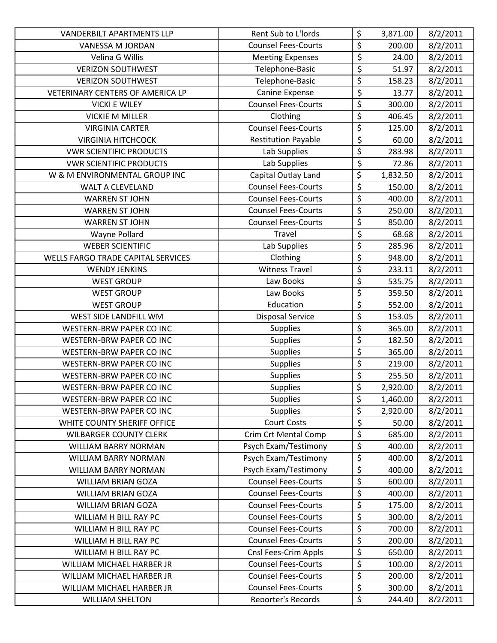| <b>VANDERBILT APARTMENTS LLP</b>   | Rent Sub to L'Iords         | \$                   | 3,871.00 | 8/2/2011 |
|------------------------------------|-----------------------------|----------------------|----------|----------|
| VANESSA M JORDAN                   | <b>Counsel Fees-Courts</b>  | \$                   | 200.00   | 8/2/2011 |
| Velina G Willis                    | <b>Meeting Expenses</b>     | \$                   | 24.00    | 8/2/2011 |
| <b>VERIZON SOUTHWEST</b>           | Telephone-Basic             | \$                   | 51.97    | 8/2/2011 |
| <b>VERIZON SOUTHWEST</b>           | Telephone-Basic             | \$                   | 158.23   | 8/2/2011 |
| VETERINARY CENTERS OF AMERICA LP   | Canine Expense              | \$                   | 13.77    | 8/2/2011 |
| <b>VICKI E WILEY</b>               | <b>Counsel Fees-Courts</b>  | \$                   | 300.00   | 8/2/2011 |
| <b>VICKIE M MILLER</b>             | Clothing                    | \$                   | 406.45   | 8/2/2011 |
| <b>VIRGINIA CARTER</b>             | <b>Counsel Fees-Courts</b>  | \$                   | 125.00   | 8/2/2011 |
| <b>VIRGINIA HITCHCOCK</b>          | <b>Restitution Payable</b>  | $\overline{\xi}$     | 60.00    | 8/2/2011 |
| <b>VWR SCIENTIFIC PRODUCTS</b>     | Lab Supplies                | \$                   | 283.98   | 8/2/2011 |
| <b>VWR SCIENTIFIC PRODUCTS</b>     | Lab Supplies                | \$                   | 72.86    | 8/2/2011 |
| W & M ENVIRONMENTAL GROUP INC      | Capital Outlay Land         | \$                   | 1,832.50 | 8/2/2011 |
| <b>WALT A CLEVELAND</b>            | <b>Counsel Fees-Courts</b>  | \$                   | 150.00   | 8/2/2011 |
| <b>WARREN ST JOHN</b>              | <b>Counsel Fees-Courts</b>  | \$                   | 400.00   | 8/2/2011 |
| <b>WARREN ST JOHN</b>              | <b>Counsel Fees-Courts</b>  | \$                   | 250.00   | 8/2/2011 |
| <b>WARREN ST JOHN</b>              | <b>Counsel Fees-Courts</b>  | \$                   | 850.00   | 8/2/2011 |
| Wayne Pollard                      | Travel                      | \$                   | 68.68    | 8/2/2011 |
| <b>WEBER SCIENTIFIC</b>            | Lab Supplies                | \$                   | 285.96   | 8/2/2011 |
| WELLS FARGO TRADE CAPITAL SERVICES | Clothing                    | \$                   | 948.00   | 8/2/2011 |
| <b>WENDY JENKINS</b>               | <b>Witness Travel</b>       | \$                   | 233.11   | 8/2/2011 |
| <b>WEST GROUP</b>                  | Law Books                   | \$                   | 535.75   | 8/2/2011 |
| <b>WEST GROUP</b>                  | Law Books                   | \$                   | 359.50   | 8/2/2011 |
| <b>WEST GROUP</b>                  | Education                   | \$                   | 552.00   | 8/2/2011 |
| WEST SIDE LANDFILL WM              | <b>Disposal Service</b>     | \$                   | 153.05   | 8/2/2011 |
| <b>WESTERN-BRW PAPER CO INC</b>    | Supplies                    | \$                   | 365.00   | 8/2/2011 |
| WESTERN-BRW PAPER CO INC           | <b>Supplies</b>             | \$                   | 182.50   | 8/2/2011 |
| <b>WESTERN-BRW PAPER CO INC</b>    | <b>Supplies</b>             | \$                   | 365.00   | 8/2/2011 |
| WESTERN-BRW PAPER CO INC           | <b>Supplies</b>             | $\overline{\xi}$     | 219.00   | 8/2/2011 |
| <b>WESTERN-BRW PAPER CO INC</b>    | <b>Supplies</b>             | \$                   | 255.50   | 8/2/2011 |
| WESTERN-BRW PAPER CO INC           | <b>Supplies</b>             | \$                   | 2,920.00 | 8/2/2011 |
| WESTERN-BRW PAPER CO INC           | <b>Supplies</b>             | \$                   | 1,460.00 | 8/2/2011 |
| <b>WESTERN-BRW PAPER CO INC</b>    | <b>Supplies</b>             | \$                   | 2,920.00 | 8/2/2011 |
| WHITE COUNTY SHERIFF OFFICE        | <b>Court Costs</b>          | \$                   | 50.00    | 8/2/2011 |
| <b>WILBARGER COUNTY CLERK</b>      | <b>Crim Crt Mental Comp</b> | \$                   | 685.00   | 8/2/2011 |
| <b>WILLIAM BARRY NORMAN</b>        | Psych Exam/Testimony        | \$                   | 400.00   | 8/2/2011 |
| WILLIAM BARRY NORMAN               | Psych Exam/Testimony        | \$                   | 400.00   | 8/2/2011 |
| WILLIAM BARRY NORMAN               | Psych Exam/Testimony        | \$                   | 400.00   | 8/2/2011 |
| <b>WILLIAM BRIAN GOZA</b>          | <b>Counsel Fees-Courts</b>  | \$                   | 600.00   | 8/2/2011 |
| <b>WILLIAM BRIAN GOZA</b>          | <b>Counsel Fees-Courts</b>  | \$                   | 400.00   | 8/2/2011 |
| <b>WILLIAM BRIAN GOZA</b>          | <b>Counsel Fees-Courts</b>  | \$                   | 175.00   | 8/2/2011 |
| WILLIAM H BILL RAY PC              | <b>Counsel Fees-Courts</b>  | \$                   | 300.00   | 8/2/2011 |
| WILLIAM H BILL RAY PC              | <b>Counsel Fees-Courts</b>  | \$                   | 700.00   | 8/2/2011 |
| WILLIAM H BILL RAY PC              | <b>Counsel Fees-Courts</b>  | \$                   | 200.00   | 8/2/2011 |
| WILLIAM H BILL RAY PC              | Cnsl Fees-Crim Appls        | \$                   | 650.00   | 8/2/2011 |
| WILLIAM MICHAEL HARBER JR          | <b>Counsel Fees-Courts</b>  | \$                   | 100.00   | 8/2/2011 |
| WILLIAM MICHAEL HARBER JR          | <b>Counsel Fees-Courts</b>  | \$                   | 200.00   | 8/2/2011 |
| WILLIAM MICHAEL HARBER JR          | <b>Counsel Fees-Courts</b>  | \$                   | 300.00   | 8/2/2011 |
| <b>WILLIAM SHFLTON</b>             | Renorter's Records          | $\boldsymbol{\zeta}$ | 244.40   | 8/2/2011 |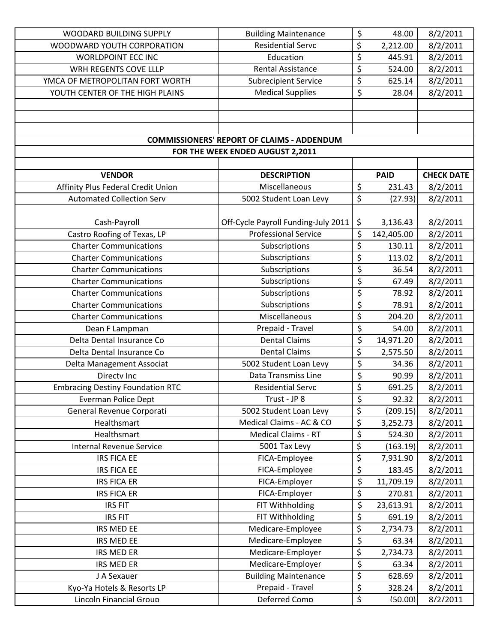| WOODARD BUILDING SUPPLY                 | <b>Building Maintenance</b>                       | \$                       | 48.00       | 8/2/2011          |
|-----------------------------------------|---------------------------------------------------|--------------------------|-------------|-------------------|
| WOODWARD YOUTH CORPORATION              | <b>Residential Servc</b>                          | \$                       | 2,212.00    | 8/2/2011          |
| <b>WORLDPOINT ECC INC</b>               | Education                                         | \$                       | 445.91      | 8/2/2011          |
| WRH REGENTS COVE LLLP                   | <b>Rental Assistance</b>                          | \$                       | 524.00      | 8/2/2011          |
| YMCA OF METROPOLITAN FORT WORTH         | <b>Subrecipient Service</b>                       | \$                       | 625.14      | 8/2/2011          |
| YOUTH CENTER OF THE HIGH PLAINS         | <b>Medical Supplies</b>                           | $\overline{\mathcal{S}}$ | 28.04       | 8/2/2011          |
|                                         |                                                   |                          |             |                   |
|                                         |                                                   |                          |             |                   |
|                                         |                                                   |                          |             |                   |
|                                         | <b>COMMISSIONERS' REPORT OF CLAIMS - ADDENDUM</b> |                          |             |                   |
|                                         | FOR THE WEEK ENDED AUGUST 2,2011                  |                          |             |                   |
|                                         |                                                   |                          |             |                   |
| <b>VENDOR</b>                           | <b>DESCRIPTION</b>                                |                          | <b>PAID</b> | <b>CHECK DATE</b> |
| Affinity Plus Federal Credit Union      | Miscellaneous                                     | \$                       | 231.43      | 8/2/2011          |
| <b>Automated Collection Serv</b>        | 5002 Student Loan Levy                            | \$                       | (27.93)     | 8/2/2011          |
|                                         |                                                   |                          |             |                   |
| Cash-Payroll                            | Off-Cycle Payroll Funding-July 2011               | \$                       | 3,136.43    | 8/2/2011          |
| Castro Roofing of Texas, LP             | <b>Professional Service</b>                       | \$                       | 142,405.00  | 8/2/2011          |
| <b>Charter Communications</b>           | Subscriptions                                     | \$                       | 130.11      | 8/2/2011          |
| <b>Charter Communications</b>           | Subscriptions                                     | \$                       | 113.02      | 8/2/2011          |
| <b>Charter Communications</b>           | Subscriptions                                     | \$                       | 36.54       | 8/2/2011          |
| <b>Charter Communications</b>           | Subscriptions                                     | \$                       | 67.49       | 8/2/2011          |
| <b>Charter Communications</b>           | Subscriptions                                     | \$                       | 78.92       | 8/2/2011          |
| <b>Charter Communications</b>           | Subscriptions                                     | $\overline{\varsigma}$   | 78.91       | 8/2/2011          |
| <b>Charter Communications</b>           | Miscellaneous                                     | \$                       | 204.20      | 8/2/2011          |
| Dean F Lampman                          | Prepaid - Travel                                  | \$                       | 54.00       | 8/2/2011          |
| Delta Dental Insurance Co               | <b>Dental Claims</b>                              | \$                       | 14,971.20   | 8/2/2011          |
| Delta Dental Insurance Co               | <b>Dental Claims</b>                              | \$                       | 2,575.50    | 8/2/2011          |
| Delta Management Associat               | 5002 Student Loan Levy                            | \$                       | 34.36       | 8/2/2011          |
| Directy Inc                             | Data Transmiss Line                               | \$                       | 90.99       | 8/2/2011          |
| <b>Embracing Destiny Foundation RTC</b> | <b>Residential Servc</b>                          | \$                       | 691.25      | 8/2/2011          |
| <b>Everman Police Dept</b>              | Trust - JP 8                                      | \$                       | 92.32       | 8/2/2011          |
| General Revenue Corporati               | 5002 Student Loan Levy                            | \$                       | (209.15)    | 8/2/2011          |
| Healthsmart                             | Medical Claims - AC & CO                          | \$                       | 3,252.73    | 8/2/2011          |
| Healthsmart                             | <b>Medical Claims - RT</b>                        | \$                       | 524.30      | 8/2/2011          |
| <b>Internal Revenue Service</b>         | 5001 Tax Levy                                     | \$                       | (163.19)    | 8/2/2011          |
| <b>IRS FICA EE</b>                      | FICA-Employee                                     | \$                       | 7,931.90    | 8/2/2011          |
| <b>IRS FICA EE</b>                      | FICA-Employee                                     | \$                       | 183.45      | 8/2/2011          |
| <b>IRS FICA ER</b>                      | FICA-Employer                                     | \$                       | 11,709.19   | 8/2/2011          |
| <b>IRS FICA ER</b>                      | FICA-Employer                                     | \$                       | 270.81      | 8/2/2011          |
| <b>IRS FIT</b>                          | FIT Withholding                                   | \$                       | 23,613.91   | 8/2/2011          |
| <b>IRS FIT</b>                          | FIT Withholding                                   | \$                       | 691.19      | 8/2/2011          |
| IRS MED EE                              | Medicare-Employee                                 | \$                       | 2,734.73    | 8/2/2011          |
| IRS MED EE                              | Medicare-Employee                                 | $\overline{\xi}$         | 63.34       | 8/2/2011          |
| IRS MED ER                              | Medicare-Employer                                 | \$                       | 2,734.73    | 8/2/2011          |
| <b>IRS MED ER</b>                       | Medicare-Employer                                 | \$                       | 63.34       | 8/2/2011          |
| J A Sexauer                             | <b>Building Maintenance</b>                       | \$                       | 628.69      | 8/2/2011          |
| Kyo-Ya Hotels & Resorts LP              | Prepaid - Travel                                  | \$                       | 328.24      | 8/2/2011          |
| Lincoln Financial Groun                 | Deferred Comn                                     | $\overline{\mathsf{S}}$  | (50.00)     | 8/2/2011          |